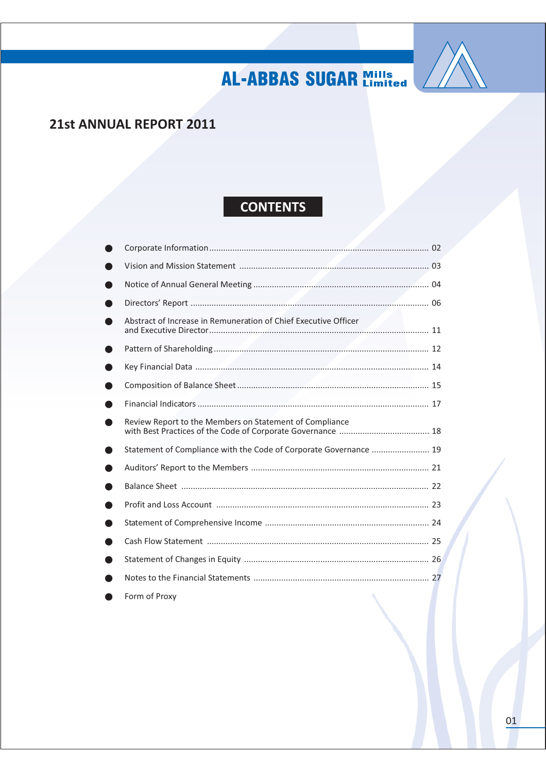

### 21st ANNUAL REPORT 2011

### **CONTENTS**

| Abstract of Increase in Remuneration of Chief Executive Officer   |  |
|-------------------------------------------------------------------|--|
|                                                                   |  |
|                                                                   |  |
|                                                                   |  |
|                                                                   |  |
| Review Report to the Members on Statement of Compliance           |  |
| Statement of Compliance with the Code of Corporate Governance  19 |  |
|                                                                   |  |
|                                                                   |  |
|                                                                   |  |
|                                                                   |  |
|                                                                   |  |
|                                                                   |  |
|                                                                   |  |
| Form of Proxy                                                     |  |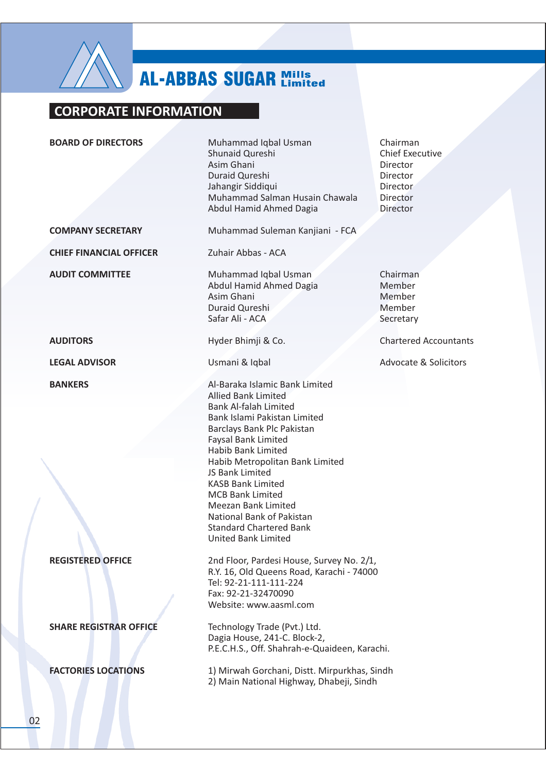

### **CORPORATE INFORMATION**

**BOARD OF DIRECTORS** 

**COMPANY SECRETARY** 

**CHIEF FINANCIAL OFFICER** 

**AUDIT COMMITTEE** 

**AUDITORS** 

**LEGAL ADVISOR** 

**BANKERS** 

**REGISTERED OFFICE** 

**SHARE REGISTRAR OFFICE** 

**FACTORIES LOCATIONS** 

Muhammad Iqbal Usman Shunaid Qureshi Asim Ghani Duraid Qureshi Jahangir Siddiqui Muhammad Salman Husain Chawala Abdul Hamid Ahmed Dagia

Muhammad Suleman Kanjiani - FCA

Zuhair Abbas - ACA

Muhammad Iqbal Usman Abdul Hamid Ahmed Dagia Asim Ghani Duraid Oureshi Safar Ali - ACA

Hyder Bhimji & Co.

Usmani & Iqbal

Al-Baraka Islamic Bank Limited **Allied Bank Limited Bank Al-falah Limited** Bank Islami Pakistan Limited **Barclays Bank Plc Pakistan Faysal Bank Limited Habib Bank Limited** Habib Metropolitan Bank Limited JS Bank Limited **KASB Bank Limited MCB Bank Limited** Meezan Bank Limited National Bank of Pakistan **Standard Chartered Bank United Bank Limited** 

2nd Floor, Pardesi House, Survey No. 2/1. R.Y. 16. Old Queens Road. Karachi - 74000 Tel: 92-21-111-111-224 Fax: 92-21-32470090 Website: www.aasml.com

Technology Trade (Pvt.) Ltd. Dagia House, 241-C. Block-2. P.E.C.H.S., Off. Shahrah-e-Quaideen, Karachi,

1) Mirwah Gorchani, Distt. Mirpurkhas, Sindh 2) Main National Highway, Dhabeji, Sindh

Chairman **Chief Executive Director** Director **Director Director** Director

Chairman Member Member Member Secretary

**Chartered Accountants** 

**Advocate & Solicitors**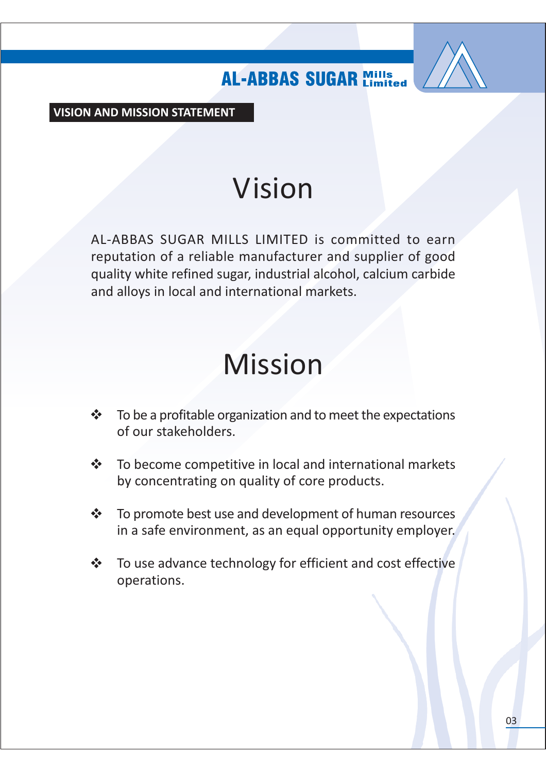

**VISION AND MISSION STATEMENT** 

# Vision

AL-ABBAS SUGAR MILLS LIMITED is committed to earn reputation of a reliable manufacturer and supplier of good quality white refined sugar, industrial alcohol, calcium carbide and alloys in local and international markets.

# **Mission**

- To be a profitable organization and to meet the expectations  $\frac{1}{2}$ of our stakeholders.
- To become competitive in local and international markets  $\frac{1}{2}$ by concentrating on quality of core products.
- $\frac{1}{2}$ To promote best use and development of human resources in a safe environment, as an equal opportunity employer.
- To use advance technology for efficient and cost effective  $\frac{1}{2}$ operations.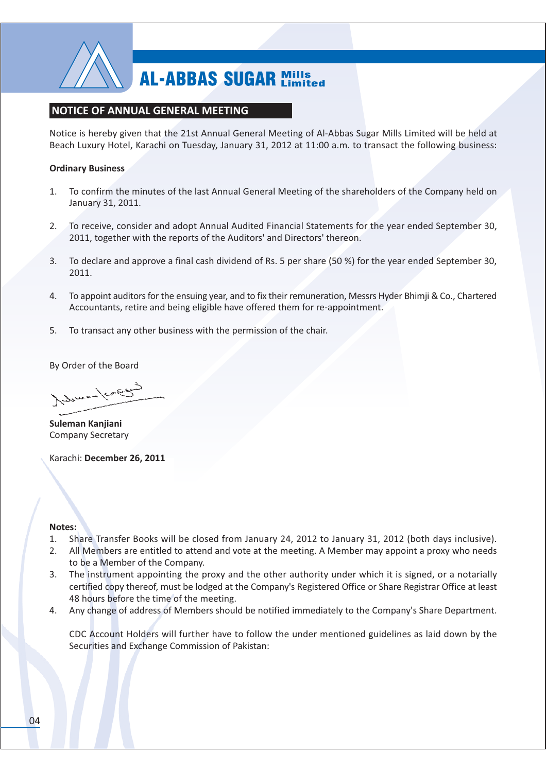

### **NOTICE OF ANNUAL GENERAL MEETING**

Notice is hereby given that the 21st Annual General Meeting of Al-Abbas Sugar Mills Limited will be held at Beach Luxury Hotel, Karachi on Tuesday, January 31, 2012 at 11:00 a.m. to transact the following business:

### **Ordinary Business**

- To confirm the minutes of the last Annual General Meeting of the shareholders of the Company held on  $1<sup>1</sup>$ January 31, 2011.
- $2.$ To receive, consider and adopt Annual Audited Financial Statements for the year ended September 30, 2011, together with the reports of the Auditors' and Directors' thereon.
- $\overline{3}$ . To declare and approve a final cash dividend of Rs. 5 per share (50 %) for the year ended September 30, 2011.
- To appoint auditors for the ensuing year, and to fix their remuneration, Messrs Hyder Bhimji & Co., Chartered 4. Accountants, retire and being eligible have offered them for re-appointment.
- 5. To transact any other business with the permission of the chair.

By Order of the Board

Indianan/cace

Suleman Kanjiani **Company Secretary** 

Karachi: December 26, 2011

### Notes:

- Share Transfer Books will be closed from January 24, 2012 to January 31, 2012 (both days inclusive). 1.
- All Members are entitled to attend and vote at the meeting. A Member may appoint a proxy who needs  $2.$ to be a Member of the Company.
- 3. The instrument appointing the proxy and the other authority under which it is signed, or a notarially certified copy thereof, must be lodged at the Company's Registered Office or Share Registrar Office at least 48 hours before the time of the meeting.
- Any change of address of Members should be notified immediately to the Company's Share Department. 4.

CDC Account Holders will further have to follow the under mentioned guidelines as laid down by the Securities and Exchange Commission of Pakistan: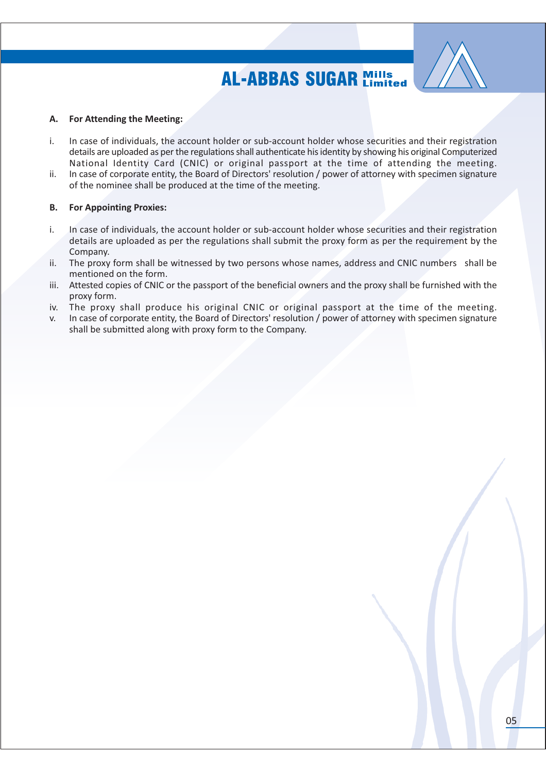

#### **For Attending the Meeting:** А.

- In case of individuals, the account holder or sub-account holder whose securities and their registration i. details are uploaded as per the regulations shall authenticate his identity by showing his original Computerized National Identity Card (CNIC) or original passport at the time of attending the meeting.
- In case of corporate entity, the Board of Directors' resolution / power of attorney with specimen signature ii. of the nominee shall be produced at the time of the meeting.

#### **For Appointing Proxies: B.**

- i. In case of individuals, the account holder or sub-account holder whose securities and their registration details are uploaded as per the regulations shall submit the proxy form as per the requirement by the Company.
- The proxy form shall be witnessed by two persons whose names, address and CNIC numbers shall be ii. mentioned on the form.
- iii. Attested copies of CNIC or the passport of the beneficial owners and the proxy shall be furnished with the proxy form.
- The proxy shall produce his original CNIC or original passport at the time of the meeting. iv.
- In case of corporate entity, the Board of Directors' resolution / power of attorney with specimen signature  $V_{\rm c}$ shall be submitted along with proxy form to the Company.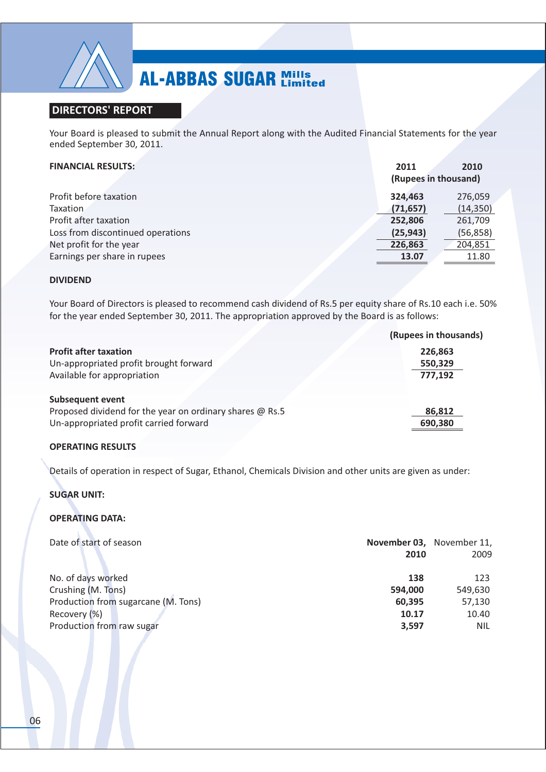

### **DIRECTORS' REPORT**

Your Board is pleased to submit the Annual Report along with the Audited Financial Statements for the year ended September 30, 2011.

### **FINANCIAL RESULTS:**

| <b>FINANCIAL RESULTS:</b>         | 2011<br>(Rupees in thousand) | 2010      |
|-----------------------------------|------------------------------|-----------|
|                                   |                              |           |
| Profit before taxation            | 324,463                      | 276,059   |
| <b>Taxation</b>                   | (71, 657)                    | (14, 350) |
| Profit after taxation             | 252,806                      | 261,709   |
| Loss from discontinued operations | (25, 943)                    | (56, 858) |
| Net profit for the year           | 226,863                      | 204,851   |
| Earnings per share in rupees      | 13.07                        | 11.80     |
|                                   |                              |           |

### **DIVIDEND**

Your Board of Directors is pleased to recommend cash dividend of Rs.5 per equity share of Rs.10 each i.e. 50% for the year ended September 30, 2011. The appropriation approved by the Board is as follows:

|                                                          | (Rupees in thousands) |
|----------------------------------------------------------|-----------------------|
| <b>Profit after taxation</b>                             | 226,863               |
| Un-appropriated profit brought forward                   | 550,329               |
| Available for appropriation                              | 777,192               |
| <b>Subsequent event</b>                                  |                       |
| Proposed dividend for the year on ordinary shares @ Rs.5 | 86,812                |
| Un-appropriated profit carried forward                   | 690,380               |
|                                                          |                       |

### **OPERATING RESULTS**

Details of operation in respect of Sugar, Ethanol, Chemicals Division and other units are given as under:

### **SUGAR UNIT:**

### **OPERATING DATA:**

| Date of start of season             | 2010    | November 03, November 11,<br>2009 |
|-------------------------------------|---------|-----------------------------------|
| No. of days worked                  | 138     | 123                               |
| Crushing (M. Tons)                  | 594,000 | 549,630                           |
| Production from sugarcane (M. Tons) | 60,395  | 57,130                            |
| Recovery (%)                        | 10.17   | 10.40                             |
| Production from raw sugar           | 3,597   | NIL.                              |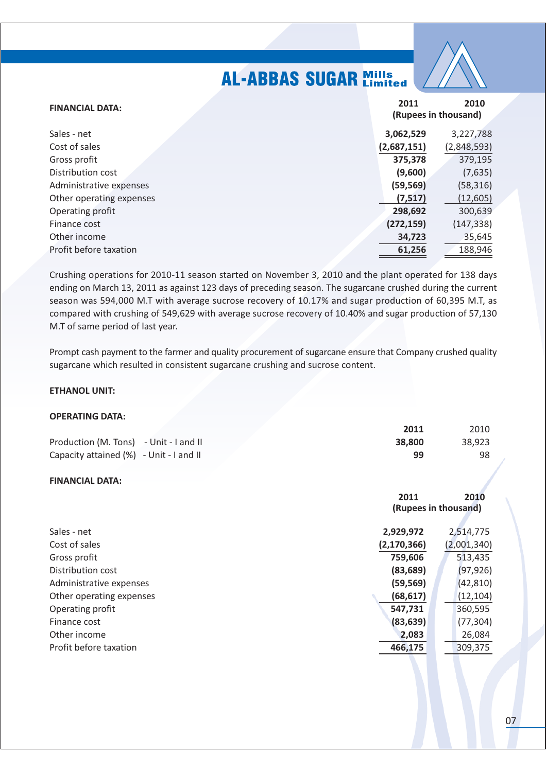| <b>FINANCIAL DATA:</b>   | 2011        | 2010<br>(Rupees in thousand) |
|--------------------------|-------------|------------------------------|
| Sales - net              | 3,062,529   | 3,227,788                    |
| Cost of sales            | (2,687,151) | (2,848,593)                  |
| Gross profit             | 375,378     | 379,195                      |
| Distribution cost        | (9,600)     | (7,635)                      |
| Administrative expenses  | (59, 569)   | (58, 316)                    |
| Other operating expenses | (7, 517)    | (12, 605)                    |
| Operating profit         | 298,692     | 300,639                      |
| Finance cost             | (272, 159)  | (147, 338)                   |
| Other income             | 34,723      | 35,645                       |
| Profit before taxation   | 61,256      | 188,946                      |

Crushing operations for 2010-11 season started on November 3, 2010 and the plant operated for 138 days ending on March 13, 2011 as against 123 days of preceding season. The sugarcane crushed during the current season was 594,000 M.T with average sucrose recovery of 10.17% and sugar production of 60,395 M.T, as compared with crushing of 549,629 with average sucrose recovery of 10.40% and sugar production of 57,130 M.T of same period of last year.

Prompt cash payment to the farmer and quality procurement of sugarcane ensure that Company crushed quality sugarcane which resulted in consistent sugarcane crushing and sucrose content.

### **ETHANOL UNIT:**

### **OPERATING DATA:**

|                                         | 2011   | 2010   |
|-----------------------------------------|--------|--------|
| Production (M. Tons) - Unit - I and II  | 38.800 | 38.923 |
| Capacity attained (%) - Unit - I and II | 99     | 98     |

### **FINANCIAL DATA:**

|                          | 2011                 | 2010        |
|--------------------------|----------------------|-------------|
|                          | (Rupees in thousand) |             |
|                          |                      |             |
| Sales - net              | 2,929,972            | 2,514,775   |
| Cost of sales            | (2, 170, 366)        | (2,001,340) |
| Gross profit             | 759,606              | 513,435     |
| Distribution cost        | (83, 689)            | (97, 926)   |
| Administrative expenses  | (59, 569)            | (42, 810)   |
| Other operating expenses | (68, 617)            | (12, 104)   |
| Operating profit         | 547,731              | 360,595     |
| Finance cost             | (83, 639)            | (77, 304)   |
| Other income             | 2,083                | 26,084      |
| Profit before taxation   | 466,175              | 309,375     |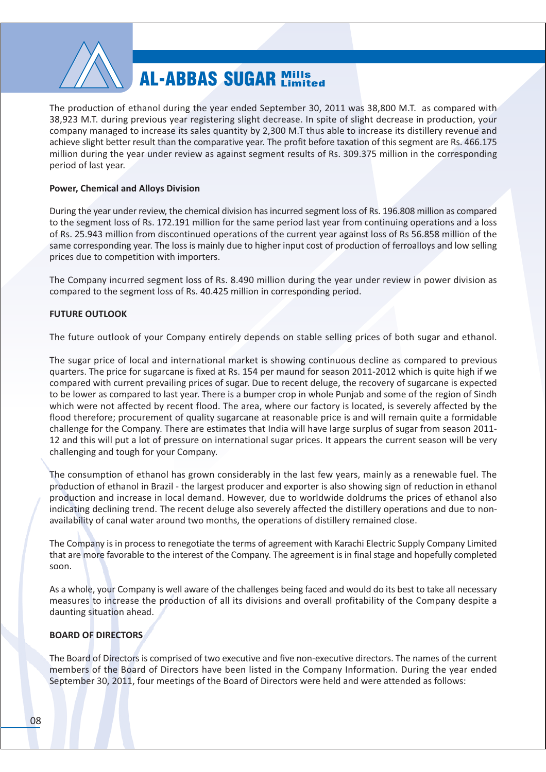

The production of ethanol during the vear ended September 30, 2011 was 38,800 M.T. as compared with 38,923 M.T. during previous year registering slight decrease. In spite of slight decrease in production, your company managed to increase its sales quantity by 2,300 M.T thus able to increase its distillery revenue and achieve slight better result than the comparative year. The profit before taxation of this segment are Rs. 466.175 million during the year under review as against segment results of Rs. 309.375 million in the corresponding period of last year.

### **Power, Chemical and Alloys Division**

During the year under review, the chemical division has incurred segment loss of Rs. 196.808 million as compared to the segment loss of Rs. 172.191 million for the same period last year from continuing operations and a loss of Rs. 25.943 million from discontinued operations of the current year against loss of Rs 56.858 million of the same corresponding year. The loss is mainly due to higher input cost of production of ferroalloys and low selling prices due to competition with importers.

The Company incurred segment loss of Rs. 8.490 million during the year under review in power division as compared to the segment loss of Rs. 40.425 million in corresponding period.

### **FUTURE OUTLOOK**

The future outlook of your Company entirely depends on stable selling prices of both sugar and ethanol.

The sugar price of local and international market is showing continuous decline as compared to previous quarters. The price for sugarcane is fixed at Rs. 154 per maund for season 2011-2012 which is quite high if we compared with current prevailing prices of sugar. Due to recent deluge, the recovery of sugarcane is expected to be lower as compared to last year. There is a bumper crop in whole Punjab and some of the region of Sindh which were not affected by recent flood. The area, where our factory is located, is severely affected by the flood therefore; procurement of quality sugarcane at reasonable price is and will remain quite a formidable challenge for the Company. There are estimates that India will have large surplus of sugar from season 2011-12 and this will put a lot of pressure on international sugar prices. It appears the current season will be very challenging and tough for your Company.

The consumption of ethanol has grown considerably in the last few years, mainly as a renewable fuel. The production of ethanol in Brazil - the largest producer and exporter is also showing sign of reduction in ethanol production and increase in local demand. However, due to worldwide doldrums the prices of ethanol also indicating declining trend. The recent deluge also severely affected the distillery operations and due to nonavailability of canal water around two months, the operations of distillery remained close.

The Company is in process to renegotiate the terms of agreement with Karachi Electric Supply Company Limited that are more favorable to the interest of the Company. The agreement is in final stage and hopefully completed soon.

As a whole, your Company is well aware of the challenges being faced and would do its best to take all necessary measures to increase the production of all its divisions and overall profitability of the Company despite a daunting situation ahead.

### **BOARD OF DIRECTORS**

The Board of Directors is comprised of two executive and five non-executive directors. The names of the current members of the Board of Directors have been listed in the Company Information. During the year ended September 30, 2011, four meetings of the Board of Directors were held and were attended as follows: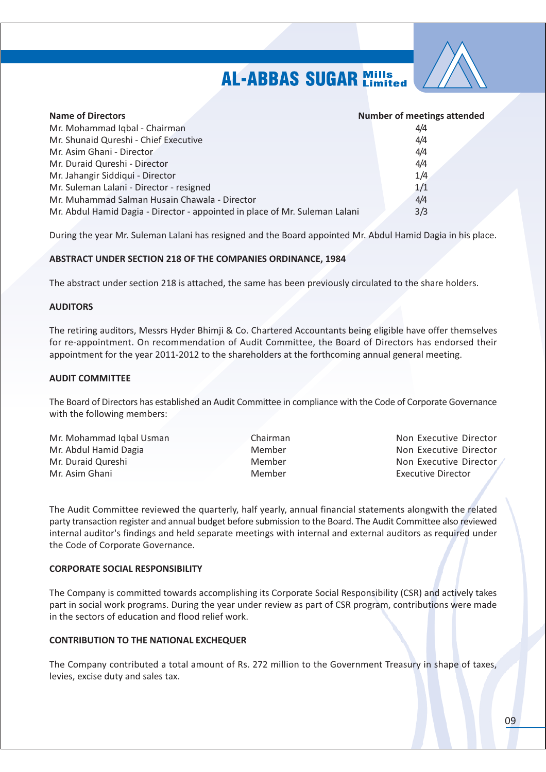

| <b>Name of Directors</b>                                                    | <b>Number of meetings attended</b> |
|-----------------------------------------------------------------------------|------------------------------------|
| Mr. Mohammad Iqbal - Chairman                                               | 4/4                                |
| Mr. Shunaid Qureshi - Chief Executive                                       | 4/4                                |
| Mr. Asim Ghani - Director                                                   | 4/4                                |
| Mr. Duraid Qureshi - Director                                               | 4/4                                |
| Mr. Jahangir Siddiqui - Director                                            | 1/4                                |
| Mr. Suleman Lalani - Director - resigned                                    | 1/1                                |
| Mr. Muhammad Salman Husain Chawala - Director                               | 4/4                                |
| Mr. Abdul Hamid Dagia - Director - appointed in place of Mr. Suleman Lalani | 3/3                                |

During the year Mr. Suleman Lalani has resigned and the Board appointed Mr. Abdul Hamid Dagia in his place.

### **ABSTRACT UNDER SECTION 218 OF THE COMPANIES ORDINANCE, 1984**

The abstract under section 218 is attached, the same has been previously circulated to the share holders.

### **AUDITORS**

The retiring auditors, Messrs Hyder Bhimji & Co. Chartered Accountants being eligible have offer themselves for re-appointment. On recommendation of Audit Committee, the Board of Directors has endorsed their appointment for the year 2011-2012 to the shareholders at the forthcoming annual general meeting.

### **AUDIT COMMITTEE**

The Board of Directors has established an Audit Committee in compliance with the Code of Corporate Governance with the following members:

| Mr. Mohammad Iqbal Usman | Chairman |
|--------------------------|----------|
| Mr. Abdul Hamid Dagia    | Member   |
| Mr. Duraid Qureshi       | Member   |
| Mr. Asim Ghani           | Member   |

Non Executive Director Non Executive Director Non Executive Director **Executive Director** 

The Audit Committee reviewed the quarterly, half yearly, annual financial statements alongwith the related party transaction register and annual budget before submission to the Board. The Audit Committee also reviewed internal auditor's findings and held separate meetings with internal and external auditors as required under the Code of Corporate Governance.

#### **CORPORATE SOCIAL RESPONSIBILITY**

The Company is committed towards accomplishing its Corporate Social Responsibility (CSR) and actively takes part in social work programs. During the year under review as part of CSR program, contributions were made in the sectors of education and flood relief work.

### **CONTRIBUTION TO THE NATIONAL EXCHEQUER**

The Company contributed a total amount of Rs. 272 million to the Government Treasury in shape of taxes, levies, excise duty and sales tax.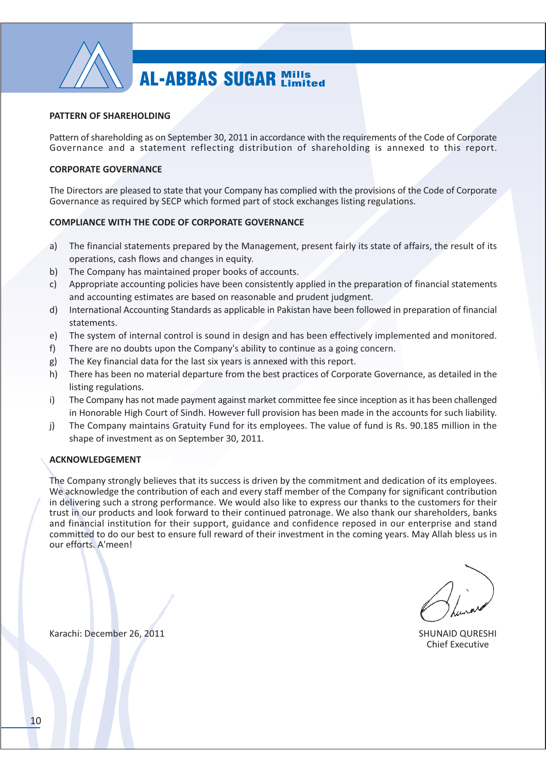

### PATTERN OF SHAREHOLDING

Pattern of shareholding as on September 30, 2011 in accordance with the requirements of the Code of Corporate Governance and a statement reflecting distribution of shareholding is annexed to this report.

### **CORPORATE GOVERNANCE**

The Directors are pleased to state that your Company has complied with the provisions of the Code of Corporate Governance as required by SECP which formed part of stock exchanges listing regulations.

### **COMPLIANCE WITH THE CODE OF CORPORATE GOVERNANCE**

- The financial statements prepared by the Management, present fairly its state of affairs, the result of its  $a)$ operations, cash flows and changes in equity.
- The Company has maintained proper books of accounts. b)
- Appropriate accounting policies have been consistently applied in the preparation of financial statements  $c)$ and accounting estimates are based on reasonable and prudent judgment.
- International Accounting Standards as applicable in Pakistan have been followed in preparation of financial  $d)$ statements.
- The system of internal control is sound in design and has been effectively implemented and monitored.  $e)$
- There are no doubts upon the Company's ability to continue as a going concern.  $f$ )
- The Key financial data for the last six years is annexed with this report. g)
- h) There has been no material departure from the best practices of Corporate Governance, as detailed in the listing regulations.
- The Company has not made payment against market committee fee since inception as it has been challenged i) in Honorable High Court of Sindh. However full provision has been made in the accounts for such liability.
- The Company maintains Gratuity Fund for its employees. The value of fund is Rs. 90.185 million in the j) shape of investment as on September 30, 2011.

### **ACKNOWLEDGEMENT**

The Company strongly believes that its success is driven by the commitment and dedication of its employees. We acknowledge the contribution of each and every staff member of the Company for significant contribution in delivering such a strong performance. We would also like to express our thanks to the customers for their trust in our products and look forward to their continued patronage. We also thank our shareholders, banks and financial institution for their support, guidance and confidence reposed in our enterprise and stand committed to do our best to ensure full reward of their investment in the coming years. May Allah bless us in our efforts. A'meen!

**SHUNAID QURESHI** Chief Executive

Karachi: December 26, 2011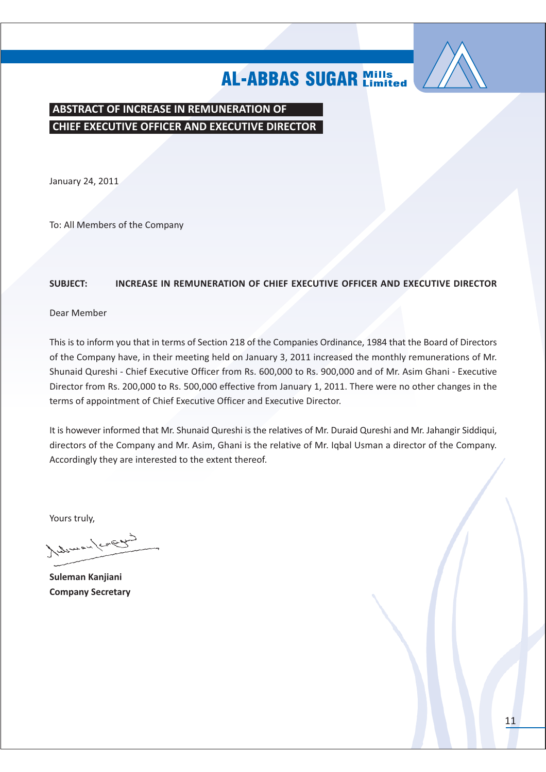

ABSTRACT OF INCREASE IN REMUNERATION OF **CHIEF EXECUTIVE OFFICER AND EXECUTIVE DIRECTOR** 

January 24, 2011

To: All Members of the Company

#### **SUBJECT:** INCREASE IN REMUNERATION OF CHIEF EXECUTIVE OFFICER AND EXECUTIVE DIRECTOR

Dear Member

This is to inform you that in terms of Section 218 of the Companies Ordinance, 1984 that the Board of Directors of the Company have, in their meeting held on January 3, 2011 increased the monthly remunerations of Mr. Shunaid Qureshi - Chief Executive Officer from Rs. 600,000 to Rs. 900,000 and of Mr. Asim Ghani - Executive Director from Rs. 200,000 to Rs. 500,000 effective from January 1, 2011. There were no other changes in the terms of appointment of Chief Executive Officer and Executive Director.

It is however informed that Mr. Shunaid Qureshi is the relatives of Mr. Duraid Qureshi and Mr. Jahangir Siddiqui, directors of the Company and Mr. Asim, Ghani is the relative of Mr. Igbal Usman a director of the Company. Accordingly they are interested to the extent thereof.

Yours truly,

Achievan / concern

Suleman Kanjiani **Company Secretary**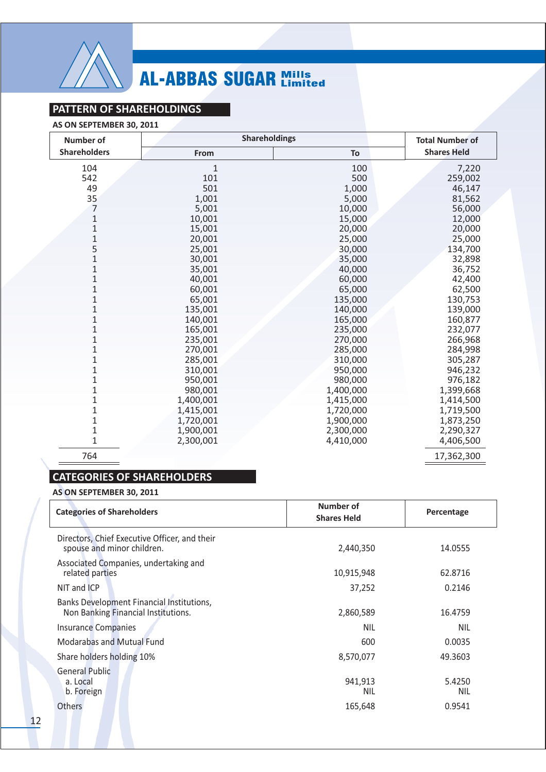

### PATTERN OF SHAREHOLDINGS

### AS ON SEPTEMBER 30, 2011

| <b>Number of</b>    | <b>Shareholdings</b> |           | <b>Total Number of</b> |  |
|---------------------|----------------------|-----------|------------------------|--|
| <b>Shareholders</b> | From                 | To        | <b>Shares Held</b>     |  |
| 104                 | 1                    | 100       | 7,220                  |  |
| 542                 | 101                  | 500       | 259,002                |  |
| 49                  | 501                  | 1,000     | 46,147                 |  |
| 35                  | 1,001                | 5,000     | 81,562                 |  |
| 7                   | 5,001                | 10,000    | 56,000                 |  |
| $\mathbf 1$         | 10,001               | 15,000    | 12,000                 |  |
| $\mathbf{1}$        | 15,001               | 20,000    | 20,000                 |  |
| $\mathbf{1}$        | 20,001               | 25,000    | 25,000                 |  |
| 5                   | 25,001               | 30,000    | 134,700                |  |
| $\mathbf{1}$        | 30,001               | 35,000    | 32,898                 |  |
| $\mathbf{1}$        | 35,001               | 40,000    | 36,752                 |  |
| $\mathbf{1}$        | 40,001               | 60,000    | 42,400                 |  |
| $\mathbf{1}$        | 60,001               | 65,000    | 62,500                 |  |
| $\overline{1}$      | 65,001               | 135,000   | 130,753                |  |
| $\mathbf{1}$        | 135,001              | 140,000   | 139,000                |  |
| $\mathbf{1}$        | 140,001              | 165,000   | 160,877                |  |
| $\mathbf{1}$        | 165,001              | 235,000   | 232,077                |  |
| 1                   | 235,001              | 270,000   | 266,968                |  |
| $\mathbf 1$         | 270,001              | 285,000   | 284,998                |  |
| $\mathbf 1$         | 285,001              | 310,000   | 305,287                |  |
| $\mathbf 1$         | 310,001              | 950,000   | 946,232                |  |
| $\mathbf 1$         | 950,001              | 980,000   | 976,182                |  |
| $\mathbf 1$         | 980,001              | 1,400,000 | 1,399,668              |  |
| 1                   | 1,400,001            | 1,415,000 | 1,414,500              |  |
| $\mathbf 1$         | 1,415,001            | 1,720,000 | 1,719,500              |  |
| $\mathbf 1$         | 1,720,001            | 1,900,000 | 1,873,250              |  |
| $\mathbf 1$         | 1,900,001            | 2,300,000 | 2,290,327              |  |
| $\mathbf 1$         | 2,300,001            | 4,410,000 | 4,406,500              |  |
| 764                 |                      |           | 17,362,300             |  |

### **CATEGORIES OF SHAREHOLDERS**

### AS ON SEPTEMBER 30, 2011

| <b>Categories of Shareholders</b>                                                | Number of<br><b>Shares Held</b> | Percentage           |  |
|----------------------------------------------------------------------------------|---------------------------------|----------------------|--|
| Directors, Chief Executive Officer, and their<br>spouse and minor children.      | 2,440,350                       | 14.0555              |  |
| Associated Companies, undertaking and<br>related parties                         | 10,915,948                      | 62.8716              |  |
| NIT and ICP                                                                      | 37,252                          | 0.2146               |  |
| Banks Development Financial Institutions,<br>Non Banking Financial Institutions. | 2,860,589                       | 16.4759              |  |
| <b>Insurance Companies</b>                                                       | <b>NIL</b>                      | <b>NIL</b>           |  |
| Modarabas and Mutual Fund                                                        | 600                             | 0.0035               |  |
| Share holders holding 10%                                                        | 8,570,077                       | 49.3603              |  |
| <b>General Public</b><br>a. Local<br>b. Foreign                                  | 941,913<br><b>NIL</b>           | 5.4250<br><b>NIL</b> |  |
| Others                                                                           | 165,648                         | 0.9541               |  |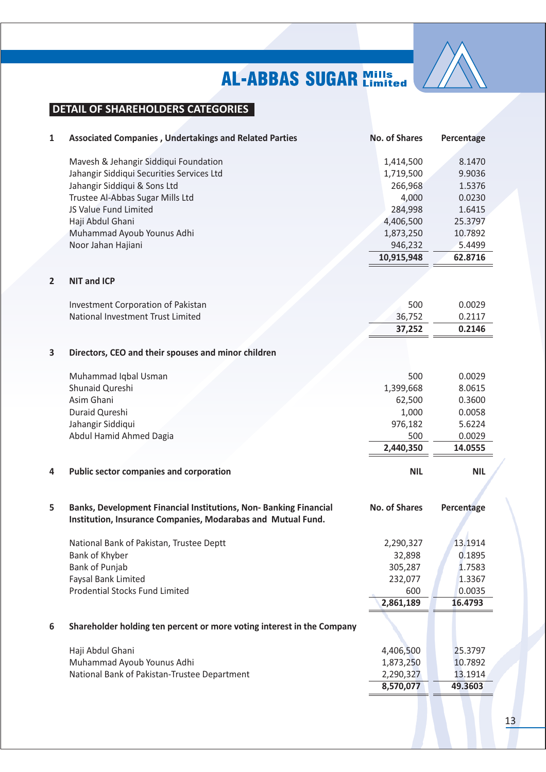

### **DETAIL OF SHAREHOLDERS CATEGORIES**

| 1                       | <b>Associated Companies, Undertakings and Related Parties</b>          | <b>No. of Shares</b> | Percentage |
|-------------------------|------------------------------------------------------------------------|----------------------|------------|
|                         | Mavesh & Jehangir Siddiqui Foundation                                  | 1,414,500            | 8.1470     |
|                         | Jahangir Siddiqui Securities Services Ltd                              | 1,719,500            | 9.9036     |
|                         | Jahangir Siddiqui & Sons Ltd                                           | 266,968              | 1.5376     |
|                         | Trustee Al-Abbas Sugar Mills Ltd                                       | 4,000                | 0.0230     |
|                         | JS Value Fund Limited                                                  | 284,998              | 1.6415     |
|                         | Haji Abdul Ghani                                                       | 4,406,500            | 25.3797    |
|                         | Muhammad Ayoub Younus Adhi                                             | 1,873,250            | 10.7892    |
|                         | Noor Jahan Hajiani                                                     | 946,232              | 5.4499     |
|                         |                                                                        | 10,915,948           | 62.8716    |
| $\overline{2}$          | <b>NIT and ICP</b>                                                     |                      |            |
|                         | Investment Corporation of Pakistan                                     | 500                  | 0.0029     |
|                         | National Investment Trust Limited                                      | 36,752               | 0.2117     |
|                         |                                                                        | 37,252               | 0.2146     |
| $\overline{\mathbf{3}}$ | Directors, CEO and their spouses and minor children                    |                      |            |
|                         | Muhammad Iqbal Usman                                                   | 500                  | 0.0029     |
|                         | Shunaid Qureshi                                                        | 1,399,668            | 8.0615     |
|                         | Asim Ghani                                                             | 62,500               | 0.3600     |
|                         | Duraid Qureshi                                                         | 1,000                | 0.0058     |
|                         | Jahangir Siddiqui                                                      | 976,182              | 5.6224     |
|                         | Abdul Hamid Ahmed Dagia                                                | 500                  | 0.0029     |
|                         |                                                                        | 2,440,350            | 14.0555    |
| 4                       | <b>Public sector companies and corporation</b>                         | <b>NIL</b>           | <b>NIL</b> |
|                         |                                                                        |                      |            |
| 5                       | Banks, Development Financial Institutions, Non-Banking Financial       | <b>No. of Shares</b> | Percentage |
|                         | Institution, Insurance Companies, Modarabas and Mutual Fund.           |                      |            |
|                         | National Bank of Pakistan, Trustee Deptt                               | 2,290,327            | 13.1914    |
|                         | Bank of Khyber                                                         | 32,898               | 0.1895     |
|                         | Bank of Punjab                                                         | 305,287              | 1.7583     |
|                         | Faysal Bank Limited                                                    | 232,077              | 1.3367     |
|                         | <b>Prodential Stocks Fund Limited</b>                                  | 600                  | 0.0035     |
|                         |                                                                        | 2,861,189            | 16.4793    |
| 6                       | Shareholder holding ten percent or more voting interest in the Company |                      |            |
|                         | Haji Abdul Ghani                                                       | 4,406,500            | 25.3797    |
|                         | Muhammad Ayoub Younus Adhi                                             | 1,873,250            | 10.7892    |
|                         | National Bank of Pakistan-Trustee Department                           | 2,290,327            | 13.1914    |
|                         |                                                                        | 8,570,077            | 49.3603    |
|                         |                                                                        |                      |            |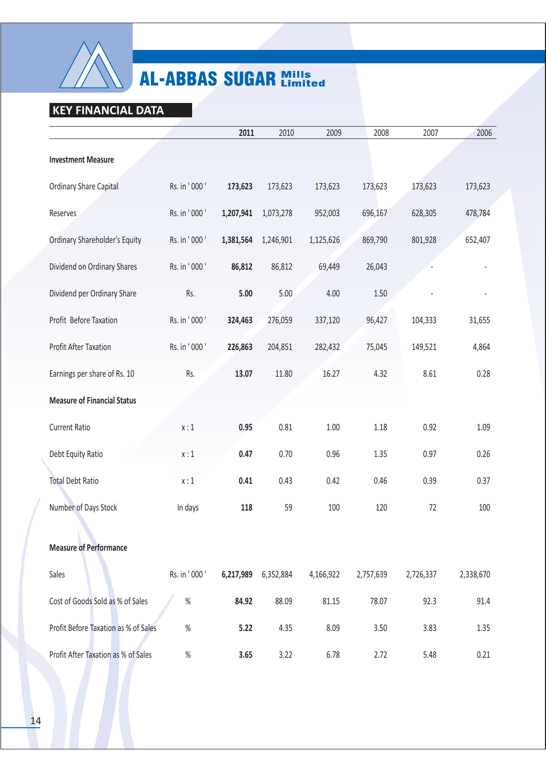

### KEY FINANCIAL DATA

|                                      |              | 2011      | 2010      | 2009      | 2008      | 2007      | 2006      |
|--------------------------------------|--------------|-----------|-----------|-----------|-----------|-----------|-----------|
| <b>Investment Measure</b>            |              |           |           |           |           |           |           |
| <b>Ordinary Share Capital</b>        | Rs. in '000' | 173,623   | 173,623   | 173,623   | 173,623   | 173,623   | 173,623   |
| Reserves                             | Rs. in '000' | 1,207,941 | 1,073,278 | 952,003   | 696,167   | 628,305   | 478,784   |
| Ordinary Shareholder's Equity        | Rs. in '000' | 1,381,564 | 1,246,901 | 1,125,626 | 869,790   | 801,928   | 652,407   |
| Dividend on Ordinary Shares          | Rs. in '000' | 86,812    | 86,812    | 69,449    | 26,043    |           |           |
| Dividend per Ordinary Share          | Rs.          | 5.00      | 5.00      | 4.00      | 1.50      |           |           |
| Profit Before Taxation               | Rs. in '000' | 324,463   | 276,059   | 337,120   | 96,427    | 104,333   | 31,655    |
| <b>Profit After Taxation</b>         | Rs. in '000' | 226,863   | 204,851   | 282,432   | 75,045    | 149,521   | 4,864     |
| Earnings per share of Rs. 10         | Rs.          | 13.07     | 11.80     | 16.27     | 4.32      | 8.61      | 0.28      |
| <b>Measure of Financial Status</b>   |              |           |           |           |           |           |           |
| <b>Current Ratio</b>                 | x:1          | 0.95      | 0.81      | 1.00      | 1.18      | 0.92      | 1.09      |
| Debt Equity Ratio                    | x:1          | 0.47      | 0.70      | 0.96      | 1.35      | 0.97      | 0.26      |
| <b>Total Debt Ratio</b>              | x:1          | 0.41      | 0.43      | 0.42      | 0.46      | 0.39      | 0.37      |
| Number of Days Stock                 | In days      | 118       | 59        | 100       | 120       | 72        | 100       |
| <b>Measure of Performance</b>        |              |           |           |           |           |           |           |
| Sales                                | Rs. in '000' | 6,217,989 | 6,352,884 | 4,166,922 | 2,757,639 | 2,726,337 | 2,338,670 |
| Cost of Goods Sold as % of Sales     | $\%$         | 84.92     | 88.09     | 81.15     | 78.07     | 92.3      | 91.4      |
| Profit Before Taxation as % of Sales | $\%$         | 5.22      | 4.35      | 8.09      | 3.50      | 3.83      | 1.35      |
| Profit After Taxation as % of Sales  | $\%$         | 3.65      | 3.22      | 6.78      | 2.72      | 5.48      | 0.21      |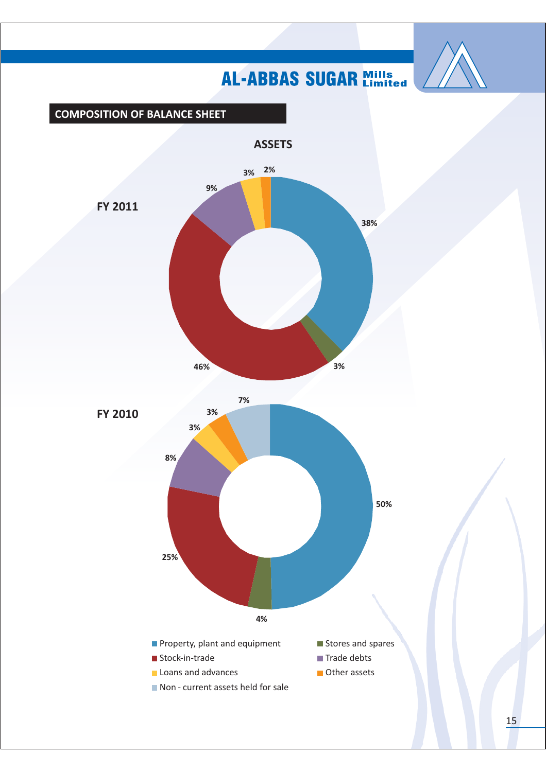

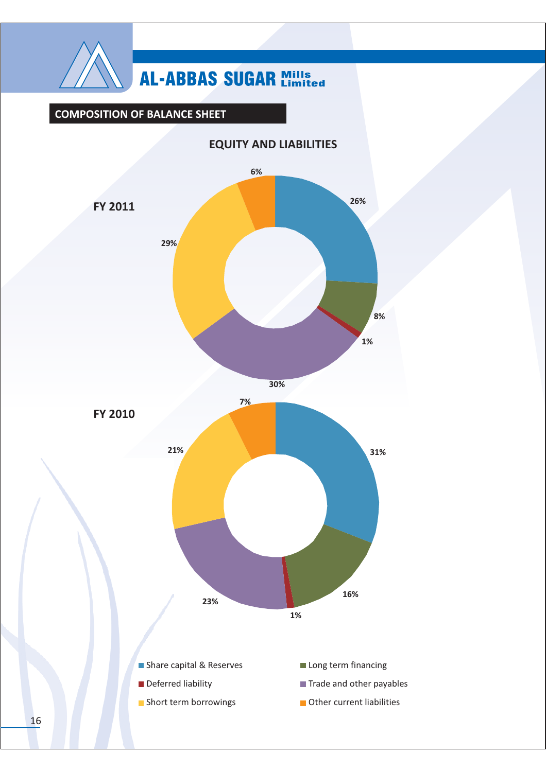

### **COMPOSITION OF BALANCE SHEET**



### **EQUITY AND LIABILITIES**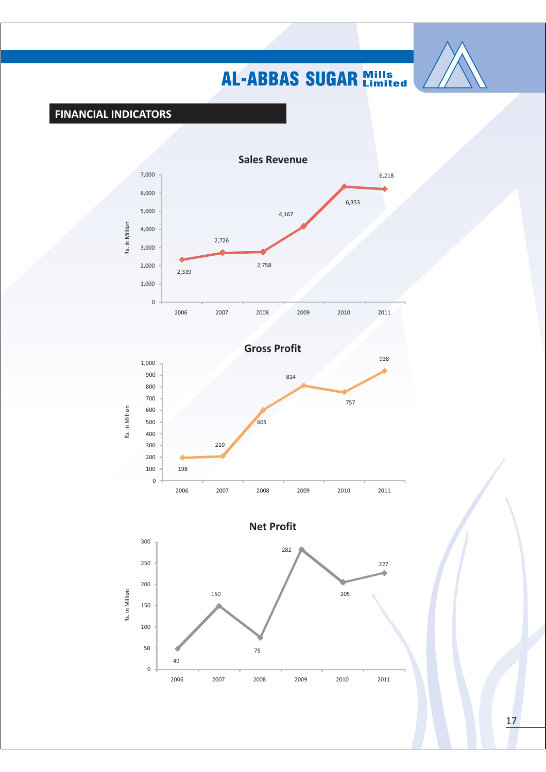

### **FINANCIAL INDICATORS**





**Net Profit** 

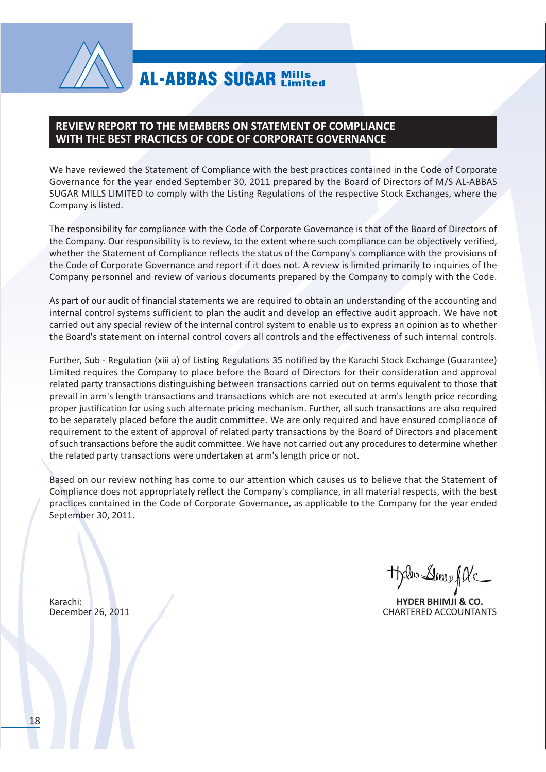

### **REVIEW REPORT TO THE MEMBERS ON STATEMENT OF COMPLIANCE** WITH THE BEST PRACTICES OF CODE OF CORPORATE GOVERNANCE

We have reviewed the Statement of Compliance with the best practices contained in the Code of Corporate Governance for the year ended September 30, 2011 prepared by the Board of Directors of M/S AL-ABBAS SUGAR MILLS LIMITED to comply with the Listing Regulations of the respective Stock Exchanges, where the Company is listed.

The responsibility for compliance with the Code of Corporate Governance is that of the Board of Directors of the Company. Our responsibility is to review, to the extent where such compliance can be objectively verified, whether the Statement of Compliance reflects the status of the Company's compliance with the provisions of the Code of Corporate Governance and report if it does not. A review is limited primarily to inquiries of the Company personnel and review of various documents prepared by the Company to comply with the Code.

As part of our audit of financial statements we are required to obtain an understanding of the accounting and internal control systems sufficient to plan the audit and develop an effective audit approach. We have not carried out any special review of the internal control system to enable us to express an opinion as to whether the Board's statement on internal control covers all controls and the effectiveness of such internal controls.

Further, Sub - Regulation (xiii a) of Listing Regulations 35 notified by the Karachi Stock Exchange (Guarantee) Limited requires the Company to place before the Board of Directors for their consideration and approval related party transactions distinguishing between transactions carried out on terms equivalent to those that prevail in arm's length transactions and transactions which are not executed at arm's length price recording proper justification for using such alternate pricing mechanism. Further, all such transactions are also required to be separately placed before the audit committee. We are only required and have ensured compliance of requirement to the extent of approval of related party transactions by the Board of Directors and placement of such transactions before the audit committee. We have not carried out any procedures to determine whether the related party transactions were undertaken at arm's length price or not.

Based on our review nothing has come to our attention which causes us to believe that the Statement of Compliance does not appropriately reflect the Company's compliance, in all material respects, with the best practices contained in the Code of Corporate Governance, as applicable to the Company for the year ended September 30, 2011.

Theles Dawy file

**HYDER BHIMJI & CO. CHARTERED ACCOUNTANTS** 

Karachi: December 26, 2011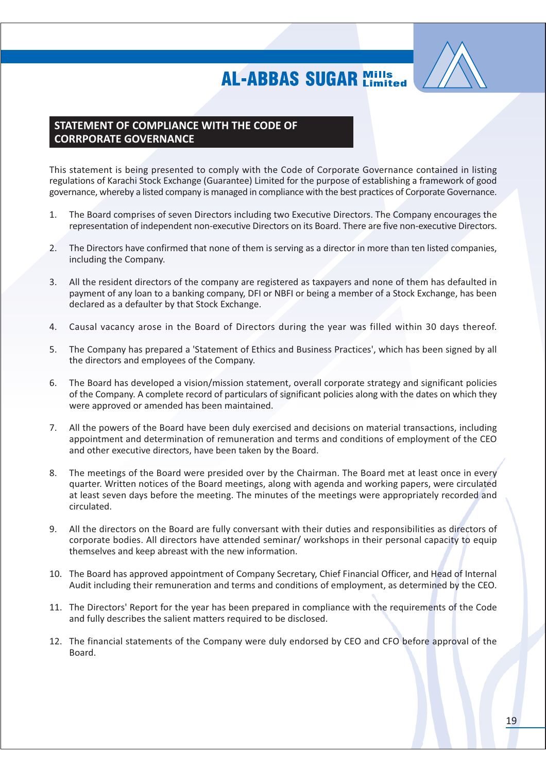

### STATEMENT OF COMPLIANCE WITH THE CODE OF **CORRPORATE GOVERNANCE**

This statement is being presented to comply with the Code of Corporate Governance contained in listing regulations of Karachi Stock Exchange (Guarantee) Limited for the purpose of establishing a framework of good governance, whereby a listed company is managed in compliance with the best practices of Corporate Governance.

- The Board comprises of seven Directors including two Executive Directors. The Company encourages the  $1<sub>1</sub>$ representation of independent non-executive Directors on its Board. There are five non-executive Directors.
- The Directors have confirmed that none of them is serving as a director in more than ten listed companies,  $2.$ including the Company.
- $3.$ All the resident directors of the company are registered as taxpayers and none of them has defaulted in payment of any loan to a banking company, DFI or NBFI or being a member of a Stock Exchange, has been declared as a defaulter by that Stock Exchange.
- Causal vacancy arose in the Board of Directors during the year was filled within 30 days thereof. 4.
- The Company has prepared a 'Statement of Ethics and Business Practices', which has been signed by all  $5<sub>1</sub>$ the directors and employees of the Company.
- The Board has developed a vision/mission statement, overall corporate strategy and significant policies 6. of the Company. A complete record of particulars of significant policies along with the dates on which they were approved or amended has been maintained.
- 7. All the powers of the Board have been duly exercised and decisions on material transactions, including appointment and determination of remuneration and terms and conditions of employment of the CEO and other executive directors, have been taken by the Board.
- The meetings of the Board were presided over by the Chairman. The Board met at least once in every 8. quarter. Written notices of the Board meetings, along with agenda and working papers, were circulated at least seven days before the meeting. The minutes of the meetings were appropriately recorded and circulated.
- $9<sub>1</sub>$ All the directors on the Board are fully conversant with their duties and responsibilities as directors of corporate bodies. All directors have attended seminar/ workshops in their personal capacity to equip themselves and keep abreast with the new information.
- 10. The Board has approved appointment of Company Secretary, Chief Financial Officer, and Head of Internal Audit including their remuneration and terms and conditions of employment, as determined by the CEO.
- 11. The Directors' Report for the year has been prepared in compliance with the requirements of the Code and fully describes the salient matters required to be disclosed.
- 12. The financial statements of the Company were duly endorsed by CEO and CFO before approval of the Board.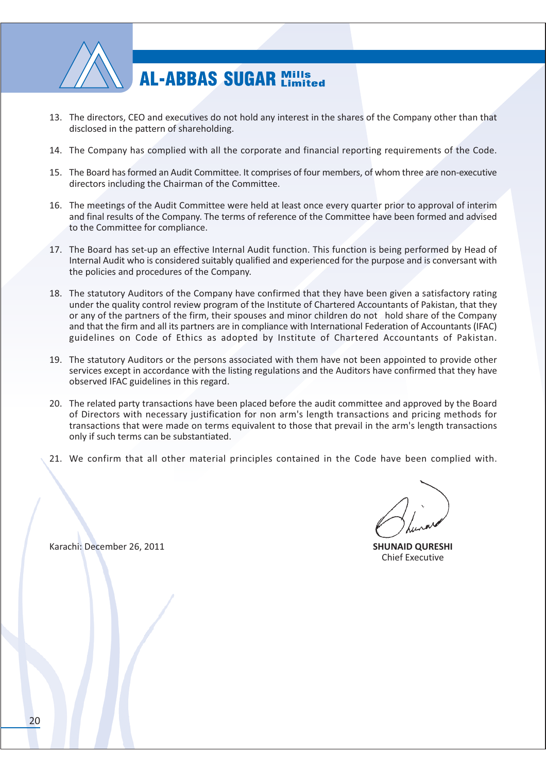

- 13. The directors, CEO and executives do not hold any interest in the shares of the Company other than that disclosed in the pattern of shareholding.
- 14. The Company has complied with all the corporate and financial reporting requirements of the Code.
- 15. The Board has formed an Audit Committee. It comprises of four members, of whom three are non-executive directors including the Chairman of the Committee.
- 16. The meetings of the Audit Committee were held at least once every quarter prior to approval of interim and final results of the Company. The terms of reference of the Committee have been formed and advised to the Committee for compliance.
- 17. The Board has set-up an effective Internal Audit function. This function is being performed by Head of Internal Audit who is considered suitably qualified and experienced for the purpose and is conversant with the policies and procedures of the Company.
- 18. The statutory Auditors of the Company have confirmed that they have been given a satisfactory rating under the quality control review program of the Institute of Chartered Accountants of Pakistan, that they or any of the partners of the firm, their spouses and minor children do not hold share of the Company and that the firm and all its partners are in compliance with International Federation of Accountants (IFAC) guidelines on Code of Ethics as adopted by Institute of Chartered Accountants of Pakistan.
- 19. The statutory Auditors or the persons associated with them have not been appointed to provide other services except in accordance with the listing regulations and the Auditors have confirmed that they have observed IFAC guidelines in this regard.
- 20. The related party transactions have been placed before the audit committee and approved by the Board of Directors with necessary justification for non arm's length transactions and pricing methods for transactions that were made on terms equivalent to those that prevail in the arm's length transactions only if such terms can be substantiated.
- 21. We confirm that all other material principles contained in the Code have been complied with.

**SHUNAID OURESHI Chief Executive** 

Karachi: December 26, 2011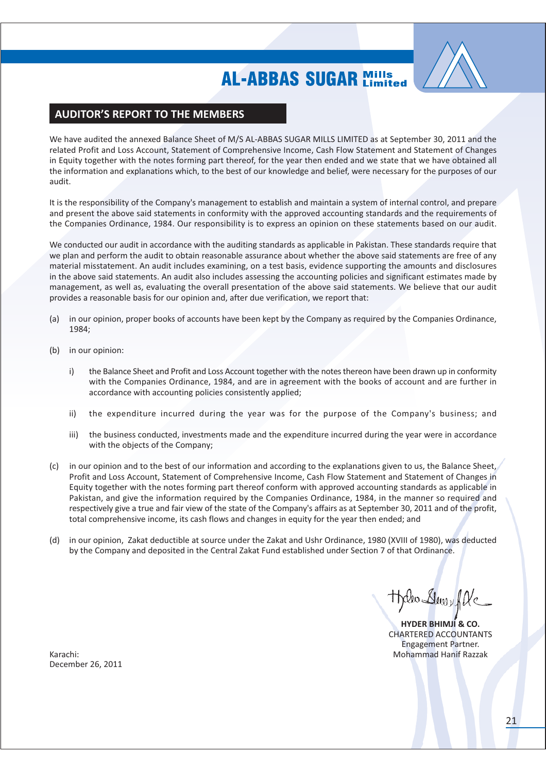

### **AUDITOR'S REPORT TO THE MEMBERS**

We have audited the annexed Balance Sheet of M/S AL-ABBAS SUGAR MILLS LIMITED as at September 30, 2011 and the related Profit and Loss Account, Statement of Comprehensive Income, Cash Flow Statement and Statement of Changes in Equity together with the notes forming part thereof, for the year then ended and we state that we have obtained all the information and explanations which, to the best of our knowledge and belief, were necessary for the purposes of our audit.

It is the responsibility of the Company's management to establish and maintain a system of internal control, and prepare and present the above said statements in conformity with the approved accounting standards and the requirements of the Companies Ordinance, 1984. Our responsibility is to express an opinion on these statements based on our audit.

We conducted our audit in accordance with the auditing standards as applicable in Pakistan. These standards require that we plan and perform the audit to obtain reasonable assurance about whether the above said statements are free of any material misstatement. An audit includes examining, on a test basis, evidence supporting the amounts and disclosures in the above said statements. An audit also includes assessing the accounting policies and significant estimates made by management, as well as, evaluating the overall presentation of the above said statements. We believe that our audit provides a reasonable basis for our opinion and, after due verification, we report that:

- in our opinion, proper books of accounts have been kept by the Company as required by the Companies Ordinance,  $(a)$ 1984:
- in our opinion:  $(h)$ 
	- the Balance Sheet and Profit and Loss Account together with the notes thereon have been drawn up in conformity i) with the Companies Ordinance, 1984, and are in agreement with the books of account and are further in accordance with accounting policies consistently applied;
	- $\mathsf{ii}$ the expenditure incurred during the year was for the purpose of the Company's business; and
	- iii) the business conducted, investments made and the expenditure incurred during the year were in accordance with the objects of the Company;
- (c) in our opinion and to the best of our information and according to the explanations given to us, the Balance Sheet, Profit and Loss Account, Statement of Comprehensive Income, Cash Flow Statement and Statement of Changes in Equity together with the notes forming part thereof conform with approved accounting standards as applicable in Pakistan, and give the information required by the Companies Ordinance, 1984, in the manner so required and respectively give a true and fair view of the state of the Company's affairs as at September 30, 2011 and of the profit, total comprehensive income, its cash flows and changes in equity for the year then ended; and
- (d) in our opinion, Zakat deductible at source under the Zakat and Ushr Ordinance, 1980 (XVIII of 1980), was deducted by the Company and deposited in the Central Zakat Fund established under Section 7 of that Ordinance.

Rev Slewy fle

**HYDER BHIMJI & CO. CHARTERED ACCOUNTANTS** Engagement Partner. **Mohammad Hanif Razzak** 

Karachi: December 26, 2011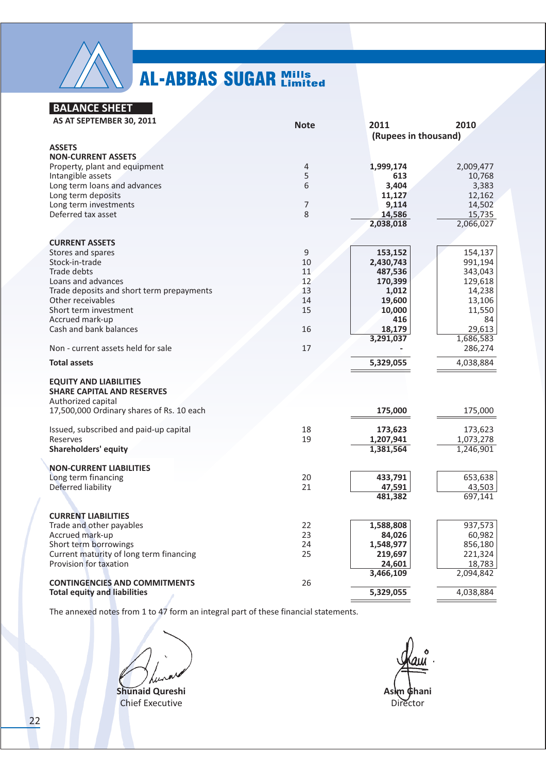

### **BALANCE SHEET**

| AS AT SEPTEMBER 30, 2011                  | <b>Note</b>    | 2011                 | 2010      |
|-------------------------------------------|----------------|----------------------|-----------|
|                                           |                | (Rupees in thousand) |           |
| <b>ASSETS</b>                             |                |                      |           |
| <b>NON-CURRENT ASSETS</b>                 |                |                      |           |
| Property, plant and equipment             | $\overline{4}$ | 1,999,174            | 2,009,477 |
| Intangible assets                         | 5              | 613                  | 10,768    |
| Long term loans and advances              | 6              | 3,404                | 3,383     |
| Long term deposits                        |                | 11,127               | 12,162    |
| Long term investments                     | 7              | 9,114                | 14,502    |
| Deferred tax asset                        | 8              | 14,586               | 15,735    |
|                                           |                | 2,038,018            | 2,066,027 |
|                                           |                |                      |           |
| <b>CURRENT ASSETS</b>                     |                |                      |           |
| Stores and spares                         | 9              | 153,152              | 154,137   |
| Stock-in-trade                            | 10             | 2,430,743            | 991,194   |
| Trade debts                               | 11             | 487,536              | 343,043   |
| Loans and advances                        | 12             | 170,399              | 129,618   |
| Trade deposits and short term prepayments | 13             | 1,012                | 14,238    |
| Other receivables                         | 14             | 19,600               | 13,106    |
| Short term investment                     | 15             | 10,000               | 11,550    |
| Accrued mark-up                           |                | 416                  | 84        |
| Cash and bank balances                    | 16             | 18,179               | 29,613    |
|                                           |                | 3,291,037            | 1,686,583 |
| Non - current assets held for sale        | 17             |                      | 286,274   |
| <b>Total assets</b>                       |                | 5,329,055            | 4,038,884 |
|                                           |                |                      |           |
| <b>EQUITY AND LIABILITIES</b>             |                |                      |           |
| <b>SHARE CAPITAL AND RESERVES</b>         |                |                      |           |
| Authorized capital                        |                |                      |           |
| 17,500,000 Ordinary shares of Rs. 10 each |                | 175,000              | 175,000   |
|                                           |                |                      |           |
| Issued, subscribed and paid-up capital    | 18             | 173,623              | 173,623   |
| Reserves                                  | 19             | 1,207,941            | 1,073,278 |
| <b>Shareholders' equity</b>               |                | 1,381,564            | 1,246,901 |
|                                           |                |                      |           |
| <b>NON-CURRENT LIABILITIES</b>            |                |                      |           |
| Long term financing                       | 20             | 433,791              | 653,638   |
| Deferred liability                        | 21             | 47,591               | 43,503    |
|                                           |                | 481,382              | 697,141   |
|                                           |                |                      |           |
| <b>CURRENT LIABILITIES</b>                |                |                      |           |
| Trade and other payables                  | 22             | 1,588,808            | 937,573   |
| Accrued mark-up                           | 23             | 84,026               | 60,982    |
| Short term borrowings                     | 24             | 1,548,977            | 856,180   |
| Current maturity of long term financing   | 25             | 219,697              | 221,324   |
| Provision for taxation                    |                | 24,601               | 18,783    |
|                                           |                | 3,466,109            | 2,094,842 |
| <b>CONTINGENCIES AND COMMITMENTS</b>      | 26             |                      |           |
| <b>Total equity and liabilities</b>       |                | 5,329,055            | 4,038,884 |

The annexed notes from 1 to 47 form an integral part of these financial statements.

Shunaid Qureshi **Chief Executive** 

Asim Ghani Director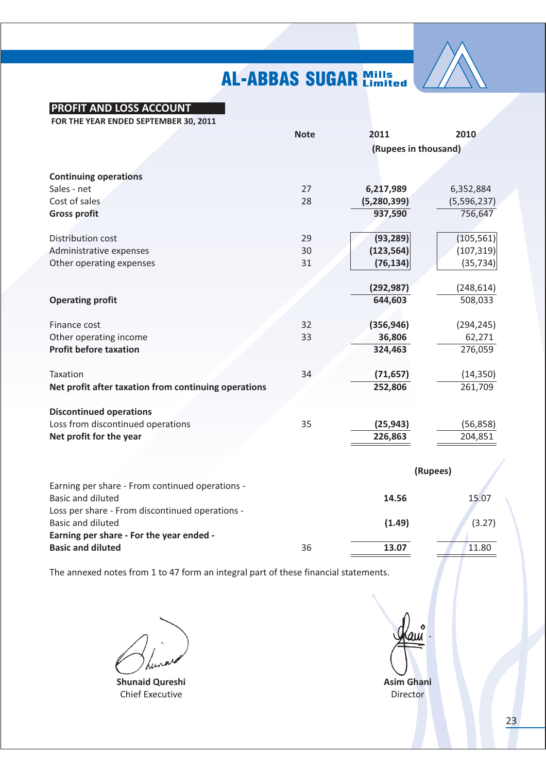

### **PROFIT AND LOSS ACCOUNT**

FOR THE YEAR ENDED SEPTEMBER 30, 2011

|                                                      | 2011<br><b>Note</b> |                      | 2010        |
|------------------------------------------------------|---------------------|----------------------|-------------|
|                                                      |                     | (Rupees in thousand) |             |
|                                                      |                     |                      |             |
| <b>Continuing operations</b>                         |                     |                      |             |
| Sales - net                                          | 27                  | 6,217,989            | 6,352,884   |
| Cost of sales                                        | 28                  | (5, 280, 399)        | (5,596,237) |
| <b>Gross profit</b>                                  |                     | 937,590              | 756,647     |
|                                                      |                     |                      |             |
| Distribution cost                                    | 29                  | (93, 289)            | (105, 561)  |
| Administrative expenses                              | 30                  | (123, 564)           | (107, 319)  |
| Other operating expenses                             | 31                  | (76, 134)            | (35, 734)   |
|                                                      |                     |                      |             |
|                                                      |                     | (292, 987)           | (248, 614)  |
| <b>Operating profit</b>                              |                     | 644,603              | 508,033     |
|                                                      |                     |                      |             |
| Finance cost                                         | 32                  | (356, 946)           | (294, 245)  |
| Other operating income                               | 33                  | 36,806               | 62,271      |
| <b>Profit before taxation</b>                        |                     | 324,463              | 276,059     |
|                                                      |                     |                      |             |
| Taxation                                             | 34                  | (71, 657)            | (14, 350)   |
| Net profit after taxation from continuing operations |                     | 252,806              | 261,709     |
|                                                      |                     |                      |             |
| <b>Discontinued operations</b>                       |                     |                      |             |
| Loss from discontinued operations                    | 35                  | (25, 943)            | (56, 858)   |
| Net profit for the year                              |                     | 226,863              | 204,851     |
|                                                      |                     |                      |             |
|                                                      |                     |                      | (Rupees)    |
| Earning per share - From continued operations -      |                     |                      |             |
| <b>Basic and diluted</b>                             |                     | 14.56                | 15.07       |
| Loss per share - From discontinued operations -      |                     |                      |             |
| <b>Basic and diluted</b>                             |                     | (1.49)               | (3.27)      |
| Earning per share - For the year ended -             |                     |                      |             |
| <b>Basic and diluted</b>                             | 36                  | 13.07                | 11.80       |
|                                                      |                     |                      |             |

The annexed notes from 1 to 47 form an integral part of these financial statements.

**Shunaid Qureshi Chief Executive** 

**Asim Ghani** Director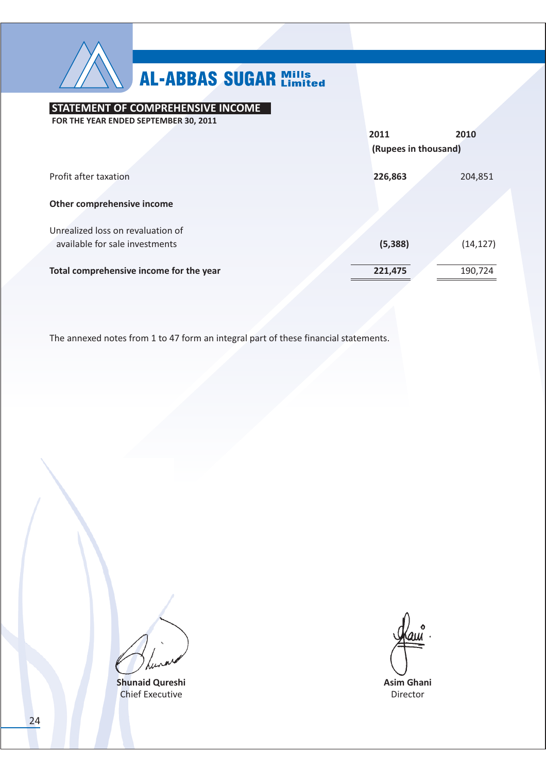

### STATEMENT OF COMPREHENSIVE INCOME

FOR THE YEAR ENDED SEPTEMBER 30, 2011 2011 2010 (Rupees in thousand) Profit after taxation 226,863 204,851 Other comprehensive income Unrealized loss on revaluation of available for sale investments  $(5, 388)$  $(14, 127)$ Total comprehensive income for the year 221,475 190,724

The annexed notes from 1 to 47 form an integral part of these financial statements.

**Shunaid Qureshi Chief Executive** 

**Asim Ghani** 

Director

24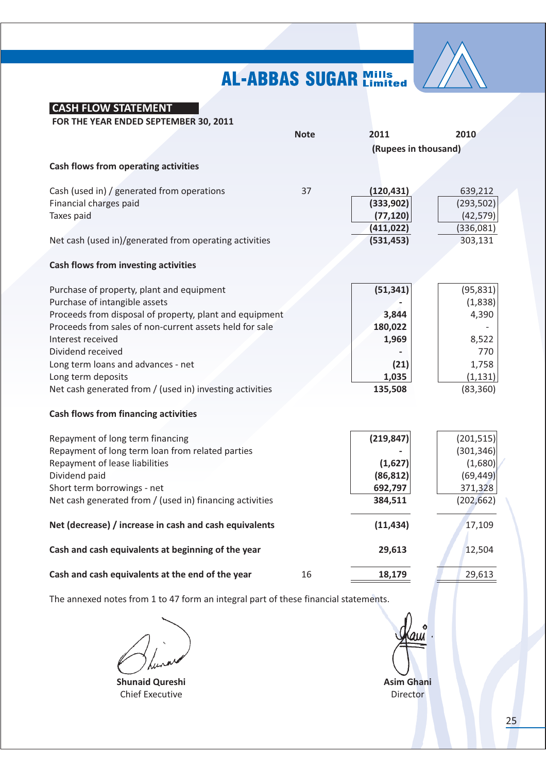

| FOR THE YEAR ENDED SEPTEMBER 30, 2011                    |             |                      |            |
|----------------------------------------------------------|-------------|----------------------|------------|
|                                                          | <b>Note</b> | 2011                 | 2010       |
|                                                          |             | (Rupees in thousand) |            |
| <b>Cash flows from operating activities</b>              |             |                      |            |
|                                                          |             |                      |            |
| Cash (used in) / generated from operations               | 37          | (120, 431)           | 639,212    |
| Financial charges paid                                   |             | (333,902)            | (293, 502) |
| Taxes paid                                               |             | (77, 120)            | (42, 579)  |
|                                                          |             | (411, 022)           | (336,081)  |
| Net cash (used in)/generated from operating activities   |             | (531, 453)           | 303,131    |
| <b>Cash flows from investing activities</b>              |             |                      |            |
|                                                          |             |                      |            |
| Purchase of property, plant and equipment                |             | (51, 341)            | (95, 831)  |
| Purchase of intangible assets                            |             |                      | (1,838)    |
| Proceeds from disposal of property, plant and equipment  |             | 3,844                | 4,390      |
| Proceeds from sales of non-current assets held for sale  |             | 180,022              |            |
| Interest received                                        |             | 1,969                | 8,522      |
| Dividend received                                        |             |                      | 770        |
| Long term loans and advances - net                       |             | (21)                 | 1,758      |
| Long term deposits                                       |             | 1,035                | (1, 131)   |
| Net cash generated from / (used in) investing activities |             | 135,508              | (83, 360)  |
|                                                          |             |                      |            |
| <b>Cash flows from financing activities</b>              |             |                      |            |
| Repayment of long term financing                         |             | (219, 847)           | (201, 515) |
| Repayment of long term loan from related parties         |             |                      | (301, 346) |
| Repayment of lease liabilities                           |             | (1,627)              | (1,680)    |
| Dividend paid                                            |             | (86, 812)            | (69, 449)  |
| Short term borrowings - net                              |             | 692,797              | 371,328    |
| Net cash generated from / (used in) financing activities |             | 384,511              | (202, 662) |
| Net (decrease) / increase in cash and cash equivalents   |             | (11, 434)            | 17,109     |
| Cash and cash equivalents at beginning of the year       |             | 29,613               | 12,504     |
|                                                          |             |                      |            |
| Cash and cash equivalents at the end of the year         | 16          | 18,179               | 29,613     |

The annexed notes from 1 to 47 form an integral part of these financial statements.

**CASH FLOW STATEMENT** 

**Shunaid Qureshi Chief Executive** 

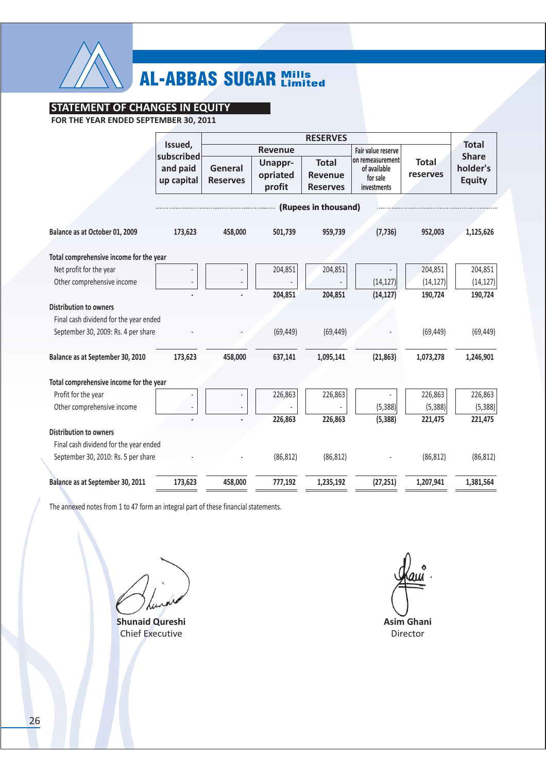

### **STATEMENT OF CHANGES IN EQUITY**

FOR THE YEAR ENDED SEPTEMBER 30, 2011

|                                         | Issued,<br>subscribed  |                            | <b>Revenue</b>                |                                                   | Fair value reserve                                          |                          | <b>Total</b><br><b>Share</b> |
|-----------------------------------------|------------------------|----------------------------|-------------------------------|---------------------------------------------------|-------------------------------------------------------------|--------------------------|------------------------------|
|                                         | and paid<br>up capital | General<br><b>Reserves</b> | Unappr-<br>opriated<br>profit | <b>Total</b><br><b>Revenue</b><br><b>Reserves</b> | on remeasurement<br>of available<br>for sale<br>investments | <b>Total</b><br>reserves | holder's<br><b>Equity</b>    |
|                                         |                        |                            |                               | (Rupees in thousand)                              |                                                             |                          |                              |
|                                         |                        |                            |                               |                                                   |                                                             |                          |                              |
| Balance as at October 01, 2009          | 173,623                | 458,000                    | 501,739                       | 959,739                                           | (7, 736)                                                    | 952,003                  | 1,125,626                    |
| Total comprehensive income for the year |                        |                            |                               |                                                   |                                                             |                          |                              |
| Net profit for the year                 |                        |                            | 204,851                       | 204,851                                           |                                                             | 204,851                  | 204,851                      |
| Other comprehensive income              |                        |                            |                               |                                                   | (14, 127)                                                   | (14, 127)                | (14, 127)                    |
|                                         |                        |                            | 204,851                       | 204,851                                           | (14, 127)                                                   | 190,724                  | 190,724                      |
| <b>Distribution to owners</b>           |                        |                            |                               |                                                   |                                                             |                          |                              |
| Final cash dividend for the year ended  |                        |                            |                               |                                                   |                                                             |                          |                              |
| September 30, 2009: Rs. 4 per share     |                        |                            | (69, 449)                     | (69, 449)                                         |                                                             | (69, 449)                | (69, 449)                    |
| Balance as at September 30, 2010        | 173,623                | 458,000                    | 637,141                       | 1,095,141                                         | (21, 863)                                                   | 1,073,278                | 1,246,901                    |
| Total comprehensive income for the year |                        |                            |                               |                                                   |                                                             |                          |                              |
| Profit for the year                     |                        |                            | 226,863                       | 226,863                                           |                                                             | 226,863                  | 226,863                      |
| Other comprehensive income              |                        |                            |                               |                                                   | (5, 388)                                                    | (5, 388)                 | (5, 388)                     |
|                                         |                        |                            | 226,863                       | 226,863                                           | (5, 388)                                                    | 221,475                  | 221,475                      |
| <b>Distribution to owners</b>           |                        |                            |                               |                                                   |                                                             |                          |                              |
| Final cash dividend for the year ended  |                        |                            |                               |                                                   |                                                             |                          |                              |
| September 30, 2010: Rs. 5 per share     |                        |                            | (86, 812)                     | (86, 812)                                         |                                                             | (86, 812)                | (86, 812)                    |
| Balance as at September 30, 2011        | 173,623                | 458,000                    | 777,192                       | 1,235,192                                         | (27, 251)                                                   | 1,207,941                | 1,381,564                    |

The annexed notes from 1 to 47 form an integral part of these financial statements.

**Shunaid Qureshi Chief Executive** 

Asim Ghani Director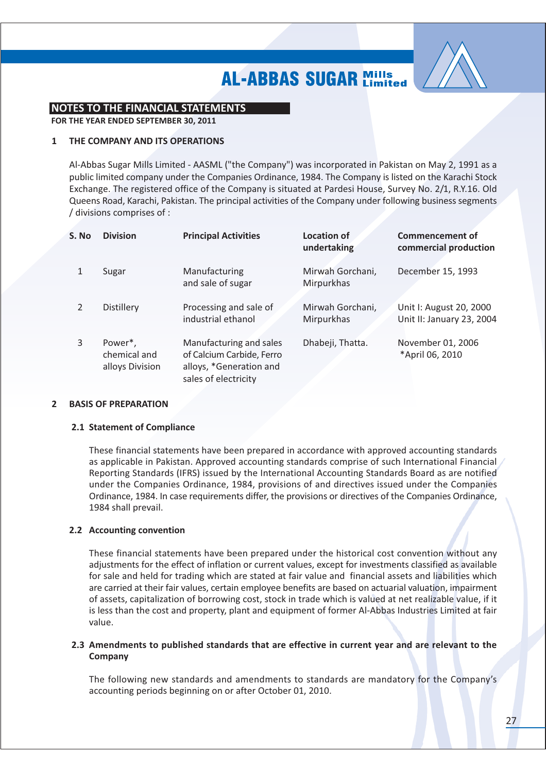

### **NOTES TO THE FINANCIAL STATEMENTS**

FOR THE YEAR ENDED SEPTEMBER 30, 2011

#### THE COMPANY AND ITS OPERATIONS  $\mathbf{1}$

Al-Abbas Sugar Mills Limited - AASML ("the Company") was incorporated in Pakistan on May 2, 1991 as a public limited company under the Companies Ordinance, 1984. The Company is listed on the Karachi Stock Exchange. The registered office of the Company is situated at Pardesi House, Survey No. 2/1, R.Y.16. Old Queens Road, Karachi, Pakistan. The principal activities of the Company under following business segments / divisions comprises of :

| S. No         | <b>Division</b>                            | <b>Principal Activities</b>                                                                             | <b>Location of</b><br>undertaking | <b>Commencement of</b><br>commercial production      |
|---------------|--------------------------------------------|---------------------------------------------------------------------------------------------------------|-----------------------------------|------------------------------------------------------|
|               | Sugar                                      | Manufacturing<br>and sale of sugar                                                                      | Mirwah Gorchani,<br>Mirpurkhas    | December 15, 1993                                    |
| $\mathcal{P}$ | <b>Distillery</b>                          | Processing and sale of<br>industrial ethanol                                                            | Mirwah Gorchani,<br>Mirpurkhas    | Unit I: August 20, 2000<br>Unit II: January 23, 2004 |
| 3             | Power*,<br>chemical and<br>alloys Division | Manufacturing and sales<br>of Calcium Carbide, Ferro<br>alloys, *Generation and<br>sales of electricity | Dhabeji, Thatta.                  | November 01, 2006<br>*April 06, 2010                 |

#### **BASIS OF PREPARATION**  $\overline{2}$

### 2.1 Statement of Compliance

These financial statements have been prepared in accordance with approved accounting standards as applicable in Pakistan. Approved accounting standards comprise of such International Financial Reporting Standards (IFRS) issued by the International Accounting Standards Board as are notified under the Companies Ordinance, 1984, provisions of and directives issued under the Companies Ordinance, 1984. In case requirements differ, the provisions or directives of the Companies Ordinance, 1984 shall prevail.

### 2.2 Accounting convention

These financial statements have been prepared under the historical cost convention without any adjustments for the effect of inflation or current values, except for investments classified as available for sale and held for trading which are stated at fair value and financial assets and liabilities which are carried at their fair values, certain employee benefits are based on actuarial valuation, impairment of assets, capitalization of borrowing cost, stock in trade which is valued at net realizable value, if it is less than the cost and property, plant and equipment of former Al-Abbas Industries Limited at fair value.

### 2.3 Amendments to published standards that are effective in current year and are relevant to the Company

The following new standards and amendments to standards are mandatory for the Company's accounting periods beginning on or after October 01, 2010.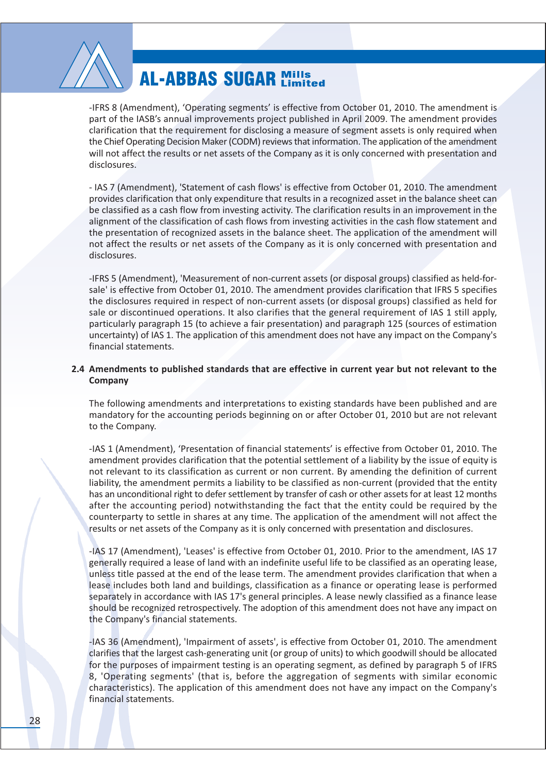

-IFRS 8 (Amendment). 'Operating segments' is effective from October 01, 2010. The amendment is part of the IASB's annual improvements project published in April 2009. The amendment provides clarification that the requirement for disclosing a measure of segment assets is only required when the Chief Operating Decision Maker (CODM) reviews that information. The application of the amendment will not affect the results or net assets of the Company as it is only concerned with presentation and disclosures.

- IAS 7 (Amendment), 'Statement of cash flows' is effective from October 01, 2010. The amendment provides clarification that only expenditure that results in a recognized asset in the balance sheet can be classified as a cash flow from investing activity. The clarification results in an improvement in the alignment of the classification of cash flows from investing activities in the cash flow statement and the presentation of recognized assets in the balance sheet. The application of the amendment will not affect the results or net assets of the Company as it is only concerned with presentation and disclosures.

-IFRS 5 (Amendment), 'Measurement of non-current assets (or disposal groups) classified as held-forsale' is effective from October 01, 2010. The amendment provides clarification that IFRS 5 specifies the disclosures required in respect of non-current assets (or disposal groups) classified as held for sale or discontinued operations. It also clarifies that the general requirement of IAS 1 still apply, particularly paragraph 15 (to achieve a fair presentation) and paragraph 125 (sources of estimation uncertainty) of IAS 1. The application of this amendment does not have any impact on the Company's financial statements.

### 2.4 Amendments to published standards that are effective in current year but not relevant to the Company

The following amendments and interpretations to existing standards have been published and are mandatory for the accounting periods beginning on or after October 01, 2010 but are not relevant to the Company.

-IAS 1 (Amendment), 'Presentation of financial statements' is effective from October 01, 2010. The amendment provides clarification that the potential settlement of a liability by the issue of equity is not relevant to its classification as current or non current. By amending the definition of current liability, the amendment permits a liability to be classified as non-current (provided that the entity has an unconditional right to defer settlement by transfer of cash or other assets for at least 12 months after the accounting period) notwithstanding the fact that the entity could be required by the counterparty to settle in shares at any time. The application of the amendment will not affect the results or net assets of the Company as it is only concerned with presentation and disclosures.

-IAS 17 (Amendment), 'Leases' is effective from October 01, 2010. Prior to the amendment, IAS 17 generally required a lease of land with an indefinite useful life to be classified as an operating lease, unless title passed at the end of the lease term. The amendment provides clarification that when a lease includes both land and buildings, classification as a finance or operating lease is performed separately in accordance with IAS 17's general principles. A lease newly classified as a finance lease should be recognized retrospectively. The adoption of this amendment does not have any impact on the Company's financial statements.

-IAS 36 (Amendment), 'Impairment of assets', is effective from October 01, 2010. The amendment clarifies that the largest cash-generating unit (or group of units) to which goodwill should be allocated for the purposes of impairment testing is an operating segment, as defined by paragraph 5 of IFRS 8, 'Operating segments' (that is, before the aggregation of segments with similar economic characteristics). The application of this amendment does not have any impact on the Company's financial statements.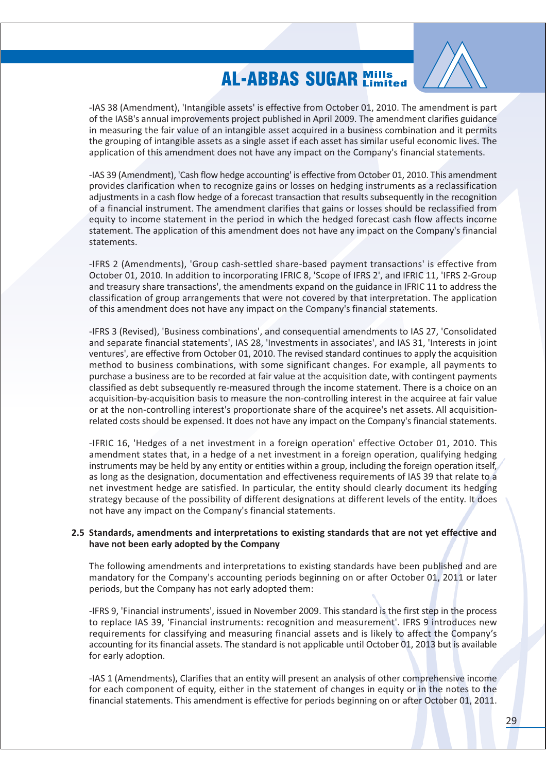

-IAS 38 (Amendment). 'Intangible assets' is effective from October 01, 2010. The amendment is part of the IASB's annual improvements project published in April 2009. The amendment clarifies guidance in measuring the fair value of an intangible asset acquired in a business combination and it permits the grouping of intangible assets as a single asset if each asset has similar useful economic lives. The application of this amendment does not have any impact on the Company's financial statements.

-IAS 39 (Amendment), 'Cash flow hedge accounting' is effective from October 01, 2010. This amendment provides clarification when to recognize gains or losses on hedging instruments as a reclassification adjustments in a cash flow hedge of a forecast transaction that results subsequently in the recognition of a financial instrument. The amendment clarifies that gains or losses should be reclassified from equity to income statement in the period in which the hedged forecast cash flow affects income statement. The application of this amendment does not have any impact on the Company's financial statements.

-IFRS 2 (Amendments), 'Group cash-settled share-based payment transactions' is effective from October 01, 2010. In addition to incorporating IFRIC 8, 'Scope of IFRS 2', and IFRIC 11, 'IFRS 2-Group and treasury share transactions', the amendments expand on the guidance in IFRIC 11 to address the classification of group arrangements that were not covered by that interpretation. The application of this amendment does not have any impact on the Company's financial statements.

-IFRS 3 (Revised), 'Business combinations', and consequential amendments to IAS 27, 'Consolidated and separate financial statements', IAS 28, 'Investments in associates', and IAS 31, 'Interests in joint ventures', are effective from October 01, 2010. The revised standard continues to apply the acquisition method to business combinations, with some significant changes. For example, all payments to purchase a business are to be recorded at fair value at the acquisition date, with contingent payments classified as debt subsequently re-measured through the income statement. There is a choice on an acquisition-by-acquisition basis to measure the non-controlling interest in the acquiree at fair value or at the non-controlling interest's proportionate share of the acquiree's net assets. All acquisitionrelated costs should be expensed. It does not have any impact on the Company's financial statements.

-IFRIC 16, 'Hedges of a net investment in a foreign operation' effective October 01, 2010. This amendment states that, in a hedge of a net investment in a foreign operation, qualifying hedging instruments may be held by any entity or entities within a group, including the foreign operation itself, as long as the designation, documentation and effectiveness requirements of IAS 39 that relate to a net investment hedge are satisfied. In particular, the entity should clearly document its hedging strategy because of the possibility of different designations at different levels of the entity. It does not have any impact on the Company's financial statements.

### 2.5 Standards, amendments and interpretations to existing standards that are not yet effective and have not been early adopted by the Company

The following amendments and interpretations to existing standards have been published and are mandatory for the Company's accounting periods beginning on or after October 01, 2011 or later periods, but the Company has not early adopted them:

-IFRS 9, 'Financial instruments', issued in November 2009. This standard is the first step in the process to replace IAS 39, 'Financial instruments: recognition and measurement'. IFRS 9 introduces new requirements for classifying and measuring financial assets and is likely to affect the Company's accounting for its financial assets. The standard is not applicable until October 01, 2013 but is available for early adoption.

-IAS 1 (Amendments), Clarifies that an entity will present an analysis of other comprehensive income for each component of equity, either in the statement of changes in equity or in the notes to the financial statements. This amendment is effective for periods beginning on or after October 01, 2011.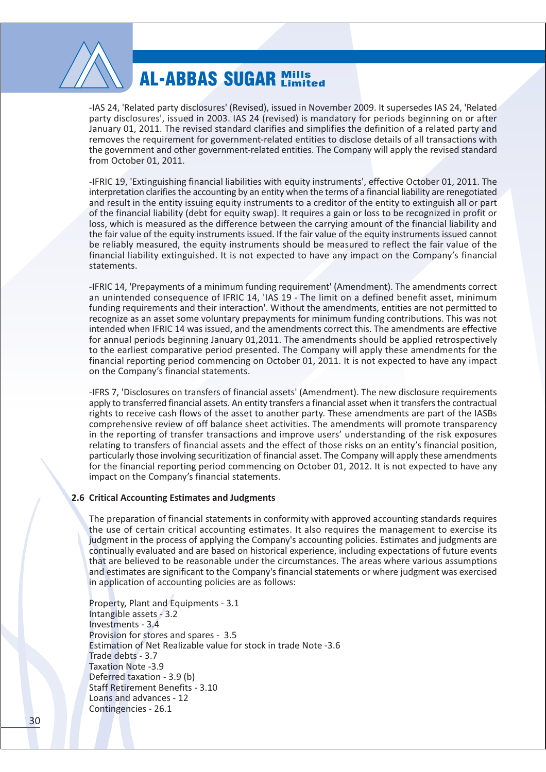

-IAS 24. 'Related party disclosures' (Revised), issued in November 2009, It supersedes IAS 24. 'Related party disclosures', issued in 2003. IAS 24 (revised) is mandatory for periods beginning on or after January 01, 2011. The revised standard clarifies and simplifies the definition of a related party and removes the requirement for government-related entities to disclose details of all transactions with the government and other government-related entities. The Company will apply the revised standard from October 01, 2011.

-IFRIC 19, 'Extinguishing financial liabilities with equity instruments', effective October 01, 2011. The interpretation clarifies the accounting by an entity when the terms of a financial liability are renegotiated and result in the entity issuing equity instruments to a creditor of the entity to extinguish all or part of the financial liability (debt for equity swap). It requires a gain or loss to be recognized in profit or loss, which is measured as the difference between the carrying amount of the financial liability and the fair value of the equity instruments issued. If the fair value of the equity instruments issued cannot be reliably measured, the equity instruments should be measured to reflect the fair value of the financial liability extinguished. It is not expected to have any impact on the Company's financial statements.

-IFRIC 14, 'Prepayments of a minimum funding requirement' (Amendment). The amendments correct an unintended consequence of IFRIC 14, 'IAS 19 - The limit on a defined benefit asset, minimum funding requirements and their interaction'. Without the amendments, entities are not permitted to recognize as an asset some voluntary prepayments for minimum funding contributions. This was not intended when IFRIC 14 was issued, and the amendments correct this. The amendments are effective for annual periods beginning January 01,2011. The amendments should be applied retrospectively to the earliest comparative period presented. The Company will apply these amendments for the financial reporting period commencing on October 01, 2011. It is not expected to have any impact on the Company's financial statements.

-IFRS 7, 'Disclosures on transfers of financial assets' (Amendment). The new disclosure requirements apply to transferred financial assets. An entity transfers a financial asset when it transfers the contractual rights to receive cash flows of the asset to another party. These amendments are part of the IASBs comprehensive review of off balance sheet activities. The amendments will promote transparency in the reporting of transfer transactions and improve users' understanding of the risk exposures relating to transfers of financial assets and the effect of those risks on an entity's financial position, particularly those involving securitization of financial asset. The Company will apply these amendments for the financial reporting period commencing on October 01, 2012. It is not expected to have any impact on the Company's financial statements.

#### 2.6 Critical Accounting Estimates and Judgments

The preparation of financial statements in conformity with approved accounting standards requires the use of certain critical accounting estimates. It also requires the management to exercise its judgment in the process of applying the Company's accounting policies. Estimates and judgments are continually evaluated and are based on historical experience, including expectations of future events that are believed to be reasonable under the circumstances. The areas where various assumptions and estimates are significant to the Company's financial statements or where judgment was exercised in application of accounting policies are as follows:

Property, Plant and Equipments - 3.1 Intangible assets - 3.2 Investments - 3.4 Provision for stores and spares - 3.5 Estimation of Net Realizable value for stock in trade Note -3.6 Trade debts - 3.7 Taxation Note -3.9 Deferred taxation - 3.9 (b) **Staff Retirement Benefits - 3.10** Loans and advances - 12 Contingencies - 26.1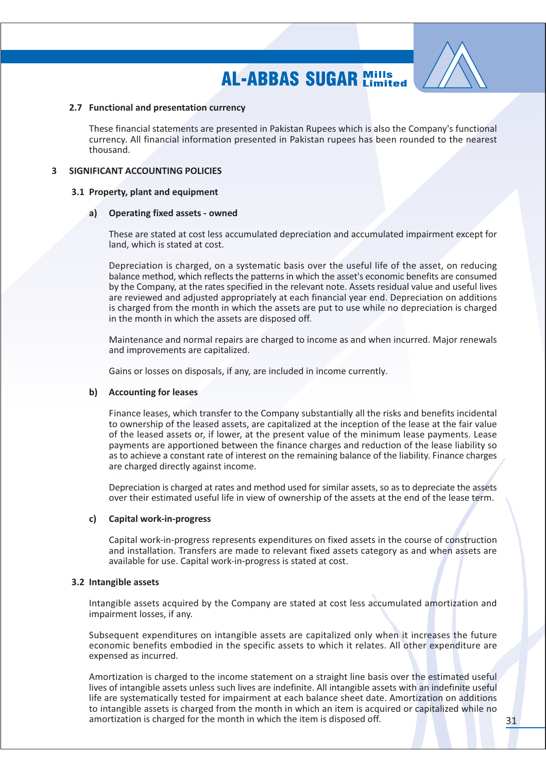

### 2.7 Functional and presentation currency

These financial statements are presented in Pakistan Rupees which is also the Company's functional currency. All financial information presented in Pakistan rupees has been rounded to the nearest thousand.

### **3 SIGNIFICANT ACCOUNTING POLICIES**

### 3.1 Property, plant and equipment

#### **Operating fixed assets - owned** a)

These are stated at cost less accumulated depreciation and accumulated impairment except for land, which is stated at cost.

Depreciation is charged, on a systematic basis over the useful life of the asset, on reducing balance method, which reflects the patterns in which the asset's economic benefits are consumed by the Company, at the rates specified in the relevant note. Assets residual value and useful lives are reviewed and adjusted appropriately at each financial year end. Depreciation on additions is charged from the month in which the assets are put to use while no depreciation is charged in the month in which the assets are disposed off.

Maintenance and normal repairs are charged to income as and when incurred. Major renewals and improvements are capitalized.

Gains or losses on disposals, if any, are included in income currently.

### b) Accounting for leases

Finance leases, which transfer to the Company substantially all the risks and benefits incidental to ownership of the leased assets, are capitalized at the inception of the lease at the fair value of the leased assets or, if lower, at the present value of the minimum lease payments. Lease payments are apportioned between the finance charges and reduction of the lease liability so as to achieve a constant rate of interest on the remaining balance of the liability. Finance charges are charged directly against income.

Depreciation is charged at rates and method used for similar assets, so as to depreciate the assets over their estimated useful life in view of ownership of the assets at the end of the lease term.

### c) Capital work-in-progress

Capital work-in-progress represents expenditures on fixed assets in the course of construction and installation. Transfers are made to relevant fixed assets category as and when assets are available for use. Capital work-in-progress is stated at cost.

### 3.2 Intangible assets

Intangible assets acquired by the Company are stated at cost less accumulated amortization and impairment losses, if any.

Subsequent expenditures on intangible assets are capitalized only when it increases the future economic benefits embodied in the specific assets to which it relates. All other expenditure are expensed as incurred.

Amortization is charged to the income statement on a straight line basis over the estimated useful lives of intangible assets unless such lives are indefinite. All intangible assets with an indefinite useful life are systematically tested for impairment at each balance sheet date. Amortization on additions to intangible assets is charged from the month in which an item is acquired or capitalized while no amortization is charged for the month in which the item is disposed off.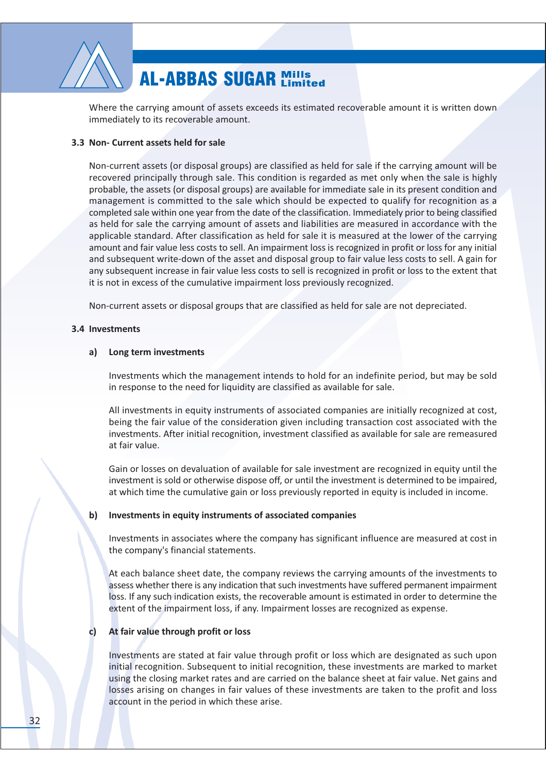

Where the carrying amount of assets exceeds its estimated recoverable amount it is written down immediately to its recoverable amount.

### 3.3 Non- Current assets held for sale

Non-current assets (or disposal groups) are classified as held for sale if the carrying amount will be recovered principally through sale. This condition is regarded as met only when the sale is highly probable, the assets (or disposal groups) are available for immediate sale in its present condition and management is committed to the sale which should be expected to qualify for recognition as a completed sale within one year from the date of the classification. Immediately prior to being classified as held for sale the carrying amount of assets and liabilities are measured in accordance with the applicable standard. After classification as held for sale it is measured at the lower of the carrying amount and fair value less costs to sell. An impairment loss is recognized in profit or loss for any initial and subsequent write-down of the asset and disposal group to fair value less costs to sell. A gain for any subsequent increase in fair value less costs to sell is recognized in profit or loss to the extent that it is not in excess of the cumulative impairment loss previously recognized.

Non-current assets or disposal groups that are classified as held for sale are not depreciated.

### 3.4 Investments

#### Long term investments a)

Investments which the management intends to hold for an indefinite period, but may be sold in response to the need for liquidity are classified as available for sale.

All investments in equity instruments of associated companies are initially recognized at cost, being the fair value of the consideration given including transaction cost associated with the investments. After initial recognition, investment classified as available for sale are remeasured at fair value.

Gain or losses on devaluation of available for sale investment are recognized in equity until the investment is sold or otherwise dispose off, or until the investment is determined to be impaired, at which time the cumulative gain or loss previously reported in equity is included in income.

#### $\mathbf{b}$ Investments in equity instruments of associated companies

Investments in associates where the company has significant influence are measured at cost in the company's financial statements.

At each balance sheet date, the company reviews the carrying amounts of the investments to assess whether there is any indication that such investments have suffered permanent impairment loss. If any such indication exists, the recoverable amount is estimated in order to determine the extent of the impairment loss, if any. Impairment losses are recognized as expense.

#### At fair value through profit or loss c)

Investments are stated at fair value through profit or loss which are designated as such upon initial recognition. Subsequent to initial recognition, these investments are marked to market using the closing market rates and are carried on the balance sheet at fair value. Net gains and losses arising on changes in fair values of these investments are taken to the profit and loss account in the period in which these arise.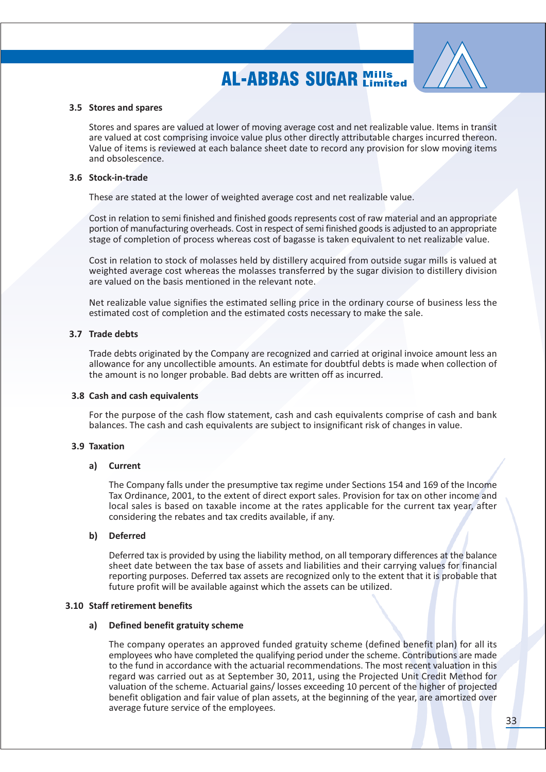

#### 3.5 Stores and spares

Stores and spares are valued at lower of moving average cost and net realizable value. Items in transit are valued at cost comprising invoice value plus other directly attributable charges incurred thereon. Value of items is reviewed at each balance sheet date to record any provision for slow moving items and obsolescence

#### 3.6 Stock-in-trade

These are stated at the lower of weighted average cost and net realizable value.

Cost in relation to semi finished and finished goods represents cost of raw material and an appropriate portion of manufacturing overheads. Cost in respect of semi finished goods is adjusted to an appropriate stage of completion of process whereas cost of bagasse is taken equivalent to net realizable value.

Cost in relation to stock of molasses held by distillery acquired from outside sugar mills is valued at weighted average cost whereas the molasses transferred by the sugar division to distillery division are valued on the basis mentioned in the relevant note.

Net realizable value signifies the estimated selling price in the ordinary course of business less the estimated cost of completion and the estimated costs necessary to make the sale.

#### 3.7 Trade debts

Trade debts originated by the Company are recognized and carried at original invoice amount less an allowance for any uncollectible amounts. An estimate for doubtful debts is made when collection of the amount is no longer probable. Bad debts are written off as incurred.

#### 3.8 Cash and cash equivalents

For the purpose of the cash flow statement, cash and cash equivalents comprise of cash and bank balances. The cash and cash equivalents are subject to insignificant risk of changes in value.

#### 3.9 Taxation

#### a) Current

The Company falls under the presumptive tax regime under Sections 154 and 169 of the Income Tax Ordinance, 2001, to the extent of direct export sales. Provision for tax on other income and local sales is based on taxable income at the rates applicable for the current tax year, after considering the rebates and tax credits available, if any.

#### $\mathbf{b}$ **Deferred**

Deferred tax is provided by using the liability method, on all temporary differences at the balance sheet date between the tax base of assets and liabilities and their carrying values for financial reporting purposes. Deferred tax assets are recognized only to the extent that it is probable that future profit will be available against which the assets can be utilized.

#### 3.10 Staff retirement benefits

#### $a)$ Defined benefit gratuity scheme

The company operates an approved funded gratuity scheme (defined benefit plan) for all its employees who have completed the qualifying period under the scheme. Contributions are made to the fund in accordance with the actuarial recommendations. The most recent valuation in this regard was carried out as at September 30, 2011, using the Projected Unit Credit Method for valuation of the scheme. Actuarial gains/losses exceeding 10 percent of the higher of projected benefit obligation and fair value of plan assets, at the beginning of the year, are amortized over average future service of the employees.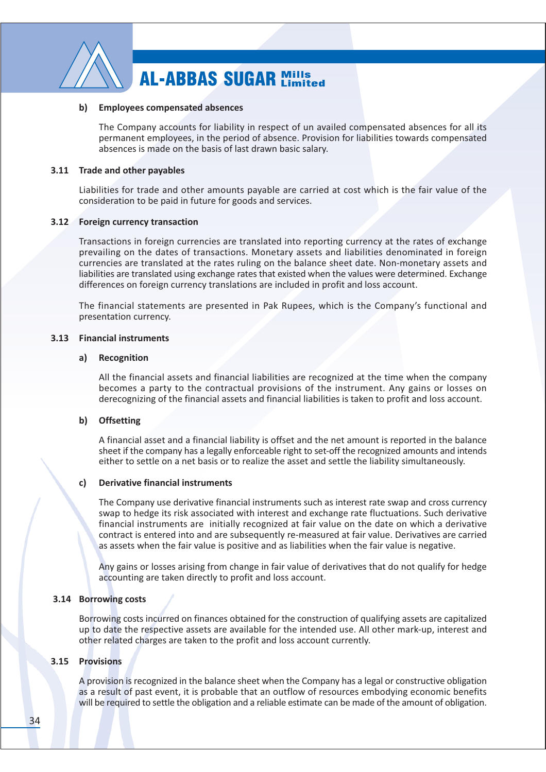

#### b) Employees compensated absences

The Company accounts for liability in respect of un availed compensated absences for all its permanent employees, in the period of absence. Provision for liabilities towards compensated absences is made on the basis of last drawn basic salary.

#### 3.11 Trade and other pavables

Liabilities for trade and other amounts payable are carried at cost which is the fair value of the consideration to be paid in future for goods and services.

### 3.12 Foreign currency transaction

Transactions in foreign currencies are translated into reporting currency at the rates of exchange prevailing on the dates of transactions. Monetary assets and liabilities denominated in foreign currencies are translated at the rates ruling on the balance sheet date. Non-monetary assets and liabilities are translated using exchange rates that existed when the values were determined. Exchange differences on foreign currency translations are included in profit and loss account.

The financial statements are presented in Pak Rupees, which is the Company's functional and presentation currency.

### 3.13 Financial instruments

#### Recognition  $a)$

All the financial assets and financial liabilities are recognized at the time when the company becomes a party to the contractual provisions of the instrument. Any gains or losses on derecognizing of the financial assets and financial liabilities is taken to profit and loss account.

### b) Offsetting

A financial asset and a financial liability is offset and the net amount is reported in the balance sheet if the company has a legally enforceable right to set-off the recognized amounts and intends either to settle on a net basis or to realize the asset and settle the liability simultaneously.

#### **Derivative financial instruments** c)

The Company use derivative financial instruments such as interest rate swap and cross currency swap to hedge its risk associated with interest and exchange rate fluctuations. Such derivative financial instruments are initially recognized at fair value on the date on which a derivative contract is entered into and are subsequently re-measured at fair value. Derivatives are carried as assets when the fair value is positive and as liabilities when the fair value is negative.

Any gains or losses arising from change in fair value of derivatives that do not qualify for hedge accounting are taken directly to profit and loss account.

#### 3.14 Borrowing costs

Borrowing costs incurred on finances obtained for the construction of qualifying assets are capitalized up to date the respective assets are available for the intended use. All other mark-up, interest and other related charges are taken to the profit and loss account currently.

### 3.15 Provisions

A provision is recognized in the balance sheet when the Company has a legal or constructive obligation as a result of past event, it is probable that an outflow of resources embodying economic benefits will be required to settle the obligation and a reliable estimate can be made of the amount of obligation.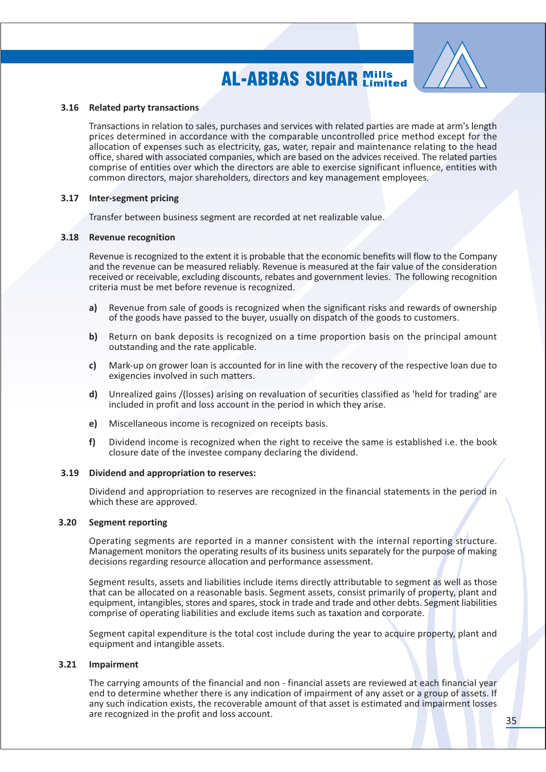

#### 3.16 Related party transactions

Transactions in relation to sales, purchases and services with related parties are made at arm's length prices determined in accordance with the comparable uncontrolled price method except for the allocation of expenses such as electricity, gas, water, repair and maintenance relating to the head office, shared with associated companies, which are based on the advices received. The related parties comprise of entities over which the directors are able to exercise significant influence, entities with common directors, major shareholders, directors and key management employees.

#### 3.17 Inter-segment pricing

Transfer between business segment are recorded at net realizable value.

#### 3.18 Revenue recognition

Revenue is recognized to the extent it is probable that the economic benefits will flow to the Company and the revenue can be measured reliably. Revenue is measured at the fair value of the consideration received or receivable, excluding discounts, rebates and government levies. The following recognition criteria must be met before revenue is recognized.

- Revenue from sale of goods is recognized when the significant risks and rewards of ownership  $a)$ of the goods have passed to the buyer, usually on dispatch of the goods to customers.
- $\mathbf{b}$ Return on bank deposits is recognized on a time proportion basis on the principal amount outstanding and the rate applicable.
- Mark-up on grower loan is accounted for in line with the recovery of the respective loan due to  $c)$ exigencies involved in such matters.
- d) Unrealized gains /(losses) arising on revaluation of securities classified as 'held for trading' are included in profit and loss account in the period in which they arise.
- Miscellaneous income is recognized on receipts basis. e)
- $f$ Dividend income is recognized when the right to receive the same is established i.e. the book closure date of the investee company declaring the dividend.

#### 3.19 Dividend and appropriation to reserves:

Dividend and appropriation to reserves are recognized in the financial statements in the period in which these are approved.

#### $3.20$ **Segment reporting**

Operating segments are reported in a manner consistent with the internal reporting structure. Management monitors the operating results of its business units separately for the purpose of making decisions regarding resource allocation and performance assessment.

Segment results, assets and liabilities include items directly attributable to segment as well as those that can be allocated on a reasonable basis. Segment assets, consist primarily of property, plant and equipment, intangibles, stores and spares, stock in trade and trade and other debts. Segment liabilities comprise of operating liabilities and exclude items such as taxation and corporate.

Segment capital expenditure is the total cost include during the year to acquire property, plant and equipment and intangible assets.

#### $3.21$ Impairment

The carrying amounts of the financial and non - financial assets are reviewed at each financial year end to determine whether there is any indication of impairment of any asset or a group of assets. If any such indication exists, the recoverable amount of that asset is estimated and impairment losses are recognized in the profit and loss account.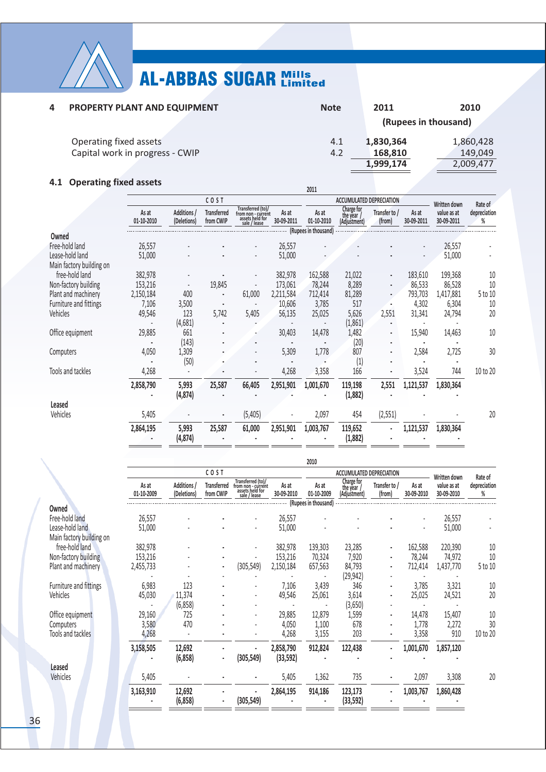

| $\mathbf{a}$ | PROPERTY PLANT AND EQUIPMENT    | <b>Note</b> | 2011      | 2010                 |
|--------------|---------------------------------|-------------|-----------|----------------------|
|              |                                 |             |           | (Rupees in thousand) |
|              | Operating fixed assets          | 4.1         | 1,830,364 | 1,860,428            |
|              | Capital work in progress - CWIP | 4.2         | 168,810   | 149,049              |
|              |                                 |             | 1,999,174 | 2,009,477            |
|              |                                 |             |           |                      |

### 4.1 Operating fixed assets

| 4.1<br>Operating fixed assets               |                     |                            |                                 |                                                                            |                     | 2011                 |                                        |                         |                     |                           |                   |
|---------------------------------------------|---------------------|----------------------------|---------------------------------|----------------------------------------------------------------------------|---------------------|----------------------|----------------------------------------|-------------------------|---------------------|---------------------------|-------------------|
|                                             |                     |                            | COST                            |                                                                            |                     |                      | <b>ACCUMULATED DEPRECIATION</b>        |                         |                     | <b>Written down</b>       | Rate of           |
|                                             | As at<br>01-10-2010 | Additions /<br>(Deletions) | <b>Transferred</b><br>from CWIP | Transferred (to)/<br>from non - current<br>assets held for<br>sale / lease | As at<br>30-09-2011 | As at<br>01-10-2010  | Charge for<br>the year<br>(Adjustment) | Transfer to /<br>(from) | As at<br>30-09-2011 | value as at<br>30-09-2011 | depreciation<br>% |
| Owned                                       |                     |                            |                                 |                                                                            |                     | (Rupees in thousand) |                                        |                         |                     |                           |                   |
| Free-hold land                              | 26,557              |                            |                                 |                                                                            | 26,557              |                      |                                        |                         |                     | 26,557                    |                   |
| Lease-hold land<br>Main factory building on | 51,000              |                            |                                 |                                                                            | 51,000              |                      |                                        |                         |                     | 51,000                    |                   |
| free-hold land                              | 382,978             |                            |                                 |                                                                            | 382,978             | 162,588              | 21,022                                 |                         | 183,610             | 199,368                   | $10\,$            |
| Non-factory building                        | 153,216             |                            | 19,845                          |                                                                            | 173,061             | 78,244               | 8,289                                  |                         | 86,533              | 86,528                    | 10                |
| Plant and machinery                         | 2,150,184           | 400                        |                                 | 61,000                                                                     | 2,211,584           | 712,414              | 81,289                                 |                         | 793,703             | 1,417,881                 | 5 to 10           |
| Furniture and fittings                      | 7,106               | 3,500                      |                                 |                                                                            | 10,606              | 3,785                | 517                                    |                         | 4,302               | 6,304                     | 10                |
| Vehicles                                    | 49,546              | 123                        | 5,742                           | 5,405                                                                      | 56,135              | 25,025               | 5,626                                  | 2,551                   | 31,341              | 24,794                    | 20                |
|                                             |                     | (4,681)                    |                                 |                                                                            |                     |                      | (1, 861)                               |                         |                     |                           |                   |
| Office equipment                            | 29,885              | 661<br>(143)               |                                 |                                                                            | 30,403              | 14,478               | 1,482<br>(20)                          |                         | 15,940              | 14,463                    | 10                |
| Computers                                   | 4,050               | 1,309                      |                                 |                                                                            | 5,309               | 1,778                | 807                                    |                         | 2,584               | 2,725                     | 30                |
|                                             |                     | (50)                       |                                 |                                                                            |                     |                      | (1)                                    |                         |                     |                           |                   |
| Tools and tackles                           | 4,268               |                            |                                 |                                                                            | 4,268               | 3,358                | 166                                    |                         | 3,524               | 744                       | 10 to 20          |
|                                             | 2,858,790           | 5,993<br>(4, 874)          | 25,587                          | 66,405                                                                     | 2,951,901           | 1,001,670            | 119,198<br>(1,882)                     | 2,551                   | 1,121,537           | 1,830,364                 |                   |
| Leased                                      |                     |                            |                                 |                                                                            |                     |                      |                                        |                         |                     |                           |                   |
| Vehicles                                    | 5,405               |                            |                                 | (5, 405)                                                                   |                     | 2,097                | 454                                    | (2, 551)                |                     |                           | 20                |
|                                             | 2,864,195           | 5,993<br>(4, 874)          | 25,587                          | 61,000                                                                     | 2,951,901           | 1,003,767            | 119,652<br>(1,882)                     |                         | 1,121,537           | 1,830,364                 |                   |
|                                             |                     |                            |                                 |                                                                            |                     |                      |                                        |                         |                     |                           |                   |

|                                             |                     |                            |                                         |                                                                            |                     | 2010                 |                                        |                         |                     |                           |                   |
|---------------------------------------------|---------------------|----------------------------|-----------------------------------------|----------------------------------------------------------------------------|---------------------|----------------------|----------------------------------------|-------------------------|---------------------|---------------------------|-------------------|
|                                             |                     |                            | COST<br><b>ACCUMULATED DEPRECIATION</b> |                                                                            |                     |                      |                                        | <b>Written down</b>     | Rate of             |                           |                   |
|                                             | As at<br>01-10-2009 | Additions /<br>(Deletions) | <b>Transferred</b><br>from CWIP         | Transferred (to)/<br>from non - current<br>assets held for<br>sale / lease | As at<br>30-09-2010 | As at<br>01-10-2009  | Charge for<br>the vear<br>(Adjustment) | Transfer to /<br>(from) | As at<br>30-09-2010 | value as at<br>30-09-2010 | depreciation<br>% |
| Owned                                       |                     |                            |                                         |                                                                            |                     | (Rupees in thousand) |                                        |                         |                     |                           |                   |
| Free-hold land                              | 26,557              |                            |                                         |                                                                            | 26,557              |                      |                                        |                         |                     | 26,557                    |                   |
| Lease-hold land<br>Main factory building on | 51,000              |                            |                                         |                                                                            | 51,000              |                      |                                        |                         |                     | 51,000                    |                   |
| free-hold land                              | 382,978             |                            |                                         |                                                                            | 382,978             | 139,303              | 23,285                                 |                         | 162,588             | 220,390                   | 10                |
| Non-factory building                        | 153,216             |                            |                                         |                                                                            | 153,216             | 70,324               | 7,920                                  |                         | 78,244              | 74,972                    | 10                |
| Plant and machinery                         | 2,455,733           |                            | ٠                                       | (305, 549)                                                                 | 2,150,184           | 657,563              | 84,793                                 |                         | 712,414             | 1,437,770                 | 5 to 10           |
|                                             |                     |                            |                                         |                                                                            |                     | $\blacksquare$       | (29, 942)                              |                         |                     |                           |                   |
| Furniture and fittings                      | 6,983               | 123                        |                                         |                                                                            | 7,106               | 3,439                | 346                                    | $\blacksquare$          | 3,785               | 3,321                     | 10                |
| Vehicles                                    | 45,030              | 11,374                     |                                         |                                                                            | 49,546              | 25,061               | 3,614                                  | ٠                       | 25,025              | 24,521                    | 20                |
|                                             |                     | (6,858)                    |                                         |                                                                            |                     |                      | (3,650)                                |                         |                     |                           |                   |
| Office equipment                            | 29,160              | 725                        |                                         |                                                                            | 29,885              | 12,879               | 1,599                                  |                         | 14,478              | 15,407                    | 10                |
| Computers                                   | 3,580               | 470                        |                                         |                                                                            | 4,050               | 1,100                | 678                                    |                         | 1,778               | 2,272                     | 30                |
| Tools and tackles                           | 4,268               |                            |                                         |                                                                            | 4,268               | 3,155                | 203                                    |                         | 3,358               | 910                       | 10 to 20          |
|                                             | 3,158,505           | 12,692                     |                                         |                                                                            | 2,858,790           | 912,824              | 122,438                                | $\blacksquare$          | 1,001,670           | 1,857,120                 |                   |
|                                             |                     | (6,858)                    | $\blacksquare$                          | (305, 549)                                                                 | (33, 592)           |                      |                                        |                         |                     |                           |                   |
| <b>Leased</b>                               |                     |                            |                                         |                                                                            |                     |                      |                                        |                         |                     |                           |                   |
| Vehicles                                    | 5,405               |                            |                                         |                                                                            | 5,405               | 1,362                | 735                                    |                         | 2,097               | 3,308                     | 20                |
|                                             | 3,163,910           | 12,692<br>(6.858)          |                                         | (305.549)                                                                  | 2,864,195           | 914,186              | 123,173<br>(33.592)                    | ٠                       | 1,003,767           | 1,860,428                 |                   |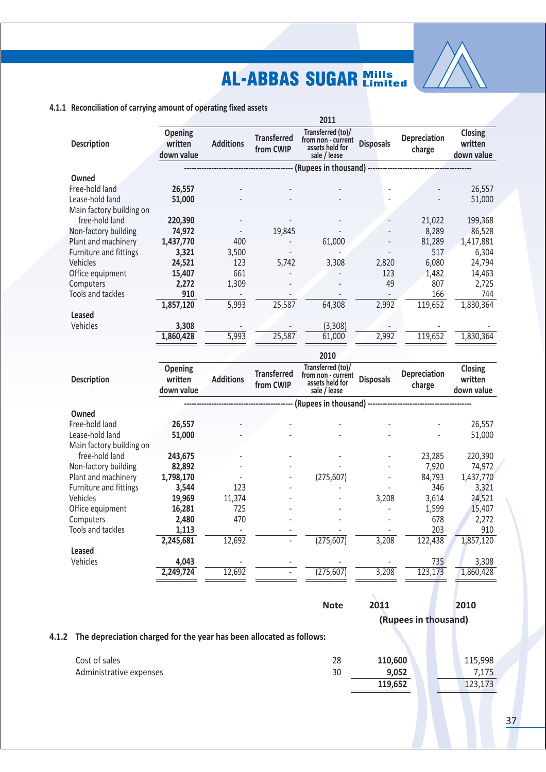

|                          |                                         |                  |                                 | 2011                                                                       |                  |                        |                                         |
|--------------------------|-----------------------------------------|------------------|---------------------------------|----------------------------------------------------------------------------|------------------|------------------------|-----------------------------------------|
| <b>Description</b>       | <b>Opening</b><br>written<br>down value | <b>Additions</b> | <b>Transferred</b><br>from CWIP | Transferred (to)/<br>from non - current<br>assets held for<br>sale / lease | <b>Disposals</b> | Depreciation<br>charge | <b>Closing</b><br>written<br>down value |
|                          |                                         |                  |                                 | (Rupees in thousand) -------------------                                   |                  |                        |                                         |
| Owned                    |                                         |                  |                                 |                                                                            |                  |                        |                                         |
| Free-hold land           | 26,557                                  |                  |                                 |                                                                            |                  |                        | 26,557                                  |
| Lease-hold land          | 51,000                                  |                  |                                 |                                                                            |                  |                        | 51,000                                  |
| Main factory building on |                                         |                  |                                 |                                                                            |                  |                        |                                         |
| free-hold land           | 220,390                                 |                  |                                 |                                                                            |                  | 21,022                 | 199,368                                 |
| Non-factory building     | 74,972                                  |                  | 19,845                          |                                                                            |                  | 8,289                  | 86,528                                  |
| Plant and machinery      | 1,437,770                               | 400              |                                 | 61,000                                                                     |                  | 81,289                 | 1,417,881                               |
| Furniture and fittings   | 3,321                                   | 3,500            |                                 |                                                                            |                  | 517                    | 6,304                                   |
| Vehicles                 | 24,521                                  | 123              | 5,742                           | 3,308                                                                      | 2,820            | 6,080                  | 24,794                                  |
| Office equipment         | 15,407                                  | 661              |                                 |                                                                            | 123              | 1,482                  | 14,463                                  |
| Computers                | 2,272                                   | 1,309            |                                 |                                                                            | 49               | 807                    | 2,725                                   |
| Tools and tackles        | 910                                     |                  |                                 |                                                                            |                  | 166                    | 744                                     |
|                          | 1,857,120                               | 5,993            | 25,587                          | 64,308                                                                     | 2,992            | 119,652                | 1,830,364                               |
| Leased                   |                                         |                  |                                 |                                                                            |                  |                        |                                         |
| Vehicles                 | 3,308                                   |                  |                                 | (3, 308)                                                                   |                  |                        |                                         |
|                          | 1,860,428                               | 5,993            | 25,587                          | 61,000                                                                     | 2,992            | 119,652                | 1,830,364                               |
|                          |                                         |                  |                                 | 2010                                                                       |                  |                        |                                         |

| <b>Description</b>       | <b>Opening</b><br>written<br>down value | <b>Additions</b> | <b>Transferred</b><br>from CWIP | Transferred (to)/<br>from non - current<br>assets held for<br>sale / lease | <b>Disposals</b> | <b>Depreciation</b><br>charge | Closing<br>written<br>down value |
|--------------------------|-----------------------------------------|------------------|---------------------------------|----------------------------------------------------------------------------|------------------|-------------------------------|----------------------------------|
|                          |                                         |                  |                                 |                                                                            |                  |                               |                                  |
| Owned                    |                                         |                  |                                 |                                                                            |                  |                               |                                  |
| Free-hold land           | 26,557                                  |                  |                                 |                                                                            |                  |                               | 26,557                           |
| Lease-hold land          | 51,000                                  |                  |                                 |                                                                            |                  |                               | 51,000                           |
| Main factory building on |                                         |                  |                                 |                                                                            |                  |                               |                                  |
| free-hold land           | 243,675                                 |                  |                                 |                                                                            |                  | 23,285                        | 220,390                          |
| Non-factory building     | 82,892                                  |                  |                                 |                                                                            |                  | 7,920                         | 74,972                           |
| Plant and machinery      | 1,798,170                               |                  |                                 | (275, 607)                                                                 |                  | 84,793                        | 1,437,770                        |
| Furniture and fittings   | 3,544                                   | 123              |                                 |                                                                            |                  | 346                           | 3,321                            |
| Vehicles                 | 19,969                                  | 11,374           |                                 |                                                                            | 3,208            | 3,614                         | 24,521                           |
| Office equipment         | 16,281                                  | 725              |                                 |                                                                            |                  | 1,599                         | 15,407                           |
| Computers                | 2,480                                   | 470              |                                 |                                                                            |                  | 678                           | 2,272                            |
| Tools and tackles        | 1,113                                   |                  |                                 |                                                                            |                  | 203                           | 910                              |
|                          | 2,245,681                               | 12,692           |                                 | (275, 607)                                                                 | 3,208            | 122,438                       | 1,857,120                        |
| Leased                   |                                         |                  |                                 |                                                                            |                  |                               |                                  |
| Vehicles                 | 4,043                                   |                  |                                 |                                                                            |                  | 735                           | 3,308                            |
|                          | 2,249,724                               | 12,692           |                                 | (275, 607)                                                                 | 3,208            | 123,173                       | 1,860,428                        |
|                          |                                         |                  |                                 |                                                                            |                  |                               |                                  |

| <b>Note</b> | 2011                 | 201 |
|-------------|----------------------|-----|
|             | (Rupees in thousand) |     |

### 4.1.2 The depreciation charged for the year has been allocated as follows:

| Cost of sales           | 28 | 110,600 | 115,998 |
|-------------------------|----|---------|---------|
| Administrative expenses | 30 | 9.052   | 7.175   |
|                         |    | 119.652 | 123,173 |

2010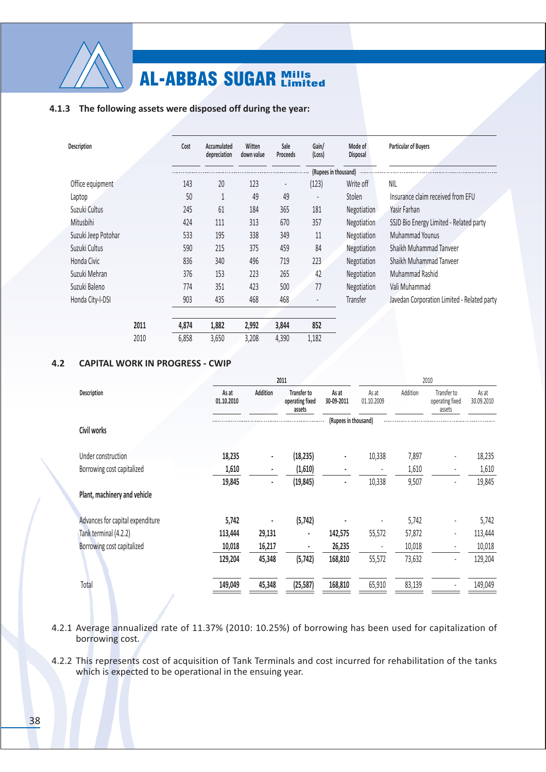

| 63                         | 332          |        |              | ă<br>3 | \$9<br><b>TO</b> | n | 3<br>8                                                            |
|----------------------------|--------------|--------|--------------|--------|------------------|---|-------------------------------------------------------------------|
|                            |              |        |              |        |                  |   |                                                                   |
| $%$ #'                     |              |        |              |        |                  |   | 234                                                               |
| 4#                         |              |        | $\mathbf{r}$ |        |                  |   | $\Pi = \Pi = \Pi$ , $\Box = \Pi$<br>$67*$<br>$\frac{1}{2}$        |
| 8<br>b.                    |              |        |              |        |                  |   |                                                                   |
|                            |              |        |              |        |                  |   | 55<16<br>#<br>)4'<br>$\rightarrow$ $\equiv$                       |
| $\&\; ;\;$ #><br>5         |              |        |              |        |                  |   | $\mathbf{I}$<br>9                                                 |
| $\mathfrak{D}$             |              |        |              |        |                  |   | $\mathbf{1}$<br>& :<br>h.                                         |
| - 11<br>8                  |              |        | $\prime$     |        |                  |   | $\mathbf{1}$<br>& :                                               |
|                            |              |        |              |        |                  |   | $\mathbf{I}$<br>Ξ                                                 |
|                            |              |        |              |        |                  |   | $\mathbf{1}$<br>$^{\copyright}$<br>$\blacksquare$<br>$\mathbf{r}$ |
| $\gamma$<br>8 <sup>1</sup> | $\mathbf{I}$ |        |              |        | $\sim$           |   | 8#<br>#<br>$\sim$<br>$\sim$ $\pm$                                 |
|                            | $+4$         | $+***$ | +11          | , *    | $\star$          |   |                                                                   |
|                            |              |        |              |        |                  |   |                                                                   |

 $!" # !$ \$!%&&'

|                                                                                                                             |                                              | $\mathbb{0}$                              |                                               |                                           |                                            |                     |                                            |                |
|-----------------------------------------------------------------------------------------------------------------------------|----------------------------------------------|-------------------------------------------|-----------------------------------------------|-------------------------------------------|--------------------------------------------|---------------------|--------------------------------------------|----------------|
| 63                                                                                                                          | 0 0 00                                       |                                           | $5\phantom{.0}$                               | $0'01'$ 0                                 | $\overline{1}$                             |                     | S<br>$\#$<br>ŢŢ.                           |                |
|                                                                                                                             |                                              |                                           |                                               |                                           |                                            |                     |                                            |                |
| $\,$ II<br>$\mathbf{H}$<br>$^\star$<br>$"$ ! $"$ #<br>$+23$<br>(3)                                                          | $^*$ +,<br>$+ / \, 0$<br>$1+$ *,             | $\sim 1$<br>$\mathcal{F}_{\mathcal{F}}$ . | $ +$ ,.<br>$-+/0.$<br>$\overline{\cdot 1+^*}$ | $\sim 1$<br>$\langle \hat{f} \rangle$     | $+$<br>$\overline{\phantom{a}}$<br>$\pm$ . | $+$ ,<br>$, +$      | $\blacksquare$<br>$\overline{\phantom{a}}$ | $+$ /<br>$, +$ |
| $\overline{+}$<br>$(\#$<br>$^{\rm H}$ $\parallel$<br>\$8<br>- 11<br>$\frac{1}{2}$ $\frac{1}{2}$ $\frac{1}{2}$ $\frac{1}{2}$ | $, +4$<br>$+$<br>$0+0$ $^{\star}$<br>$1 + 0$ | $1+$<br>$/+4$<br>$,+$ $*$                 | $-1.4$ .<br><b>Controller</b><br>$-1.14$ .    | $+, 4,$<br>$/$ + $\frac{1}{1}$<br>$/*+*0$ | $+$<br>$+$                                 | $\ddagger$<br>$+$ / | $\overline{\phantom{a}}$                   | $, +$          |
|                                                                                                                             | $1 + 01$                                     |                                           | $, +$ $*$ $ , +, *4$ .                        | $/*+*0$                                   | $/$ +                                      | $+$                 |                                            |                |
| $\mathbf{H}_{\mathrm{c}}$                                                                                                   |                                              |                                           |                                               |                                           | Ţ                                          | Ţ                   | $\overline{u}$ #                           |                |

 $&!$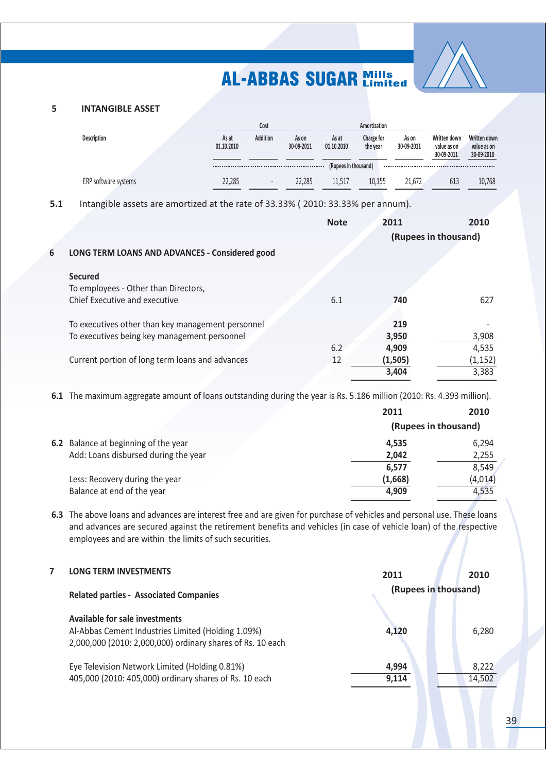

#### 5 **INTANGIBLE ASSET**

6

|                      |                     | Cost                     |                     |                      | Amortization           |                     |                                           |                                           |
|----------------------|---------------------|--------------------------|---------------------|----------------------|------------------------|---------------------|-------------------------------------------|-------------------------------------------|
| <b>Description</b>   | As at<br>01.10.2010 | Addition                 | As on<br>30-09-2011 | As at<br>01.10.2010  | Charge for<br>the year | As on<br>30-09-2011 | Written down<br>value as on<br>30-09-2011 | Written down<br>value as on<br>30-09-2010 |
|                      |                     |                          |                     | (Rupees in thousand) |                        |                     |                                           |                                           |
| ERP software systems | 22.285              | $\overline{\phantom{a}}$ | 22.285              | 11 511               | 10.155                 | 21.672              | 613                                       | 10,768                                    |

 $5.1$ Intangible assets are amortized at the rate of 33.33% (2010: 33.33% per annum).

|                                                   | <b>Note</b> | 2011                 | 2010     |
|---------------------------------------------------|-------------|----------------------|----------|
|                                                   |             | (Rupees in thousand) |          |
| LONG TERM LOANS AND ADVANCES - Considered good    |             |                      |          |
| <b>Secured</b>                                    |             |                      |          |
| To employees - Other than Directors,              |             |                      |          |
| Chief Executive and executive                     | 6.1         | 740                  | 627      |
|                                                   |             |                      |          |
| To executives other than key management personnel |             | 219                  |          |
| To executives being key management personnel      |             | 3,950                | 3,908    |
|                                                   | 6.2         | 4,909                | 4,535    |
| Current portion of long term loans and advances   | 12          | (1, 505)             | (1, 152) |
|                                                   |             | 3.404                | 3,383    |

6.1 The maximum aggregate amount of loans outstanding during the year is Rs. 5.186 million (2010: Rs. 4.393 million).

|                                      | 2011                 | 2010     |  |
|--------------------------------------|----------------------|----------|--|
|                                      | (Rupees in thousand) |          |  |
| 6.2 Balance at beginning of the year | 4,535                | 6,294    |  |
| Add: Loans disbursed during the year | 2,042                | 2,255    |  |
|                                      | 6,577                | 8,549    |  |
| Less: Recovery during the year       | (1,668)              | (4, 014) |  |
| Balance at end of the year           | 4,909                | 4,535    |  |
|                                      |                      |          |  |

6.3 The above loans and advances are interest free and are given for purchase of vehicles and personal use. These loans and advances are secured against the retirement benefits and vehicles (in case of vehicle loan) of the respective employees and are within the limits of such securities.

| <b>LONG TERM INVESTMENTS</b>                                                                                                                       | 2011                 | 2010            |
|----------------------------------------------------------------------------------------------------------------------------------------------------|----------------------|-----------------|
| <b>Related parties - Associated Companies</b>                                                                                                      | (Rupees in thousand) |                 |
| Available for sale investments<br>Al-Abbas Cement Industries Limited (Holding 1.09%)<br>2,000,000 (2010: 2,000,000) ordinary shares of Rs. 10 each | 4,120                | 6,280           |
| Eye Television Network Limited (Holding 0.81%)<br>405,000 (2010: 405,000) ordinary shares of Rs. 10 each                                           | 4,994<br>9.114       | 8,222<br>14,502 |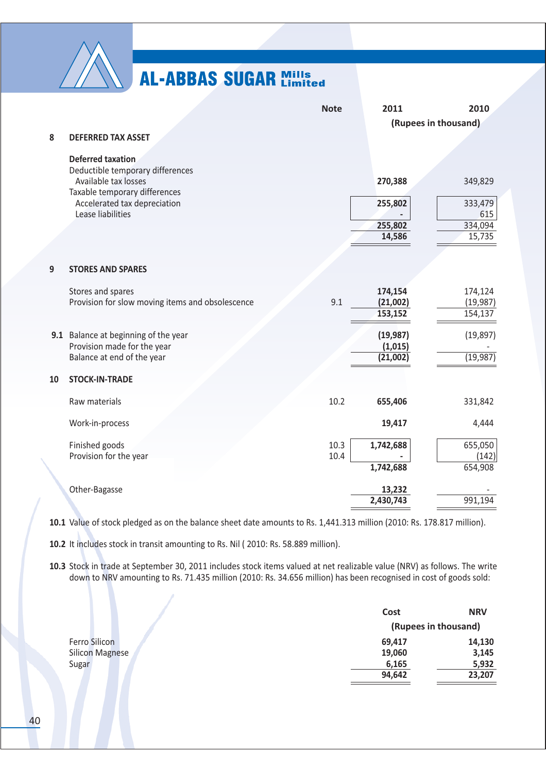

|    |                                                                                                   | <b>Note</b>  | 2011                             | 2010                            |
|----|---------------------------------------------------------------------------------------------------|--------------|----------------------------------|---------------------------------|
|    |                                                                                                   |              |                                  | (Rupees in thousand)            |
| 8  | <b>DEFERRED TAX ASSET</b>                                                                         |              |                                  |                                 |
|    | <b>Deferred taxation</b><br>Deductible temporary differences<br>Available tax losses              |              | 270,388                          | 349,829                         |
|    | Taxable temporary differences<br>Accelerated tax depreciation<br>Lease liabilities                |              | 255,802                          | 333,479<br>615                  |
|    |                                                                                                   |              | 255,802<br>14,586                | 334,094<br>15,735               |
| 9  | <b>STORES AND SPARES</b>                                                                          |              |                                  |                                 |
|    | Stores and spares<br>Provision for slow moving items and obsolescence                             | 9.1          | 174,154<br>(21,002)<br>153,152   | 174,124<br>(19, 987)<br>154,137 |
|    | 9.1 Balance at beginning of the year<br>Provision made for the year<br>Balance at end of the year |              | (19, 987)<br>(1,015)<br>(21,002) | (19, 897)<br>(19, 987)          |
| 10 | <b>STOCK-IN-TRADE</b>                                                                             |              |                                  |                                 |
|    | Raw materials                                                                                     | 10.2         | 655,406                          | 331,842                         |
|    | Work-in-process                                                                                   |              | 19,417                           | 4,444                           |
|    | Finished goods<br>Provision for the year                                                          | 10.3<br>10.4 | 1,742,688<br>1,742,688           | 655,050<br>(142)<br>654,908     |
|    | Other-Bagasse                                                                                     |              | 13,232<br>2,430,743              | 991,194                         |

10.1 Value of stock pledged as on the balance sheet date amounts to Rs. 1,441.313 million (2010: Rs. 178.817 million).

10.2 It includes stock in transit amounting to Rs. Nil (2010: Rs. 58.889 million).

10.3 Stock in trade at September 30, 2011 includes stock items valued at net realizable value (NRV) as follows. The write down to NRV amounting to Rs. 71.435 million (2010: Rs. 34.656 million) has been recognised in cost of goods sold:

|                        | Cost                 | <b>NRV</b> |
|------------------------|----------------------|------------|
|                        | (Rupees in thousand) |            |
| Ferro Silicon          | 69,417               | 14,130     |
| <b>Silicon Magnese</b> | 19,060               | 3,145      |
| Sugar                  | 6,165                | 5,932      |
|                        | 94,642               | 23,207     |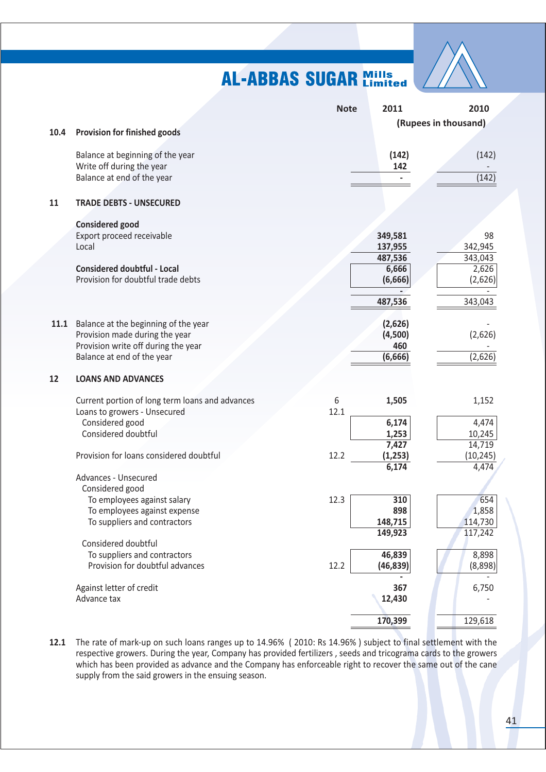

|      |                                                 | <b>Note</b> | 2011               | 2010                 |
|------|-------------------------------------------------|-------------|--------------------|----------------------|
|      |                                                 |             |                    | (Rupees in thousand) |
| 10.4 | <b>Provision for finished goods</b>             |             |                    |                      |
|      | Balance at beginning of the year                |             | (142)              | (142)                |
|      | Write off during the year                       |             | 142                |                      |
|      | Balance at end of the year                      |             |                    | (142)                |
|      |                                                 |             |                    |                      |
| 11   | <b>TRADE DEBTS - UNSECURED</b>                  |             |                    |                      |
|      | <b>Considered good</b>                          |             |                    |                      |
|      | Export proceed receivable                       |             | 349,581            | 98                   |
|      | Local                                           |             | 137,955            | 342,945              |
|      |                                                 |             | 487,536            | 343,043              |
|      | <b>Considered doubtful - Local</b>              |             | 6,666              | 2,626                |
|      | Provision for doubtful trade debts              |             | (6,666)            | (2,626)              |
|      |                                                 |             |                    |                      |
|      |                                                 |             | 487,536            | 343,043              |
| 11.1 | Balance at the beginning of the year            |             | (2,626)            |                      |
|      | Provision made during the year                  |             | (4,500)            | (2,626)              |
|      | Provision write off during the year             |             | 460                |                      |
|      | Balance at end of the year                      |             | (6,666)            | (2,626)              |
|      |                                                 |             |                    |                      |
| 12   | <b>LOANS AND ADVANCES</b>                       |             |                    |                      |
|      | Current portion of long term loans and advances | 6           | 1,505              | 1,152                |
|      | Loans to growers - Unsecured                    | 12.1        |                    |                      |
|      | Considered good                                 |             | 6,174              | 4,474                |
|      | Considered doubtful                             |             | 1,253              | 10,245               |
|      |                                                 |             | 7,427              | 14,719               |
|      | Provision for loans considered doubtful         | 12.2        | (1, 253)           | (10, 245)            |
|      |                                                 |             | 6,174              | 4,474                |
|      | Advances - Unsecured                            |             |                    |                      |
|      | Considered good                                 |             |                    |                      |
|      | To employees against salary                     | 12.3        | 310                | 654                  |
|      | To employees against expense                    |             | 898                | 1,858                |
|      | To suppliers and contractors                    |             | 148,715<br>149,923 | 114,730<br>117,242   |
|      | Considered doubtful                             |             |                    |                      |
|      | To suppliers and contractors                    |             | 46,839             | 8,898                |
|      | Provision for doubtful advances                 | 12.2        | (46, 839)          | (8,898)              |
|      |                                                 |             |                    |                      |
|      | Against letter of credit                        |             | 367                | 6,750                |
|      | Advance tax                                     |             | 12,430             |                      |
|      |                                                 |             |                    |                      |
|      |                                                 |             | 170,399            | 129,618              |

12.1 The rate of mark-up on such loans ranges up to 14.96% (2010: Rs 14.96%) subject to final settlement with the respective growers. During the year, Company has provided fertilizers, seeds and tricograma cards to the growers which has been provided as advance and the Company has enforceable right to recover the same out of the cane supply from the said growers in the ensuing season.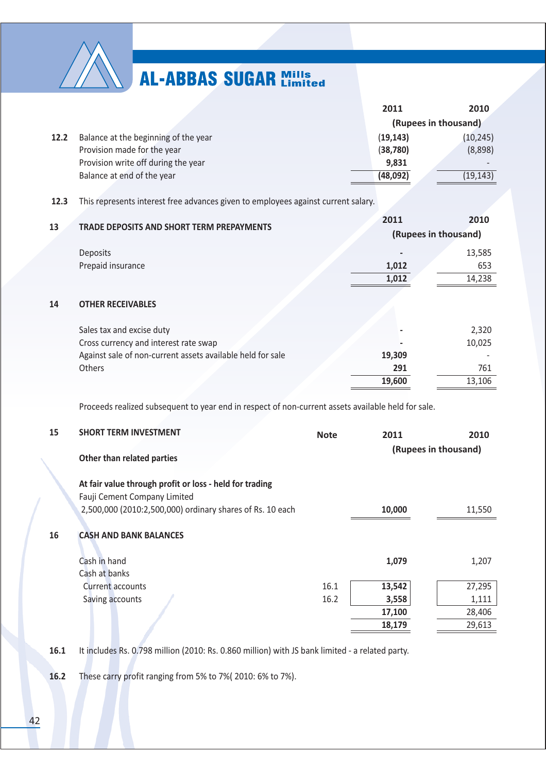

|      |                                      | 2011      | 2010                 |
|------|--------------------------------------|-----------|----------------------|
|      |                                      |           | (Rupees in thousand) |
| 12.2 | Balance at the beginning of the year | (19, 143) | (10, 245)            |
|      | Provision made for the year          | (38, 780) | (8,898)              |
|      | Provision write off during the year  | 9,831     |                      |
|      | Balance at end of the year           | (48,092)  | (19, 143)            |

### 12.3 This represents interest free advances given to employees against current salary.

|    |                                                            | 2011                 | 2010   |
|----|------------------------------------------------------------|----------------------|--------|
| 13 | TRADE DEPOSITS AND SHORT TERM PREPAYMENTS                  | (Rupees in thousand) |        |
|    | Deposits                                                   |                      | 13,585 |
|    | Prepaid insurance                                          | 1,012                | 653    |
|    |                                                            | 1,012                | 14,238 |
| 14 | <b>OTHER RECEIVABLES</b>                                   |                      |        |
|    | Sales tax and excise duty                                  |                      | 2,320  |
|    | Cross currency and interest rate swap                      |                      | 10,025 |
|    | Against sale of non-current assets available held for sale | 19,309               |        |
|    | Others                                                     | 291                  | 761    |
|    |                                                            | 19,600               | 13,106 |

Proceeds realized subsequent to year end in respect of non-current assets available held for sale.

| 15 | <b>SHORT TERM INVESTMENT</b><br>Other than related parties                                                                                           | <b>Note</b> | 2011   | 2010<br>(Rupees in thousand) |
|----|------------------------------------------------------------------------------------------------------------------------------------------------------|-------------|--------|------------------------------|
|    | At fair value through profit or loss - held for trading<br>Fauji Cement Company Limited<br>2,500,000 (2010:2,500,000) ordinary shares of Rs. 10 each |             | 10,000 | 11,550                       |
| 16 | <b>CASH AND BANK BALANCES</b>                                                                                                                        |             |        |                              |
|    | Cash in hand<br>Cash at banks                                                                                                                        |             | 1,079  | 1,207                        |
|    | Current accounts                                                                                                                                     | 16.1        | 13,542 | 27,295                       |
|    | Saving accounts                                                                                                                                      | 16.2        | 3,558  | 1,111                        |
|    |                                                                                                                                                      |             | 17,100 | 28,406                       |
|    |                                                                                                                                                      |             | 18,179 | 29,613                       |
|    |                                                                                                                                                      |             |        |                              |

It includes Rs. 0.798 million (2010: Rs. 0.860 million) with JS bank limited - a related party.  $16.1$ 

16.2 These carry profit ranging from 5% to 7%(2010: 6% to 7%).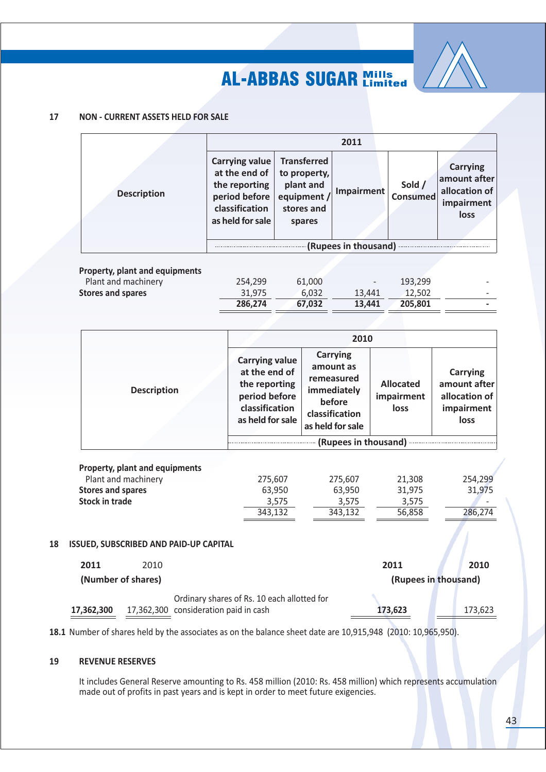

#### 17 **NON - CURRENT ASSETS HELD FOR SALE**

|                    |                                                                                                         |                                                                                        | 2011       |                           |                                                                        |
|--------------------|---------------------------------------------------------------------------------------------------------|----------------------------------------------------------------------------------------|------------|---------------------------|------------------------------------------------------------------------|
| <b>Description</b> | Carrying value<br>at the end of<br>the reporting<br>period before<br>classification<br>as held for sale | <b>Transferred</b><br>to property,<br>plant and<br>equipment /<br>stores and<br>spares | Impairment | Sold /<br><b>Consumed</b> | <b>Carrying</b><br>amount after<br>allocation of<br>impairment<br>loss |
|                    | (Rupees in thousand)                                                                                    |                                                                                        |            |                           |                                                                        |

|                                | 286.274 | 67.032 | 13.441 | 205.801 | -                        |
|--------------------------------|---------|--------|--------|---------|--------------------------|
| Stores and spares              | 31.975  | 6.032  | 13.441 | 12.502  | $\overline{\phantom{0}}$ |
| Plant and machinery            | 254.299 | 61.000 |        | 193.299 | $\overline{\phantom{0}}$ |
| Property, plant and equipments |         |        |        |         |                          |

|                                                              | 2010                                                                                                           |                                                                                                           |                                        |                                                                               |  |  |
|--------------------------------------------------------------|----------------------------------------------------------------------------------------------------------------|-----------------------------------------------------------------------------------------------------------|----------------------------------------|-------------------------------------------------------------------------------|--|--|
| <b>Description</b>                                           | <b>Carrying value</b><br>at the end of<br>the reporting<br>period before<br>classification<br>as held for sale | <b>Carrying</b><br>amount as<br>remeasured<br>immediately<br>before<br>classification<br>as held for sale | <b>Allocated</b><br>impairment<br>loss | <b>Carrying</b><br>amount after<br>allocation of<br>impairment<br><b>loss</b> |  |  |
|                                                              | (Rupees in thousand)                                                                                           |                                                                                                           |                                        |                                                                               |  |  |
| <b>Property, plant and equipments</b><br>Plant and machinery | 275,607                                                                                                        | 275,607                                                                                                   | 21,308                                 | 254,299                                                                       |  |  |
| <b>Stores and spares</b>                                     | 63,950                                                                                                         | 63,950                                                                                                    | 31,975                                 | 31,975                                                                        |  |  |
| <b>Stock in trade</b>                                        | 3,575                                                                                                          | 3,575                                                                                                     | 3,575                                  |                                                                               |  |  |
|                                                              | 343,132                                                                                                        | 343,132                                                                                                   | 56,858                                 | 286,274                                                                       |  |  |

### 18 ISSUED, SUBSCRIBED AND PAID-UP CAPITAL

| 2011       | 2010               |                                             | 2011                 | 2010    |
|------------|--------------------|---------------------------------------------|----------------------|---------|
|            | (Number of shares) |                                             | (Rupees in thousand) |         |
|            |                    | Ordinary shares of Rs. 10 each allotted for |                      |         |
| 17.362.300 |                    | 17,362,300 consideration paid in cash       | 173.623              | 173.623 |

18.1 Number of shares held by the associates as on the balance sheet date are 10,915,948 (2010: 10,965,950).

#### 19 **REVENUE RESERVES**

It includes General Reserve amounting to Rs. 458 million (2010: Rs. 458 million) which represents accumulation made out of profits in past years and is kept in order to meet future exigencies.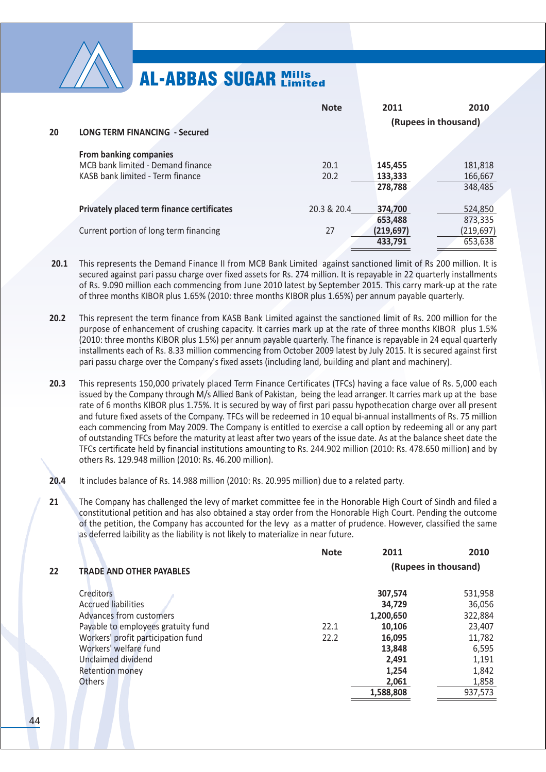

|    |                                                   | <b>Note</b> | 2011                 | 2010       |
|----|---------------------------------------------------|-------------|----------------------|------------|
|    |                                                   |             | (Rupees in thousand) |            |
| 20 | <b>LONG TERM FINANCING - Secured</b>              |             |                      |            |
|    | <b>From banking companies</b>                     |             |                      |            |
|    | MCB bank limited - Demand finance                 | 20.1        | 145,455              | 181,818    |
|    | KASB bank limited - Term finance                  | 20.2        | 133,333              | 166,667    |
|    |                                                   |             | 278,788              | 348,485    |
|    |                                                   |             |                      |            |
|    | <b>Privately placed term finance certificates</b> | 20.3 & 20.4 | 374.700              | 524,850    |
|    |                                                   |             | 653,488              | 873,335    |
|    | Current portion of long term financing            | 27          | (219, 697)           | (219, 697) |
|    |                                                   |             | 433,791              | 653,638    |

- $20.1$ This represents the Demand Finance II from MCB Bank Limited against sanctioned limit of Rs 200 million. It is secured against pari passu charge over fixed assets for Rs. 274 million. It is repayable in 22 quarterly installments of Rs. 9.090 million each commencing from June 2010 latest by September 2015. This carry mark-up at the rate of three months KIBOR plus 1.65% (2010: three months KIBOR plus 1.65%) per annum payable quarterly.
- $20.2$ This represent the term finance from KASB Bank Limited against the sanctioned limit of Rs. 200 million for the purpose of enhancement of crushing capacity. It carries mark up at the rate of three months KIBOR plus 1.5% (2010: three months KIBOR plus 1.5%) per annum payable quarterly. The finance is repayable in 24 equal quarterly installments each of Rs. 8.33 million commencing from October 2009 latest by July 2015. It is secured against first pari passu charge over the Company's fixed assets (including land, building and plant and machinery).
- $20.3$ This represents 150,000 privately placed Term Finance Certificates (TFCs) having a face value of Rs. 5,000 each issued by the Company through M/s Allied Bank of Pakistan, being the lead arranger. It carries mark up at the base rate of 6 months KIBOR plus 1.75%. It is secured by way of first pari passu hypothecation charge over all present and future fixed assets of the Company. TFCs will be redeemed in 10 equal bi-annual installments of Rs. 75 million each commencing from May 2009. The Company is entitled to exercise a call option by redeeming all or any part of outstanding TFCs before the maturity at least after two years of the issue date. As at the balance sheet date the TFCs certificate held by financial institutions amounting to Rs. 244.902 million (2010: Rs. 478.650 million) and by others Rs. 129.948 million (2010: Rs. 46.200 million).
- $20.4$ It includes balance of Rs. 14.988 million (2010: Rs. 20.995 million) due to a related party.
- 21 The Company has challenged the levy of market committee fee in the Honorable High Court of Sindh and filed a constitutional petition and has also obtained a stay order from the Honorable High Court. Pending the outcome of the petition, the Company has accounted for the levy as a matter of prudence. However, classified the same as deferred laibility as the liability is not likely to materialize in near future.

|    |                                    | <b>Note</b> | 2011                 | 2010    |
|----|------------------------------------|-------------|----------------------|---------|
| 22 | <b>TRADE AND OTHER PAYABLES</b>    |             | (Rupees in thousand) |         |
|    | <b>Creditors</b>                   |             | 307,574              | 531,958 |
|    | <b>Accrued liabilities</b>         |             | 34,729               | 36,056  |
|    | Advances from customers            |             | 1,200,650            | 322,884 |
|    | Payable to employees gratuity fund | 22.1        | 10,106               | 23,407  |
|    | Workers' profit participation fund | 22.2        | 16,095               | 11,782  |
|    | Workers' welfare fund              |             | 13,848               | 6,595   |
|    | Unclaimed dividend                 |             | 2,491                | 1,191   |
|    | <b>Retention money</b>             |             | 1,254                | 1,842   |
|    | <b>Others</b>                      |             | 2,061                | 1,858   |
|    |                                    |             | 1,588,808            | 937,573 |
|    |                                    |             |                      |         |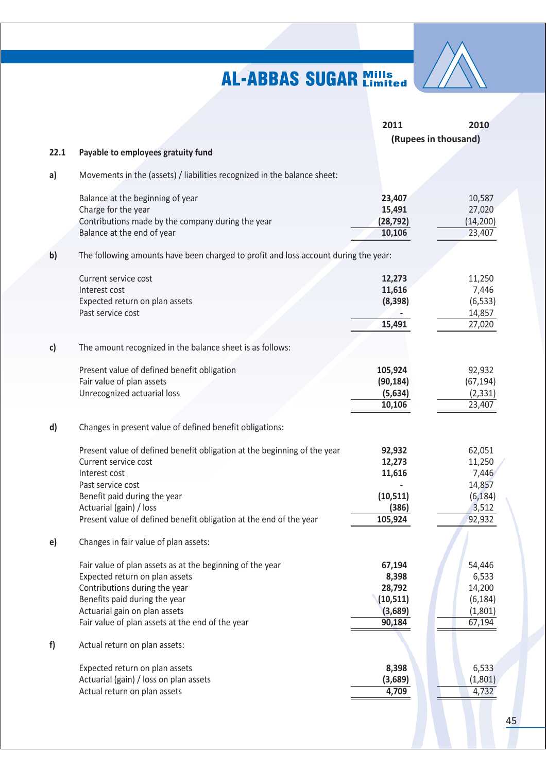

|      |                                                                                     | 2011      | 2010                 |
|------|-------------------------------------------------------------------------------------|-----------|----------------------|
|      |                                                                                     |           | (Rupees in thousand) |
| 22.1 | Payable to employees gratuity fund                                                  |           |                      |
| a)   | Movements in the (assets) / liabilities recognized in the balance sheet:            |           |                      |
|      | Balance at the beginning of year                                                    | 23,407    | 10,587               |
|      | Charge for the year                                                                 | 15,491    | 27,020               |
|      | Contributions made by the company during the year                                   | (28, 792) | (14, 200)            |
|      | Balance at the end of year                                                          | 10,106    | 23,407               |
| b)   | The following amounts have been charged to profit and loss account during the year: |           |                      |
|      | Current service cost                                                                | 12,273    | 11,250               |
|      | Interest cost                                                                       | 11,616    | 7,446                |
|      | Expected return on plan assets                                                      | (8, 398)  | (6, 533)             |
|      | Past service cost                                                                   |           | 14,857               |
|      |                                                                                     | 15,491    | 27,020               |
| c)   | The amount recognized in the balance sheet is as follows:                           |           |                      |
|      | Present value of defined benefit obligation                                         | 105,924   | 92,932               |
|      | Fair value of plan assets                                                           | (90, 184) | (67, 194)            |
|      | Unrecognized actuarial loss                                                         | (5,634)   | (2, 331)             |
|      |                                                                                     | 10,106    | 23,407               |
| d)   | Changes in present value of defined benefit obligations:                            |           |                      |
|      | Present value of defined benefit obligation at the beginning of the year            | 92,932    | 62,051               |
|      | Current service cost                                                                | 12,273    | 11,250               |
|      | Interest cost                                                                       | 11,616    | 7,446                |
|      | Past service cost                                                                   |           | 14,857               |
|      | Benefit paid during the year                                                        | (10, 511) | (6, 184)             |
|      | Actuarial (gain) / loss                                                             | (386)     | 3,512                |
|      | Present value of defined benefit obligation at the end of the year                  | 105,924   | 92,932               |
| e)   | Changes in fair value of plan assets:                                               |           |                      |
|      | Fair value of plan assets as at the beginning of the year                           | 67,194    | 54,446               |
|      | Expected return on plan assets                                                      | 8,398     | 6,533                |
|      | Contributions during the year                                                       | 28,792    | 14,200               |
|      | Benefits paid during the year                                                       | (10, 511) | (6, 184)             |
|      | Actuarial gain on plan assets                                                       | (3,689)   | (1,801)              |
|      | Fair value of plan assets at the end of the year                                    | 90,184    | 67,194               |
| f)   | Actual return on plan assets:                                                       |           |                      |
|      | Expected return on plan assets                                                      | 8,398     | 6,533                |
|      | Actuarial (gain) / loss on plan assets                                              | (3,689)   | (1,801)              |
|      | Actual return on plan assets                                                        | 4,709     | 4,732                |
|      |                                                                                     |           |                      |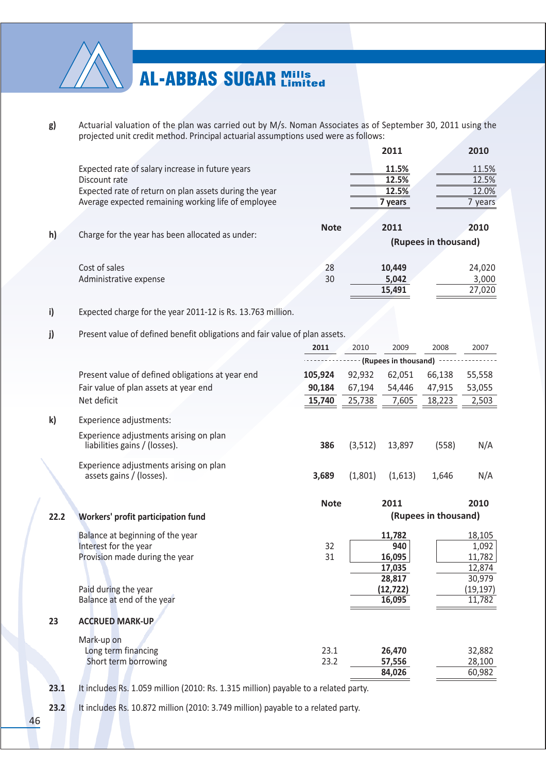

Actuarial valuation of the plan was carried out by M/s. Noman Associates as of September 30, 2011 using the  $g)$ projected unit credit method. Principal actuarial assumptions used were as follows:

|    |                                                        |             | 2011    | 2010                 |
|----|--------------------------------------------------------|-------------|---------|----------------------|
|    | Expected rate of salary increase in future years       |             | 11.5%   | 11.5%                |
|    | Discount rate                                          |             | 12.5%   | 12.5%                |
|    | Expected rate of return on plan assets during the year |             | 12.5%   | 12.0%                |
|    | Average expected remaining working life of employee    |             | 7 years | 7 years              |
|    |                                                        |             |         |                      |
|    |                                                        | <b>Note</b> | 2011    | 2010                 |
| h) | Charge for the year has been allocated as under:       |             |         | (Rupees in thousand) |
|    | Cost of sales                                          | 28          | 10,449  | 24,020               |
|    | Administrative expense                                 | 30          | 5,042   | 3,000                |
|    |                                                        |             | 15,491  | 27,020               |

#### i) Expected charge for the year 2011-12 is Rs. 13.763 million.

#### j) Present value of defined benefit obligations and fair value of plan assets.

|      |                                                                                             | 2011         | 2010     | 2009                                        | 2008                 | 2007                                          |
|------|---------------------------------------------------------------------------------------------|--------------|----------|---------------------------------------------|----------------------|-----------------------------------------------|
|      |                                                                                             |              |          | (Rupees in thousand)                        |                      |                                               |
|      | Present value of defined obligations at year end                                            | 105,924      | 92,932   | 62,051                                      | 66,138               | 55,558                                        |
|      | Fair value of plan assets at year end                                                       | 90,184       | 67,194   | 54,446                                      | 47,915               | 53,055                                        |
|      | Net deficit                                                                                 | 15,740       | 25,738   | 7,605                                       | 18,223               | 2,503                                         |
| k)   | Experience adjustments:                                                                     |              |          |                                             |                      |                                               |
|      | Experience adjustments arising on plan<br>liabilities gains / (losses).                     | 386          | (3, 512) | 13,897                                      | (558)                | N/A                                           |
|      | Experience adjustments arising on plan<br>assets gains / (losses).                          | 3,689        | (1,801)  | (1,613)                                     | 1,646                | N/A                                           |
| 22.2 | Workers' profit participation fund                                                          | <b>Note</b>  |          | 2011                                        | (Rupees in thousand) | 2010                                          |
|      | Balance at beginning of the year<br>Interest for the year<br>Provision made during the year | 32<br>31     |          | 11,782<br>940<br>16,095<br>17,035<br>28,817 |                      | 18,105<br>1,092<br>11,782<br>12,874<br>30,979 |
|      | Paid during the year<br>Balance at end of the year                                          |              |          | (12, 722)<br>16,095                         |                      | (19, 197)<br>11,782                           |
| 23   | <b>ACCRUED MARK-UP</b>                                                                      |              |          |                                             |                      |                                               |
|      | Mark-up on<br>Long term financing<br>Short term borrowing                                   | 23.1<br>23.2 |          | 26,470<br>57,556<br>84,026                  |                      | 32,882<br>28,100<br>60,982                    |

 $23.1$ It includes Rs. 1.059 million (2010: Rs. 1.315 million) payable to a related party.

 $23.2$ It includes Rs. 10.872 million (2010: 3.749 million) payable to a related party.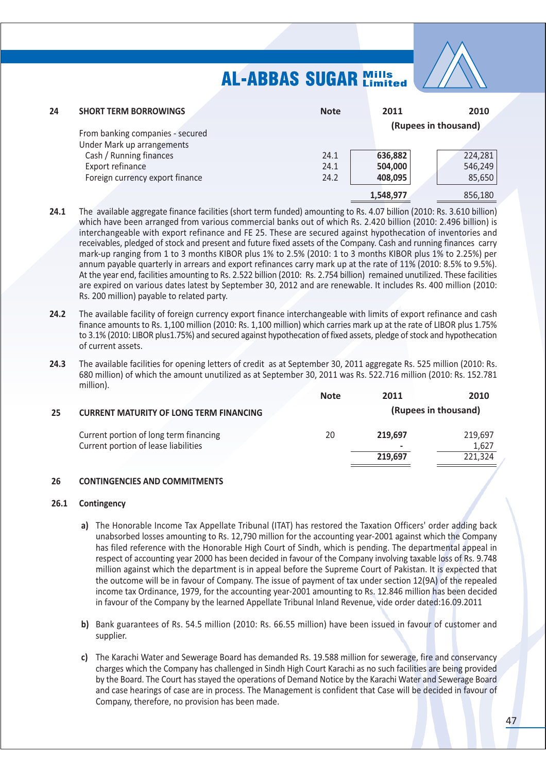

| 24 | <b>SHORT TERM BORROWINGS</b>                                   | <b>Note</b>  | 2011               | 2010                 |
|----|----------------------------------------------------------------|--------------|--------------------|----------------------|
|    | From banking companies - secured<br>Under Mark up arrangements |              |                    | (Rupees in thousand) |
|    | Cash / Running finances                                        | 24.1         | 636,882            | 224,281              |
|    | Export refinance<br>Foreign currency export finance            | 24.1<br>24.2 | 504,000<br>408,095 | 546,249<br>85,650    |
|    |                                                                |              | 1,548,977          | 856,180              |

- $24.1$ The available aggregate finance facilities (short term funded) amounting to Rs. 4.07 billion (2010: Rs. 3.610 billion) which have been arranged from various commercial banks out of which Rs. 2.420 billion (2010: 2.496 billion) is interchangeable with export refinance and FE 25. These are secured against hypothecation of inventories and receivables, pledged of stock and present and future fixed assets of the Company. Cash and running finances carry mark-up ranging from 1 to 3 months KIBOR plus 1% to 2.5% (2010: 1 to 3 months KIBOR plus 1% to 2.25%) per annum payable quarterly in arrears and export refinances carry mark up at the rate of 11% (2010: 8.5% to 9.5%). At the year end, facilities amounting to Rs. 2.522 billion (2010: Rs. 2.754 billion) remained unutilized. These facilities are expired on various dates latest by September 30, 2012 and are renewable. It includes Rs. 400 million (2010: Rs. 200 million) payable to related party.
- $24.2$ The available facility of foreign currency export finance interchangeable with limits of export refinance and cash finance amounts to Rs. 1,100 million (2010: Rs. 1,100 million) which carries mark up at the rate of LIBOR plus 1.75% to 3.1% (2010: LIBOR plus1.75%) and secured against hypothecation of fixed assets, pledge of stock and hypothecation of current assets.
- $24.3$ The available facilities for opening letters of credit as at September 30, 2011 aggregate Rs. 525 million (2010: Rs. 680 million) of which the amount unutilized as at September 30, 2011 was Rs. 522.716 million (2010: Rs. 152.781 million).

|    |                                                | <b>Note</b> | 2011    | 2010                 |
|----|------------------------------------------------|-------------|---------|----------------------|
| 25 | <b>CURRENT MATURITY OF LONG TERM FINANCING</b> |             |         | (Rupees in thousand) |
|    | Current portion of long term financing         | 20          | 219.697 | 219.697              |
|    | Current portion of lease liabilities           |             | ٠       | 1,627                |
|    |                                                |             | 219.697 | 221,324              |

#### 26 **CONTINGENCIES AND COMMITMENTS**

#### $26.1$ Contingency

- a) The Honorable Income Tax Appellate Tribunal (ITAT) has restored the Taxation Officers' order adding back unabsorbed losses amounting to Rs. 12,790 million for the accounting year-2001 against which the Company has filed reference with the Honorable High Court of Sindh, which is pending. The departmental appeal in respect of accounting year 2000 has been decided in fayour of the Company involving taxable loss of Rs. 9.748 million against which the department is in appeal before the Supreme Court of Pakistan. It is expected that the outcome will be in favour of Company. The issue of payment of tax under section 12(9A) of the repealed income tax Ordinance, 1979, for the accounting year-2001 amounting to Rs. 12.846 million has been decided in favour of the Company by the learned Appellate Tribunal Inland Revenue, vide order dated:16.09.2011
- b) Bank guarantees of Rs. 54.5 million (2010: Rs. 66.55 million) have been issued in favour of customer and supplier.
- c) The Karachi Water and Sewerage Board has demanded Rs. 19.588 million for sewerage, fire and conservancy charges which the Company has challenged in Sindh High Court Karachi as no such facilities are being provided by the Board. The Court has stayed the operations of Demand Notice by the Karachi Water and Sewerage Board and case hearings of case are in process. The Management is confident that Case will be decided in favour of Company, therefore, no provision has been made.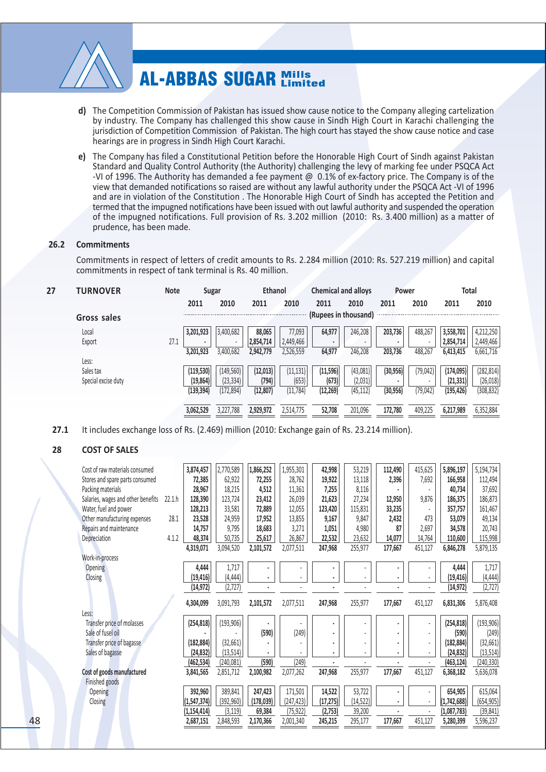

- **d)** The Competition Commission of Pakistan has issued show cause notice to the Company alleging cartelization by industry. The Company has challenged this show cause in Sindh High Court in Karachi challenging the jurisdiction of Competition Commission of Pakistan. The high court has stayed the show cause notice and case hearings are in progress in Sindh High Court Karachi.
- e) The Company has filed a Constitutional Petition before the Honorable High Court of Sindh against Pakistan Standard and Quality Control Authority (the Authority) challenging the levy of marking fee under PSQCA Act -VI of 1996. The Authority has demanded a fee payment @  $\,$  0.1% of ex-factory price. The Company is of the view that demanded notifications so raised are without any lawful authority under the PSQCA Act -VI of 1996 and are in violation of the Constitution . The Honorable High Court of Sindh has accepted the Petition and termed that the impugned notifications have been issued with out lawful authority and suspended the operation of the impugned notifications. Full provision of Rs. 3.202 million (2010: Rs. 3.400 million) as a matter of prudence, has been made.

#### 26.2 Commitments

Commitments in respect of letters of credit amounts to Rs. 2.284 million (2010: Rs. 527.219 million) and capital commitments in respect of tank terminal is Rs. 40 million.

| 27 | <b>TURNOVER</b>     | <b>Note</b> | Sugar      |            | <b>Ethanol</b> |           | <b>Chemical and alloys</b> |           | Power     |           | <b>Total</b> |            |
|----|---------------------|-------------|------------|------------|----------------|-----------|----------------------------|-----------|-----------|-----------|--------------|------------|
|    |                     |             | 2011       | 2010       | 2011           | 2010      | 2011                       | 2010      | 2011      | 2010      | 2011         | 2010       |
|    | Gross sales         |             |            |            |                |           | (Rupees in thousand)       |           |           |           |              |            |
|    | Local               |             | 3,201,923  | 3,400,682  | 88,065         | 77,093    | 64,977                     | 246,208   | 203,736   | 488,267   | 3,558,701    | 4,212,250  |
|    | Export              | 27.1        | ۰          |            | 2,854,714      | 2,449,466 | ٠                          |           |           |           | 2,854,714    | 2,449,466  |
|    |                     |             | 3,201,923  | 3,400,682  | 2,942,779      | 2,526,559 | 64,977                     | 246,208   | 203,736   | 488,267   | 6,413,415    | 6,661,716  |
|    | Less:               |             |            |            |                |           |                            |           |           |           |              |            |
|    | Sales tax           |             | (119, 530) | (149, 560) | (12, 013)      | (11, 131) | (11, 596)                  | (43,081)  | (30, 956) | (79, 042) | (174, 095)   | (282, 814) |
|    | Special excise duty |             | (19, 864)  | (23, 334)  | (794)          | (653)     | (673)                      | (2,031)   |           |           | (21, 331)    | (26, 018)  |
|    |                     |             | (139,394)  | (172,894)  | (12, 807)      | (11, 784) | (12, 269)                  | (45, 112) | (30, 956) | (79, 042) | (195, 426)   | (308, 832) |
|    |                     |             | 3,062,529  | 3,227,788  | 2,929,972      | 2,514,775 | 52,708                     | 201.096   | 172.780   | 409,225   | 6,217,989    | 6,352,884  |

**6--**1 It includes exchange loss of Rs.  $(2.469)$  million  $(2010:$  Exchange gain of Rs. 23.214 million).

### 28 **COST OF SALES**

| Cost of raw materials consumed     |        | 3,874,457                      | 2,770,589              | 1,866,252            | 1,955,301               | 42,998               | 53,219              | 112,490 | 415,625                                    | 5,896,197                  | 5,194,734               |
|------------------------------------|--------|--------------------------------|------------------------|----------------------|-------------------------|----------------------|---------------------|---------|--------------------------------------------|----------------------------|-------------------------|
| Stores and spare parts consumed    |        | 72,385                         | 62,922                 | 72,255               | 28,762                  | 19,922               | 13,118              | 2,396   | 7,692                                      | 166,958                    | 112,494                 |
| Packing materials                  |        | 28,967                         | 18,215                 | 4,512                | 11,361                  | 7,255                | 8,116               |         |                                            | 40,734                     | 37,692                  |
| Salaries, wages and other benefits | 22.1 h | 128,390                        | 123,724                | 23,412               | 26,039                  | 21,623               | 27,234              | 12,950  | 9,876                                      | 186,375                    | 186,873                 |
| Water, fuel and power              |        | 128,213                        | 33,581                 | 72,889               | 12,055                  | 123,420              | 115,831             | 33,235  | $\overline{\phantom{a}}$                   | 357,757                    | 161,467                 |
| Other manufacturing expenses       | 28.1   | 23,528                         | 24,959                 | 17,952               | 13,855                  | 9,167                | 9,847               | 2,432   | 473                                        | 53,079                     | 49,134                  |
| Repairs and maintenance            |        | 14,757                         | 9,795                  | 18,683               | 3,271                   | 1,051                | 4,980               | 87      | 2,697                                      | 34,578                     | 20,743                  |
| Depreciation                       | 4.1.2  | 48,374                         | 50,735                 | 25,617               | 26,867                  | 22,532               | 23,632              | 14,077  | 14,764                                     | 110,600                    | 115,998                 |
|                                    |        | 4,319,071                      | 3,094,520              | 2,101,572            | 2,077,511               | 247,968              | 255,977             | 177,667 | 451,127                                    | 6,846,278                  | 5,879,135               |
| Work-in-process                    |        |                                |                        |                      |                         |                      |                     |         |                                            |                            |                         |
| <b>Opening</b>                     |        | 4,444                          | 1,717                  |                      |                         | ٠                    |                     |         |                                            | 4,444                      | 1,717                   |
|                                    |        | (19, 416)                      | (4, 444)               | ٠                    |                         | ä                    |                     |         | $\overline{\phantom{a}}$                   | (19, 416)                  | (4, 444)                |
| Closing                            |        |                                |                        |                      |                         |                      |                     |         |                                            |                            |                         |
|                                    |        | (14, 972)                      | (2, 727)               |                      |                         |                      |                     |         | ÷.                                         | (14, 972)                  | (2, 727)                |
|                                    |        |                                |                        |                      |                         |                      |                     |         |                                            |                            |                         |
|                                    |        | 4,304,099                      | 3,091,793              | 2,101,572            | 2,077,511               | 247,968              | 255,977             | 177,667 | 451,127                                    | 6,831,306                  | 5,876,408               |
| Less:                              |        |                                |                        |                      |                         |                      |                     |         |                                            |                            |                         |
| Transfer price of molasses         |        | (254, 818)                     | (193, 906)             |                      |                         | ä,<br>ä,             |                     |         | $\overline{\phantom{a}}$<br>$\blacksquare$ | (254, 818)                 | (193, 906)              |
| Sale of fusel oil                  |        |                                |                        | (590)                | (249)                   | ä,                   | $\frac{1}{2}$       |         | $\overline{\phantom{a}}$                   | (590)                      | (249)                   |
| Transfer price of bagasse          |        | (182, 884)                     | (32,661)               |                      |                         | ٠                    |                     |         | $\overline{\phantom{a}}$                   | (182, 884)                 | (32, 661)               |
| Sales of bagasse                   |        | (24, 832)                      | (13,514)               |                      |                         |                      |                     |         |                                            | (24, 832)                  | (13, 514)               |
|                                    |        | (462, 534)                     | (240,081)              | (590)                | (249)                   |                      |                     |         |                                            | (463, 124)                 | (240, 330)              |
| Cost of goods manufactured         |        | 3,841,565                      | 2,851,712              | 2,100,982            | 2,077,262               | 247,968              | 255,977             | 177,667 | 451,127                                    | 6,368,182                  | 5,636,078               |
| Finished goods<br>Opening          |        |                                | 389,841                |                      | 171,501                 |                      |                     |         | $\overline{\phantom{a}}$                   |                            |                         |
| Closing                            |        | 392,960                        |                        | 247,423              |                         | 14,522               | 53,722              |         | $\blacksquare$                             | 654,905                    | 615,064                 |
|                                    |        | (1, 547, 374)<br>(1, 154, 414) | (392, 960)<br>(3, 119) | (178, 039)<br>69,384 | (247, 423)<br>(75, 922) | (17, 275)<br>(2,753) | (14, 522)<br>39,200 |         |                                            | (1,742,688)<br>(1,087,783) | (654, 905)<br>(39, 841) |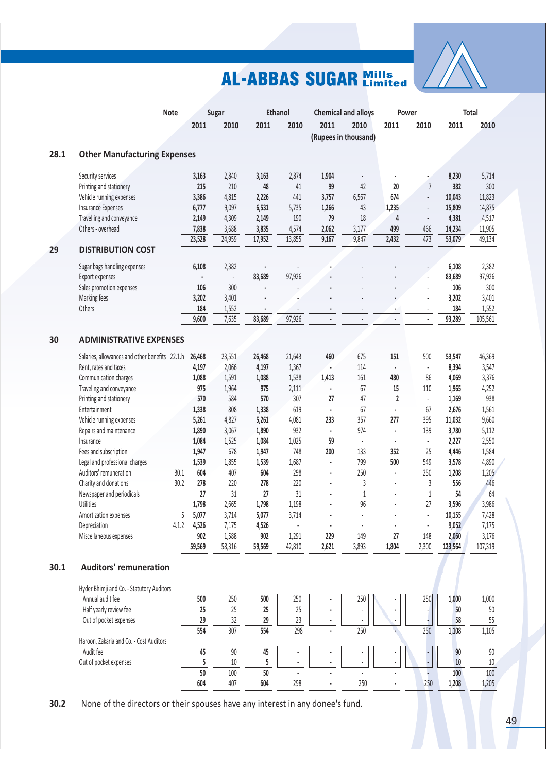

|      |                                                | <b>Note</b> |             | Sugar                    |        | <b>Ethanol</b> |       | <b>Chemical and alloys</b> |                | <b>Power</b>             |         | Total   |
|------|------------------------------------------------|-------------|-------------|--------------------------|--------|----------------|-------|----------------------------|----------------|--------------------------|---------|---------|
|      |                                                |             | 2011        | 2010                     | 2011   | 2010           | 2011  | 2010                       | 2011           | 2010                     | 2011    | 2010    |
|      |                                                |             |             |                          |        |                |       | (Rupees in thousand)       |                |                          |         |         |
| 28.1 | <b>Other Manufacturing Expenses</b>            |             |             |                          |        |                |       |                            |                |                          |         |         |
|      | Security services                              |             | 3,163       | 2,840                    | 3,163  | 2,874          | 1,904 |                            |                |                          | 8,230   | 5,714   |
|      | Printing and stationery                        |             | 215         | 210                      | 48     | 41             | 99    | 42                         | 20             | $\overline{7}$           | 382     | 300     |
|      | Vehicle running expenses                       |             | 3,386       | 4,815                    | 2,226  | 441            | 3,757 | 6,567                      | 674            | ÷.                       | 10,043  | 11,823  |
|      | <b>Insurance Expenses</b>                      |             | 6,777       | 9,097                    | 6,531  | 5,735          | 1,266 | 43                         | 1,235          | $\overline{\phantom{a}}$ | 15,809  | 14,875  |
|      | Travelling and conveyance                      |             | 2,149       | 4,309                    | 2,149  | 190            | 79    | 18                         | 4              |                          | 4,381   | 4,517   |
|      | Others - overhead                              |             | 7,838       | 3,688                    | 3,835  | 4,574          | 2,062 | 3,177                      | 499            | 466                      | 14,234  | 11,905  |
|      |                                                |             | 23,528      | 24,959                   | 17,952 | 13,855         | 9,167 | 9,847                      | 2,432          | 473                      | 53,079  | 49,134  |
| 29   | <b>DISTRIBUTION COST</b>                       |             |             |                          |        |                |       |                            |                |                          |         |         |
|      | Sugar bags handling expenses                   |             | 6,108       | 2,382                    |        |                |       |                            |                |                          | 6,108   | 2,382   |
|      | Export expenses                                |             |             | $\overline{\phantom{a}}$ | 83,689 | 97,926         |       |                            |                |                          | 83,689  | 97,926  |
|      | Sales promotion expenses                       |             | 106         | 300                      |        |                |       |                            |                |                          | 106     | 300     |
|      | Marking fees                                   |             | 3,202       | 3,401                    |        |                |       |                            |                |                          | 3,202   | 3,401   |
|      | Others                                         |             | 184         | 1,552                    |        |                |       |                            |                |                          | 184     | 1,552   |
|      |                                                |             | 9,600       | 7,635                    | 83,689 | 97,926         |       |                            |                |                          | 93,289  | 105,561 |
| 30   | <b>ADMINISTRATIVE EXPENSES</b>                 |             |             |                          |        |                |       |                            |                |                          |         |         |
|      | Salaries, allowances and other benefits 22.1.h |             | 26,468      | 23,551                   | 26,468 | 21,643         | 460   | 675                        | 151            | 500                      | 53,547  | 46,369  |
|      | Rent, rates and taxes                          |             | 4,197       | 2,066                    | 4,197  | 1,367          |       | 114                        | $\blacksquare$ | $\overline{\phantom{a}}$ | 8,394   | 3,547   |
|      | Communication charges                          |             | 1,088       | 1,591                    | 1,088  | 1,538          | 1,413 | 161                        | 480            | 86                       | 4,069   | 3,376   |
|      | Traveling and conveyance                       |             | 975         | 1,964                    | 975    | 2,111          |       | 67                         | 15             | 110                      | 1,965   | 4,252   |
|      | Printing and stationery                        |             | 570         | 584                      | 570    | 307            | 27    | 47                         | $\overline{2}$ | $\overline{\phantom{a}}$ | 1,169   | 938     |
|      | Entertainment                                  |             | 1,338       | 808                      | 1,338  | 619            | ä,    | 67                         | $\blacksquare$ | 67                       | 2,676   | 1,561   |
|      | Vehicle running expenses                       |             | 5,261       | 4,827                    | 5,261  | 4,081          | 233   | 357                        | 277            | 395                      | 11,032  | 9,660   |
|      | Repairs and maintenance                        |             | 1,890       | 3,067                    | 1,890  | 932            | ÷.    | 974                        | $\blacksquare$ | 139                      | 3,780   | 5,112   |
|      | Insurance                                      |             | 1,084       | 1,525                    | 1,084  | 1,025          | 59    |                            |                | $\overline{\phantom{a}}$ | 2,227   | 2,550   |
|      | Fees and subscription                          |             | 1,947       | 678                      | 1,947  | 748            | 200   | 133                        | 352            | 25                       | 4,446   | 1,584   |
|      | Legal and professional charges                 |             | 1,539       | 1,855                    | 1,539  | 1,687          | ä,    | 799                        | 500            | 549                      | 3,578   | 4,890   |
|      | Auditors' remuneration                         | 30.1        | 604         | 407                      | 604    | 298            |       | 250                        | ×,             | 250                      | 1,208   | 1,205   |
|      | Charity and donations                          | 30.2        | 278         | 220                      | 278    | 220            |       | 3                          |                | 3                        | 556     | 446     |
|      | Newspaper and periodicals                      |             | 27          | 31                       | 27     | 31             |       | 1                          |                | $\mathbf{1}$             | 54      | 64      |
|      | Utilities                                      |             | 1,798       | 2,665                    | 1,798  | 1,198          |       | 96                         |                | 27                       | 3,596   | 3,986   |
|      | Amortization expenses                          |             | 5,077<br>5. | 3,714                    | 5,077  | 3,714          |       |                            |                |                          | 10,155  | 7,428   |
|      | Depreciation                                   | 4.1.2       | 4,526       | 7,175                    | 4,526  |                |       |                            | ×              |                          | 9,052   | 7,175   |
|      | Miscellaneous expenses                         |             | 902         | 1,588                    | 902    | 1,291          | 229   | 149                        | $27\,$         | 148                      | 2,060   | 3,176   |
|      |                                                |             | 59,569      | 58,316                   | 59,569 | 42,810         | 2,621 | 3,893                      | 1,804          | 2,300                    | 123,564 | 107,319 |
| 30.1 | <b>Auditors' remuneration</b>                  |             |             |                          |        |                |       |                            |                |                          |         |         |
|      | Hyder Bhimji and Co. - Statutory Auditors      |             |             |                          |        |                |       |                            |                |                          |         |         |
|      | Annual audit fee                               |             | 500         | 250                      | 500    | 250            |       | 250                        |                | 250                      | 1,000   | 1,000   |
|      | Half yearly review fee                         |             | 25          | 25                       | 25     | $25\,$         |       |                            |                |                          | 50      | 50      |
|      | Out of pocket expenses                         |             | 29          | 32                       | 29     | $23\,$         |       |                            |                |                          | 58      | 55      |
|      | Haroon, Zakaria and Co. - Cost Auditors        |             | 554         | 307                      | 554    | 298            |       | 250                        |                | 250                      | 1,108   | 1,105   |
|      | Audit fee                                      |             | 45          | $90\,$                   | 45     |                |       |                            | ٠              |                          | 90      | 90      |
|      | Out of pocket expenses                         |             | 5           | $10\,$                   | 5      | $\overline{a}$ |       |                            | $\bullet$      |                          | 10      | $10\,$  |
|      |                                                |             | 50          | 100                      | 50     |                |       |                            | ä,             |                          | 100     | 100     |
|      |                                                |             | 604         | 407                      | 604    | 298            |       | 250                        |                | 250                      | 1,208   | 1,205   |
|      |                                                |             |             |                          |        |                |       |                            |                |                          |         |         |

**3-** None of the directors or their spouses have any interest in any donee's fund.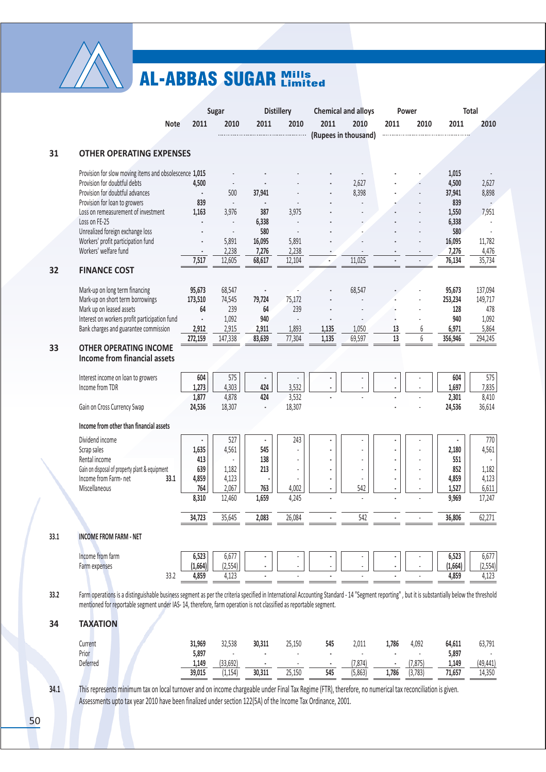

|      |                                                                                                                                                                                                                                                                                                                     |                  | Sugar                       |                 | <b>Distillery</b> |       | <b>Chemical and alloys</b> |       | Power    |                  | <b>Total</b>     |
|------|---------------------------------------------------------------------------------------------------------------------------------------------------------------------------------------------------------------------------------------------------------------------------------------------------------------------|------------------|-----------------------------|-----------------|-------------------|-------|----------------------------|-------|----------|------------------|------------------|
|      | <b>Note</b>                                                                                                                                                                                                                                                                                                         | 2011             | 2010                        | 2011            | 2010              | 2011  | 2010                       | 2011  | 2010     | 2011             | 2010             |
|      |                                                                                                                                                                                                                                                                                                                     |                  |                             |                 |                   |       | (Rupees in thousand)       |       |          |                  |                  |
| 31   | <b>OTHER OPERATING EXPENSES</b>                                                                                                                                                                                                                                                                                     |                  |                             |                 |                   |       |                            |       |          |                  |                  |
|      | Provision for slow moving items and obsolescence 1,015                                                                                                                                                                                                                                                              |                  |                             |                 |                   |       |                            |       |          | 1,015            |                  |
|      | Provision for doubtful debts                                                                                                                                                                                                                                                                                        | 4,500            |                             |                 |                   |       | 2,627                      |       |          | 4,500            | 2,627            |
|      | Provision for doubtful advances<br>Provision for loan to growers                                                                                                                                                                                                                                                    | $\bullet$<br>839 | 500<br>$\blacksquare$       | 37,941          |                   |       | 8,398                      |       |          | 37,941<br>839    | 8,898            |
|      | Loss on remeasurement of investment                                                                                                                                                                                                                                                                                 | 1,163            | 3,976                       | 387             | 3,975             |       |                            |       |          | 1,550            | 7,951            |
|      | Loss on FE-25                                                                                                                                                                                                                                                                                                       |                  | $\overline{\phantom{a}}$    | 6,338           |                   |       |                            |       |          | 6,338            |                  |
|      | Unrealized foreign exchange loss                                                                                                                                                                                                                                                                                    |                  | $\overline{\phantom{a}}$    | 580             |                   |       |                            |       |          | 580              |                  |
|      | Workers' profit participation fund<br>Workers' welfare fund                                                                                                                                                                                                                                                         | $\blacksquare$   | 5,891<br>2,238              | 16,095<br>7,276 | 5,891<br>2,238    |       |                            |       |          | 16,095<br>7,276  | 11,782<br>4,476  |
|      |                                                                                                                                                                                                                                                                                                                     | 7,517            | 12,605                      | 68,617          | 12,104            |       | 11,025                     |       |          | 76,134           | 35,734           |
| 32   | <b>FINANCE COST</b>                                                                                                                                                                                                                                                                                                 |                  |                             |                 |                   |       |                            |       |          |                  |                  |
|      | Mark-up on long term financing                                                                                                                                                                                                                                                                                      | 95,673           | 68,547                      |                 |                   |       | 68,547                     |       |          | 95,673           | 137,094          |
|      | Mark-up on short term borrowings                                                                                                                                                                                                                                                                                    | 173,510          | 74,545                      | 79,724          | 75,172            |       |                            |       |          | 253,234          | 149,717          |
|      | Mark up on leased assets<br>Interest on workers profit participation fund                                                                                                                                                                                                                                           | 64<br>$\epsilon$ | 239<br>1,092                | 64<br>940       | 239               |       |                            |       |          | 128<br>940       | 478<br>1,092     |
|      | Bank charges and guarantee commission                                                                                                                                                                                                                                                                               | 2,912            | 2,915                       | 2,911           | 1,893             | 1,135 | 1,050                      | 13    | 6        | 6,971            | 5,864            |
|      |                                                                                                                                                                                                                                                                                                                     | 272,159          | 147,338                     | 83,639          | 77,304            | 1,135 | 69,597                     | 13    | 6        | 356,946          | 294,245          |
| 33   | <b>OTHER OPERATING INCOME</b><br><b>Income from financial assets</b>                                                                                                                                                                                                                                                |                  |                             |                 |                   |       |                            |       |          |                  |                  |
|      | Interest income on loan to growers                                                                                                                                                                                                                                                                                  | 604              | 575                         |                 |                   |       |                            |       |          | 604              | 575              |
|      | Income from TDR                                                                                                                                                                                                                                                                                                     | 1,273            | 4,303                       | 424             | 3,532             |       |                            |       |          | 1,697            | 7,835            |
|      | Gain on Cross Currency Swap                                                                                                                                                                                                                                                                                         | 1,877<br>24,536  | 4,878<br>18,307             | 424             | 3,532<br>18,307   |       |                            |       |          | 2,301<br>24,536  | 8,410<br>36,614  |
|      | Income from other than financial assets                                                                                                                                                                                                                                                                             |                  |                             |                 |                   |       |                            |       |          |                  |                  |
|      | Dividend income                                                                                                                                                                                                                                                                                                     |                  | 527                         |                 | 243               |       |                            |       |          |                  | 770              |
|      | Scrap sales<br>Rental income                                                                                                                                                                                                                                                                                        | 1,635<br>413     | 4,561                       | 545<br>138      |                   |       |                            |       |          | 2,180<br>551     | 4,561            |
|      | Gain on disposal of property plant & equipment                                                                                                                                                                                                                                                                      | 639              | 1,182                       | 213             |                   | ٠     | $\overline{\phantom{a}}$   |       |          | 852              | 1,182            |
|      | Income from Farm- net<br>33.1                                                                                                                                                                                                                                                                                       | 4,859            | 4,123                       |                 |                   |       |                            |       |          | 4,859            | 4,123            |
|      | Miscellaneous                                                                                                                                                                                                                                                                                                       | 764              | 2,067                       | 763             | 4,002             |       | 542                        |       |          | 1,527            | 6,611            |
|      |                                                                                                                                                                                                                                                                                                                     | 8,310            | 12,460                      | 1,659           | 4,245             |       |                            |       |          | 9,969            | 17,247           |
|      |                                                                                                                                                                                                                                                                                                                     | 34,723           | 35,645                      | 2,083           | 26,084            |       | 542                        |       |          | 36,806           | 62,271           |
| 33.1 | <b>INCOME FROM FARM - NET</b>                                                                                                                                                                                                                                                                                       |                  |                             |                 |                   |       |                            |       |          |                  |                  |
|      | Income from farm                                                                                                                                                                                                                                                                                                    | 6,523            | 6,677                       |                 |                   |       |                            |       |          | 6,523            | 6,677            |
|      | Farm expenses<br>33.2                                                                                                                                                                                                                                                                                               | (1,664)<br>4,859 | (2, 554)<br>4,123           |                 |                   |       |                            |       |          | (1,664)<br>4,859 | (2,554)<br>4,123 |
|      |                                                                                                                                                                                                                                                                                                                     |                  |                             |                 |                   |       |                            |       |          |                  |                  |
| 33.2 | Farm operations is a distinguishable business segment as per the criteria specified in International Accounting Standard - 14 "Segment reporting", but it is substantially below the threshold<br>mentioned for reportable segment under IAS-14, therefore, farm operation is not classified as reportable segment. |                  |                             |                 |                   |       |                            |       |          |                  |                  |
| 34   | <b>TAXATION</b>                                                                                                                                                                                                                                                                                                     |                  |                             |                 |                   |       |                            |       |          |                  |                  |
|      | Current                                                                                                                                                                                                                                                                                                             | 31,969           | 32,538                      | 30,311          | 25,150            | 545   | 2,011                      | 1,786 | 4,092    | 64,611           | 63,791           |
|      | Prior<br>Deferred                                                                                                                                                                                                                                                                                                   | 5,897<br>1,149   | $\overline{a}$<br>(33, 692) | ٠               |                   | ä,    | $\overline{a}$<br>(7, 874) |       | (7, 875) | 5,897<br>1,149   | (49, 441)        |
|      |                                                                                                                                                                                                                                                                                                                     | 39,015           | (1, 154)                    | 30,311          | 25,150            | 545   | (5,863)                    | 1,786 | (3, 783) | 71,657           | 14,350           |
|      |                                                                                                                                                                                                                                                                                                                     |                  |                             |                 |                   |       |                            |       |          |                  |                  |
| 34.1 | This represents minimum tax on local turnover and on income chargeable under Final Tax Regime (FTR), therefore, no numerical tax reconciliation is given.<br>Assessments upto tax year 2010 have been finalized under section 122(5A) of the Income Tax Ordinance, 2001.                                            |                  |                             |                 |                   |       |                            |       |          |                  |                  |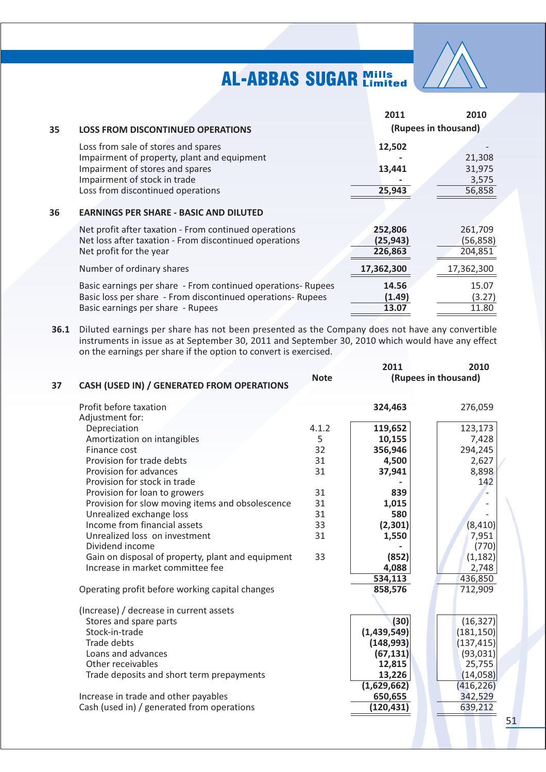

|    |                                                                                                                                            | 2011                            | 2010                            |
|----|--------------------------------------------------------------------------------------------------------------------------------------------|---------------------------------|---------------------------------|
| 35 | <b>LOSS FROM DISCONTINUED OPERATIONS</b>                                                                                                   |                                 | (Rupees in thousand)            |
|    | Loss from sale of stores and spares                                                                                                        | 12,502                          |                                 |
|    | Impairment of property, plant and equipment                                                                                                |                                 | 21,308                          |
|    | Impairment of stores and spares                                                                                                            | 13,441                          | 31,975                          |
|    | Impairment of stock in trade                                                                                                               |                                 | 3,575                           |
|    | Loss from discontinued operations                                                                                                          | 25,943                          | 56,858                          |
| 36 | <b>EARNINGS PER SHARE - BASIC AND DILUTED</b>                                                                                              |                                 |                                 |
|    | Net profit after taxation - From continued operations<br>Net loss after taxation - From discontinued operations<br>Net profit for the year | 252,806<br>(25, 943)<br>226,863 | 261,709<br>(56, 858)<br>204,851 |
|    | Number of ordinary shares                                                                                                                  | 17,362,300                      | 17,362,300                      |
|    | Basic earnings per share - From continued operations- Rupees                                                                               | 14.56                           | 15.07                           |
|    | Basic loss per share - From discontinued operations- Rupees                                                                                | (1.49)                          | (3.27)                          |
|    | Basic earnings per share - Rupees                                                                                                          | 13.07                           | 11.80                           |
|    |                                                                                                                                            |                                 |                                 |

36.1 Diluted earnings per share has not been presented as the Company does not have any convertible instruments in issue as at September 30, 2011 and September 30, 2010 which would have any effect on the earnings per share if the option to convert is exercised.

| 37 | CASH (USED IN) / GENERATED FROM OPERATIONS        | <b>Note</b> | 2011<br>2010<br>(Rupees in thousand) |                  |  |
|----|---------------------------------------------------|-------------|--------------------------------------|------------------|--|
|    | Profit before taxation                            |             | 324,463                              | 276,059          |  |
|    | Adjustment for:                                   | 4.1.2       |                                      |                  |  |
|    | Depreciation                                      | 5           | 119,652<br>10,155                    | 123,173          |  |
|    | Amortization on intangibles<br>Finance cost       | 32          | 356,946                              | 7,428<br>294,245 |  |
|    | Provision for trade debts                         | 31          | 4,500                                |                  |  |
|    | Provision for advances                            | 31          | 37,941                               | 2,627            |  |
|    | Provision for stock in trade                      |             |                                      | 8,898<br>142     |  |
|    | Provision for loan to growers                     | 31          | 839                                  |                  |  |
|    | Provision for slow moving items and obsolescence  | 31          | 1,015                                |                  |  |
|    | Unrealized exchange loss                          | 31          | 580                                  |                  |  |
|    | Income from financial assets                      | 33          | (2, 301)                             | (8, 410)         |  |
|    | Unrealized loss on investment                     | 31          | 1,550                                | 7,951            |  |
|    | Dividend income                                   |             |                                      | (770)            |  |
|    | Gain on disposal of property, plant and equipment | 33          | (852)                                | (1, 182)         |  |
|    | Increase in market committee fee                  |             | 4,088                                | 2,748            |  |
|    |                                                   |             | 534,113                              | 436,850          |  |
|    | Operating profit before working capital changes   |             | 858,576                              | 712,909          |  |
|    | (Increase) / decrease in current assets           |             |                                      |                  |  |
|    | Stores and spare parts                            |             | (30)                                 | (16, 327)        |  |
|    | Stock-in-trade                                    |             | (1,439,549)                          | (181, 150)       |  |
|    | Trade debts                                       |             | (148, 993)                           | (137, 415)       |  |
|    | Loans and advances                                |             | (67, 131)                            | (93,031)         |  |
|    | Other receivables                                 |             | 12,815                               | 25,755           |  |
|    | Trade deposits and short term prepayments         |             | 13,226                               | (14,058)         |  |
|    |                                                   |             | (1,629,662)                          | (416, 226)       |  |
|    | Increase in trade and other payables              |             | 650,655                              | 342,529          |  |
|    | Cash (used in) / generated from operations        |             | (120, 431)                           | 639,212          |  |
|    |                                                   |             |                                      |                  |  |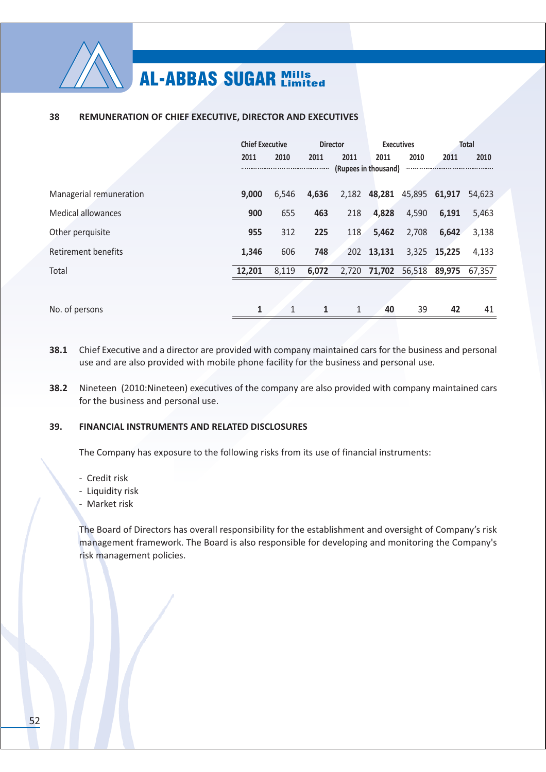

#### 38 REMUNERATION OF CHIEF EXECUTIVE, DIRECTOR AND EXECUTIVES

|                           | <b>Chief Executive</b> |              | <b>Director</b> |                      | <b>Executives</b> |               | <b>Total</b> |        |
|---------------------------|------------------------|--------------|-----------------|----------------------|-------------------|---------------|--------------|--------|
|                           | 2011                   | 2010         | 2011            | 2011                 | 2011              | 2010          | 2011         | 2010   |
|                           |                        |              |                 | (Rupees in thousand) |                   |               |              |        |
| Managerial remuneration   | 9.000                  | 6,546        | 4,636           |                      | 2,182 48,281      | 45,895 61,917 |              | 54,623 |
| <b>Medical allowances</b> | 900                    | 655          | 463             | 218                  | 4,828             | 4,590         | 6,191        | 5,463  |
| Other perquisite          | 955                    | 312          | 225             | 118                  | 5,462             | 2,708         | 6,642        | 3,138  |
| Retirement benefits       | 1,346                  | 606          | 748             |                      | 202 13,131        |               | 3,325 15,225 | 4,133  |
| Total                     | 12,201                 | 8,119        | 6,072           |                      | 2,720 71,702      | 56,518 89,975 |              | 67,357 |
|                           |                        |              |                 |                      |                   |               |              |        |
| No. of persons            | 1                      | $\mathbf{1}$ | 1               | $\mathbf{1}$         | 40                | 39            | 42           | 41     |
|                           |                        |              |                 |                      |                   |               |              |        |

- 38.1 Chief Executive and a director are provided with company maintained cars for the business and personal use and are also provided with mobile phone facility for the business and personal use.
- 38.2 Nineteen (2010:Nineteen) executives of the company are also provided with company maintained cars for the business and personal use.

#### 39. **FINANCIAL INSTRUMENTS AND RELATED DISCLOSURES**

The Company has exposure to the following risks from its use of financial instruments:

- Credit risk
- Liquidity risk
- Market risk

The Board of Directors has overall responsibility for the establishment and oversight of Company's risk management framework. The Board is also responsible for developing and monitoring the Company's risk management policies.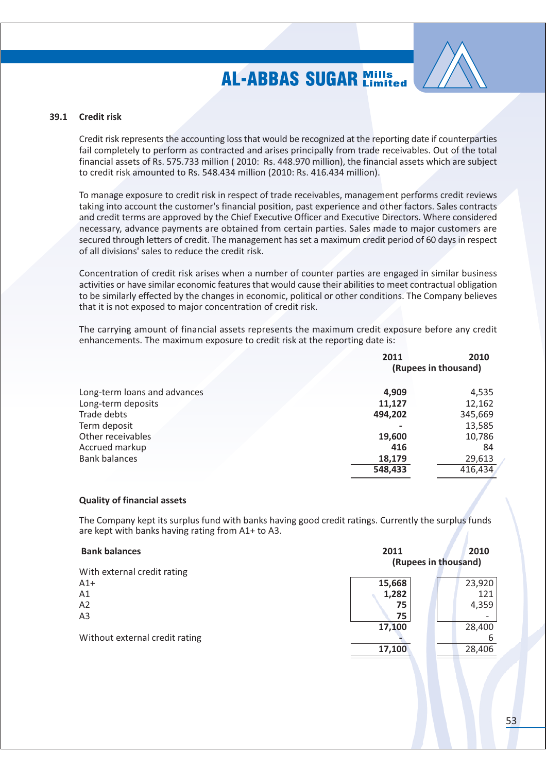

### 39.1 Credit risk

Credit risk represents the accounting loss that would be recognized at the reporting date if counterparties fail completely to perform as contracted and arises principally from trade receivables. Out of the total financial assets of Rs. 575.733 million (2010: Rs. 448.970 million), the financial assets which are subject to credit risk amounted to Rs. 548.434 million (2010: Rs. 416.434 million).

To manage exposure to credit risk in respect of trade receivables, management performs credit reviews taking into account the customer's financial position, past experience and other factors. Sales contracts and credit terms are approved by the Chief Executive Officer and Executive Directors. Where considered necessary, advance payments are obtained from certain parties. Sales made to major customers are secured through letters of credit. The management has set a maximum credit period of 60 days in respect of all divisions' sales to reduce the credit risk.

Concentration of credit risk arises when a number of counter parties are engaged in similar business activities or have similar economic features that would cause their abilities to meet contractual obligation to be similarly effected by the changes in economic, political or other conditions. The Company believes that it is not exposed to major concentration of credit risk.

The carrying amount of financial assets represents the maximum credit exposure before any credit enhancements. The maximum exposure to credit risk at the reporting date is:

|                              | 2011    | 2010<br>(Rupees in thousand) |  |
|------------------------------|---------|------------------------------|--|
| Long-term loans and advances | 4,909   | 4,535                        |  |
| Long-term deposits           | 11,127  | 12,162                       |  |
| Trade debts                  | 494,202 | 345,669                      |  |
| Term deposit                 |         | 13,585                       |  |
| Other receivables            | 19,600  | 10,786                       |  |
| Accrued markup               | 416     | 84                           |  |
| <b>Bank balances</b>         | 18,179  | 29,613                       |  |
|                              | 548,433 | 416,434                      |  |

#### **Quality of financial assets**

The Company kept its surplus fund with banks having good credit ratings. Currently the surplus funds are kept with banks having rating from A1+ to A3.

| <b>Bank balances</b>           | 2011                 |        |  |  |  |
|--------------------------------|----------------------|--------|--|--|--|
|                                | (Rupees in thousand) |        |  |  |  |
| With external credit rating    |                      |        |  |  |  |
| $A1+$                          | 15,668               | 23,920 |  |  |  |
| A1                             | 1,282                | 121    |  |  |  |
| A2                             | 75                   | 4,359  |  |  |  |
| A <sub>3</sub>                 | 75                   |        |  |  |  |
|                                | 17,100               | 28,400 |  |  |  |
| Without external credit rating |                      | 6      |  |  |  |
|                                | 17,100               | 28,406 |  |  |  |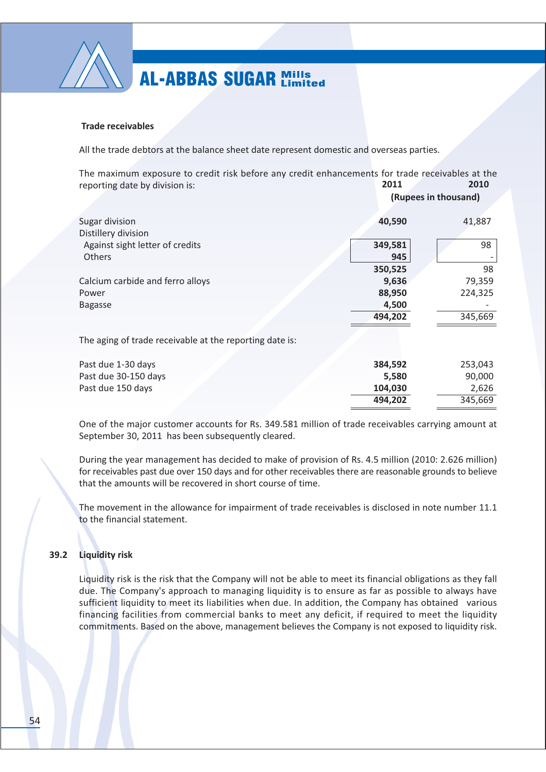

### **Trade receivables**

All the trade debtors at the balance sheet date represent domestic and overseas parties.

The maximum exposure to credit risk before any credit enhancements for trade receivables at the 2010 reporting date by division is: 2011

|                                                         |                | (Rupees in thousand) |  |  |  |
|---------------------------------------------------------|----------------|----------------------|--|--|--|
| Sugar division<br>Distillery division                   | 40,590         | 41,887               |  |  |  |
| Against sight letter of credits<br><b>Others</b>        | 349,581<br>945 | 98                   |  |  |  |
|                                                         | 350,525        | 98                   |  |  |  |
| Calcium carbide and ferro alloys                        | 9,636          | 79,359               |  |  |  |
| Power                                                   | 88,950         | 224,325              |  |  |  |
| <b>Bagasse</b>                                          | 4,500          |                      |  |  |  |
|                                                         | 494,202        | 345,669              |  |  |  |
| The aging of trade receivable at the reporting date is: |                |                      |  |  |  |
| Past due 1-30 days                                      | 384,592        | 253,043              |  |  |  |
| Past due 30-150 days                                    | 5,580          | 90,000               |  |  |  |
| Past due 150 days                                       | 104,030        | 2,626                |  |  |  |
|                                                         | 494,202        | 345,669              |  |  |  |

One of the major customer accounts for Rs. 349.581 million of trade receivables carrying amount at September 30, 2011 has been subsequently cleared.

During the year management has decided to make of provision of Rs. 4.5 million (2010: 2.626 million) for receivables past due over 150 days and for other receivables there are reasonable grounds to believe that the amounts will be recovered in short course of time.

The movement in the allowance for impairment of trade receivables is disclosed in note number 11.1 to the financial statement.

#### 39.2 **Liquidity risk**

Liquidity risk is the risk that the Company will not be able to meet its financial obligations as they fall due. The Company's approach to managing liquidity is to ensure as far as possible to always have sufficient liquidity to meet its liabilities when due. In addition, the Company has obtained various financing facilities from commercial banks to meet any deficit, if required to meet the liquidity commitments. Based on the above, management believes the Company is not exposed to liquidity risk.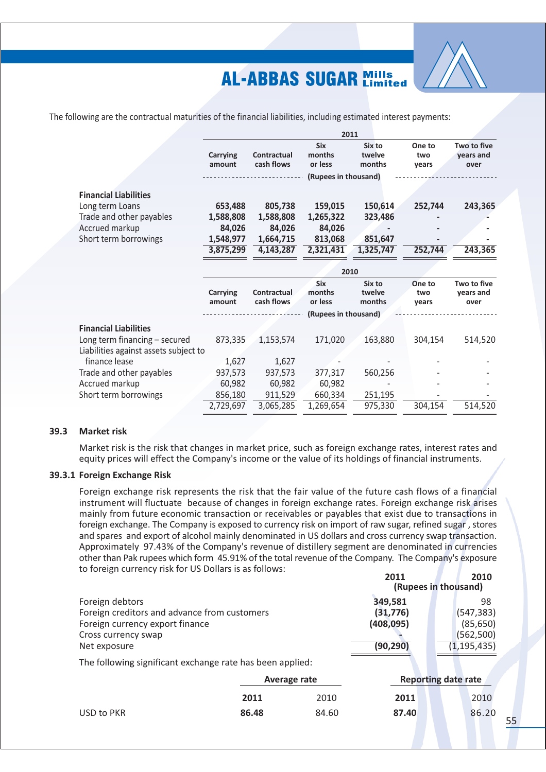

The following are the contractual maturities of the financial liabilities, including estimated interest payments:

|                                       |                    |                                  | 2011                            |                            |                        |                                  |
|---------------------------------------|--------------------|----------------------------------|---------------------------------|----------------------------|------------------------|----------------------------------|
|                                       | Carrying<br>amount | Contractual<br>cash flows        | <b>Six</b><br>months<br>or less | Six to<br>twelve<br>months | One to<br>two<br>years | Two to five<br>years and<br>over |
|                                       |                    |                                  | (Rupees in thousand)            |                            |                        |                                  |
| <b>Financial Liabilities</b>          |                    |                                  |                                 |                            |                        |                                  |
| Long term Loans                       | 653,488            | 805,738                          | 159,015                         | 150,614                    | 252,744                | 243,365                          |
| Trade and other payables              | 1,588,808          | 1,588,808                        | 1,265,322                       | 323,486                    |                        |                                  |
| Accrued markup                        | 84,026             | 84,026                           | 84,026                          |                            |                        |                                  |
| Short term borrowings                 | 1,548,977          | 1,664,715                        | 813,068                         | 851,647                    |                        |                                  |
|                                       | 3,875,299          | 4,143,287                        | 2,321,431                       | 1,325,747                  | 252,744                | 243,365                          |
|                                       |                    |                                  |                                 |                            |                        |                                  |
|                                       |                    |                                  | 2010                            |                            |                        |                                  |
|                                       | Carrying<br>amount | <b>Contractual</b><br>cash flows | <b>Six</b><br>months<br>or less | Six to<br>twelve<br>months | One to<br>two<br>years | Two to five<br>years and<br>over |
|                                       |                    |                                  | (Rupees in thousand)            |                            |                        |                                  |
| <b>Financial Liabilities</b>          |                    |                                  |                                 |                            |                        |                                  |
| Long term financing - secured         | 873,335            | 1,153,574                        | 171,020                         | 163,880                    | 304,154                | 514,520                          |
| Liabilities against assets subject to |                    |                                  |                                 |                            |                        |                                  |
| finance lease                         | 1,627              | 1,627                            |                                 |                            |                        |                                  |
| Trade and other payables              | 937,573            | 937,573                          | 377,317                         | 560,256                    |                        |                                  |
| Accrued markup                        | 60,982             | 60,982                           | 60,982                          |                            |                        |                                  |
| Short term borrowings                 | 856,180            | 911,529                          | 660,334                         | 251,195                    |                        |                                  |
|                                       | 2,729,697          | 3,065,285                        | 1,269,654                       | 975,330                    | 304,154                | 514,520                          |

#### $39.3$ **Market risk**

Market risk is the risk that changes in market price, such as foreign exchange rates, interest rates and equity prices will effect the Company's income or the value of its holdings of financial instruments.

### 39.3.1 Foreign Exchange Risk

Foreign exchange risk represents the risk that the fair value of the future cash flows of a financial instrument will fluctuate because of changes in foreign exchange rates. Foreign exchange risk arises mainly from future economic transaction or receivables or payables that exist due to transactions in foreign exchange. The Company is exposed to currency risk on import of raw sugar, refined sugar, stores and spares and export of alcohol mainly denominated in US dollars and cross currency swap transaction. Approximately 97.43% of the Company's revenue of distillery segment are denominated in currencies other than Pak rupees which form 45.91% of the total revenue of the Company. The Company's exposure to foreign currency risk for US Dollars is as follows:

|                                                           | 2011                 | 2010          |  |
|-----------------------------------------------------------|----------------------|---------------|--|
|                                                           | (Rupees in thousand) |               |  |
| Foreign debtors                                           | 349,581              | 98            |  |
| Foreign creditors and advance from customers              | (31, 776)            | (547, 383)    |  |
| Foreign currency export finance                           | (408, 095)           | (85, 650)     |  |
| Cross currency swap                                       |                      | (562,500)     |  |
| Net exposure                                              | (90, 290)            | (1, 195, 435) |  |
| The following significant exchange rate has been applied: |                      |               |  |
|                                                           |                      |               |  |

|            |       | Average rate |       | <b>Reporting date rate</b> |
|------------|-------|--------------|-------|----------------------------|
|            | 2011  | 2010         | 2011  | 2010                       |
| USD to PKR | 86.48 | 84.60        | 87.40 | 86.20                      |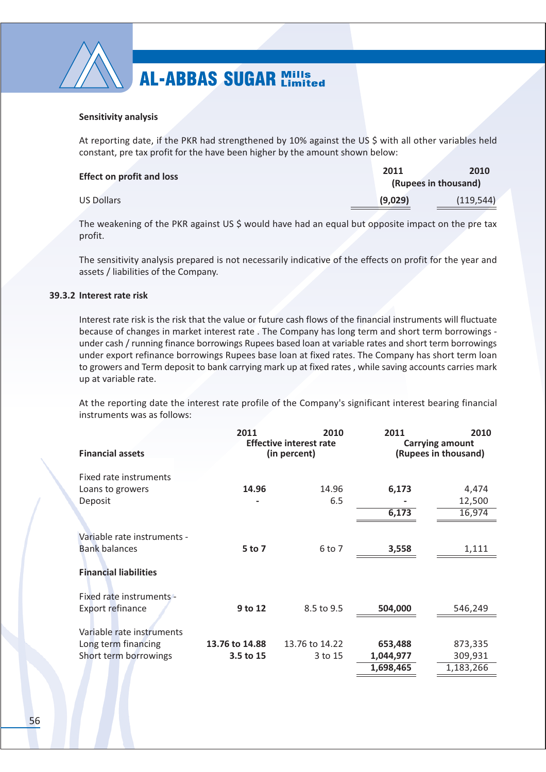

### **Sensitivity analysis**

At reporting date, if the PKR had strengthened by 10% against the US \$ with all other variables held constant, pre tax profit for the have been higher by the amount shown below:

| <b>Effect on profit and loss</b> | 2011    | 2010                 |
|----------------------------------|---------|----------------------|
|                                  |         | (Rupees in thousand) |
| US Dollars                       | (9,029) | (119.544)            |

The weakening of the PKR against US \$ would have had an equal but opposite impact on the pre tax profit.

The sensitivity analysis prepared is not necessarily indicative of the effects on profit for the year and assets / liabilities of the Company.

### 39.3.2 Interest rate risk

Interest rate risk is the risk that the value or future cash flows of the financial instruments will fluctuate because of changes in market interest rate. The Company has long term and short term borrowings under cash / running finance borrowings Rupees based loan at variable rates and short term borrowings under export refinance borrowings Rupees base loan at fixed rates. The Company has short term loan to growers and Term deposit to bank carrying mark up at fixed rates, while saving accounts carries mark up at variable rate.

At the reporting date the interest rate profile of the Company's significant interest bearing financial instruments was as follows:

|                              | 2011           | 2010                                           | 2011                                           | 2010      |
|------------------------------|----------------|------------------------------------------------|------------------------------------------------|-----------|
| <b>Financial assets</b>      |                | <b>Effective interest rate</b><br>(in percent) | <b>Carrying amount</b><br>(Rupees in thousand) |           |
| Fixed rate instruments       |                |                                                |                                                |           |
| Loans to growers             | 14.96          | 14.96                                          | 6,173                                          | 4,474     |
| Deposit                      |                | 6.5                                            |                                                | 12,500    |
|                              |                |                                                | 6,173                                          | 16,974    |
|                              |                |                                                |                                                |           |
| Variable rate instruments -  |                |                                                |                                                |           |
| <b>Bank balances</b>         | 5 to 7         | 6 to 7                                         | 3,558                                          | 1,111     |
|                              |                |                                                |                                                |           |
| <b>Financial liabilities</b> |                |                                                |                                                |           |
| Fixed rate instruments -     |                |                                                |                                                |           |
| Export refinance             | 9 to 12        | 8.5 to 9.5                                     | 504,000                                        | 546,249   |
|                              |                |                                                |                                                |           |
| Variable rate instruments    |                |                                                |                                                |           |
| Long term financing          | 13.76 to 14.88 | 13.76 to 14.22                                 | 653,488                                        | 873,335   |
| Short term borrowings        | 3.5 to 15      | 3 to 15                                        | 1,044,977                                      | 309,931   |
|                              |                |                                                | 1,698,465                                      | 1,183,266 |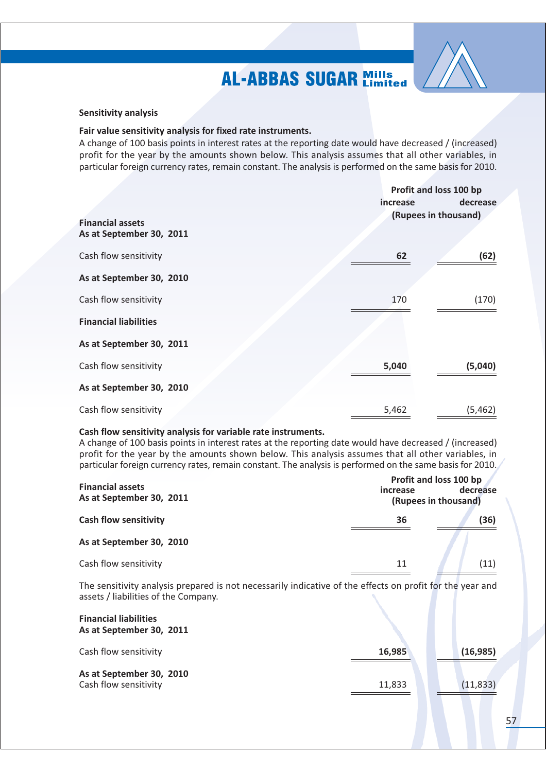

#### **Sensitivity analysis**

#### Fair value sensitivity analysis for fixed rate instruments.

A change of 100 basis points in interest rates at the reporting date would have decreased / (increased) profit for the year by the amounts shown below. This analysis assumes that all other variables, in particular foreign currency rates, remain constant. The analysis is performed on the same basis for 2010.

|                                                     | <i>increase</i> | Profit and loss 100 bp<br>decrease |
|-----------------------------------------------------|-----------------|------------------------------------|
| <b>Financial assets</b><br>As at September 30, 2011 |                 | (Rupees in thousand)               |
| Cash flow sensitivity                               | 62              | (62)                               |
| As at September 30, 2010                            |                 |                                    |
| Cash flow sensitivity                               | 170             | (170)                              |
| <b>Financial liabilities</b>                        |                 |                                    |
| As at September 30, 2011                            |                 |                                    |
| Cash flow sensitivity                               | 5,040           | (5,040)                            |
| As at September 30, 2010                            |                 |                                    |
| Cash flow sensitivity                               | 5,462           | (5, 462)                           |

#### Cash flow sensitivity analysis for variable rate instruments.

A change of 100 basis points in interest rates at the reporting date would have decreased / (increased) profit for the year by the amounts shown below. This analysis assumes that all other variables, in particular foreign currency rates, remain constant. The analysis is performed on the same basis for 2010.

| <b>Financial assets</b><br>As at September 30, 2011 | Profit and loss 100 bp<br>decrease<br>increase<br>(Rupees in thousand) |  |      |
|-----------------------------------------------------|------------------------------------------------------------------------|--|------|
| <b>Cash flow sensitivity</b>                        | 36                                                                     |  | (36) |
| As at September 30, 2010                            |                                                                        |  |      |
| Cash flow sensitivity                               | 11                                                                     |  | (11) |

The sensitivity analysis prepared is not necessarily indicative of the effects on profit for the year and assets / liabilities of the Company.

| <b>Financial liabilities</b><br>As at September 30, 2011 |        |           |
|----------------------------------------------------------|--------|-----------|
| Cash flow sensitivity                                    | 16,985 | (16, 985) |
| As at September 30, 2010<br>Cash flow sensitivity        | 11,833 | (11, 833) |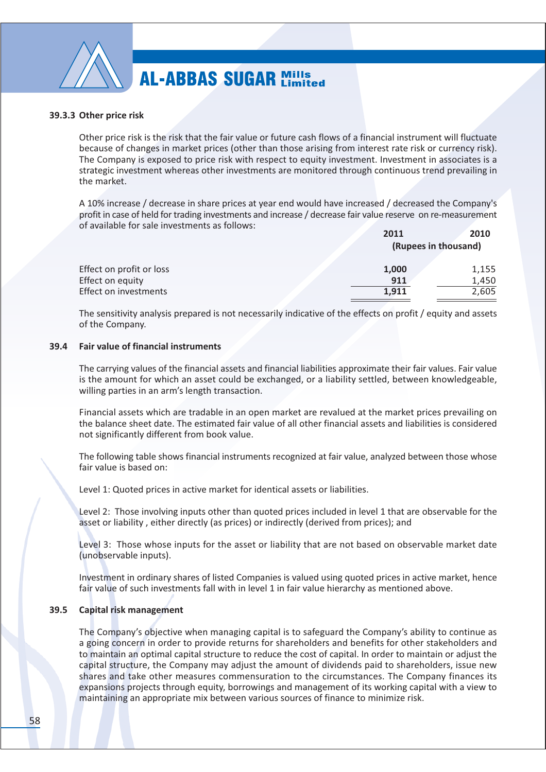

#### 39.3.3 Other price risk

Other price risk is the risk that the fair value or future cash flows of a financial instrument will fluctuate because of changes in market prices (other than those arising from interest rate risk or currency risk). The Company is exposed to price risk with respect to equity investment. Investment in associates is a strategic investment whereas other investments are monitored through continuous trend prevailing in the market.

A 10% increase / decrease in share prices at year end would have increased / decreased the Company's profit in case of held for trading investments and increase / decrease fair value reserve on re-measurement of available for sale investments as follows:

|                          | 2011  | 2010                 |
|--------------------------|-------|----------------------|
|                          |       | (Rupees in thousand) |
| Effect on profit or loss | 1,000 | 1,155                |
| Effect on equity         | 911   | 1,450                |
| Effect on investments    | 1.911 | 2,605                |

The sensitivity analysis prepared is not necessarily indicative of the effects on profit / equity and assets of the Company.

#### 39.4 **Fair value of financial instruments**

The carrying values of the financial assets and financial liabilities approximate their fair values. Fair value is the amount for which an asset could be exchanged, or a liability settled, between knowledgeable, willing parties in an arm's length transaction.

Financial assets which are tradable in an open market are revalued at the market prices prevailing on the balance sheet date. The estimated fair value of all other financial assets and liabilities is considered not significantly different from book value.

The following table shows financial instruments recognized at fair value, analyzed between those whose fair value is based on:

Level 1: Quoted prices in active market for identical assets or liabilities.

Level 2: Those involving inputs other than quoted prices included in level 1 that are observable for the asset or liability, either directly (as prices) or indirectly (derived from prices); and

Level 3: Those whose inputs for the asset or liability that are not based on observable market date (unobservable inputs).

Investment in ordinary shares of listed Companies is valued using quoted prices in active market, hence fair value of such investments fall with in level 1 in fair value hierarchy as mentioned above.

#### $39.5$ **Capital risk management**

The Company's objective when managing capital is to safeguard the Company's ability to continue as a going concern in order to provide returns for shareholders and benefits for other stakeholders and to maintain an optimal capital structure to reduce the cost of capital. In order to maintain or adjust the capital structure, the Company may adjust the amount of dividends paid to shareholders, issue new shares and take other measures commensuration to the circumstances. The Company finances its expansions projects through equity, borrowings and management of its working capital with a view to maintaining an appropriate mix between various sources of finance to minimize risk.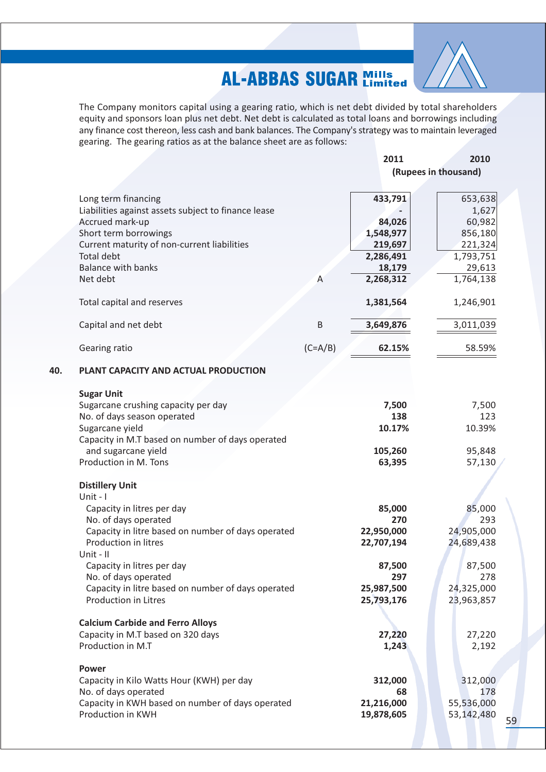

The Company monitors capital using a gearing ratio, which is net debt divided by total shareholders equity and sponsors loan plus net debt. Net debt is calculated as total loans and borrowings including any finance cost thereon, less cash and bank balances. The Company's strategy was to maintain leveraged gearing. The gearing ratios as at the balance sheet are as follows:

|                                                     |           | 2011       | 2010                 |
|-----------------------------------------------------|-----------|------------|----------------------|
|                                                     |           |            | (Rupees in thousand) |
|                                                     |           |            |                      |
|                                                     |           |            |                      |
| Long term financing                                 |           | 433,791    | 653,638              |
| Liabilities against assets subject to finance lease |           |            | 1,627                |
| Accrued mark-up                                     |           | 84,026     | 60,982               |
| Short term borrowings                               |           | 1,548,977  | 856,180              |
| Current maturity of non-current liabilities         |           | 219,697    | 221,324              |
| <b>Total debt</b>                                   |           | 2,286,491  | 1,793,751            |
| <b>Balance with banks</b>                           |           | 18,179     | 29,613               |
| Net debt                                            | A         | 2,268,312  | 1,764,138            |
|                                                     |           |            |                      |
| Total capital and reserves                          |           | 1,381,564  | 1,246,901            |
|                                                     |           |            |                      |
| Capital and net debt                                | B         | 3,649,876  | 3,011,039            |
|                                                     |           |            |                      |
|                                                     |           |            |                      |
| Gearing ratio                                       | $(C=A/B)$ | 62.15%     | 58.59%               |
|                                                     |           |            |                      |
| PLANT CAPACITY AND ACTUAL PRODUCTION                |           |            |                      |
|                                                     |           |            |                      |
| <b>Sugar Unit</b>                                   |           |            |                      |
| Sugarcane crushing capacity per day                 |           | 7,500      | 7,500                |
| No. of days season operated                         |           | 138        | 123                  |
| Sugarcane yield                                     |           | 10.17%     | 10.39%               |
| Capacity in M.T based on number of days operated    |           |            |                      |
| and sugarcane yield                                 |           | 105,260    | 95,848               |
| Production in M. Tons                               |           | 63,395     | 57,130               |
|                                                     |           |            |                      |
| <b>Distillery Unit</b>                              |           |            |                      |
| Unit - I                                            |           |            |                      |
| Capacity in litres per day                          |           | 85,000     | 85,000               |
| No. of days operated                                |           | 270        | 293                  |
| Capacity in litre based on number of days operated  |           | 22,950,000 | 24,905,000           |
|                                                     |           |            |                      |
| Production in litres                                |           | 22,707,194 | 24,689,438           |
| Unit - II                                           |           |            |                      |
| Capacity in litres per day                          |           | 87,500     | 87,500               |
| No. of days operated                                |           | 297        | 278                  |
| Capacity in litre based on number of days operated  |           | 25,987,500 | 24,325,000           |
| <b>Production in Litres</b>                         |           | 25,793,176 | 23,963,857           |
|                                                     |           |            |                      |
| <b>Calcium Carbide and Ferro Alloys</b>             |           |            |                      |
| Capacity in M.T based on 320 days                   |           | 27,220     | 27,220               |
| Production in M.T                                   |           | 1,243      | 2,192                |
|                                                     |           |            |                      |
| <b>Power</b>                                        |           |            |                      |
| Capacity in Kilo Watts Hour (KWH) per day           |           | 312,000    | 312,000              |
| No. of days operated                                |           | 68         | 178                  |
| Capacity in KWH based on number of days operated    |           | 21,216,000 | 55,536,000           |
| Production in KWH                                   |           | 19,878,605 | 53,142,480           |
|                                                     |           |            |                      |
|                                                     |           |            |                      |

40.

59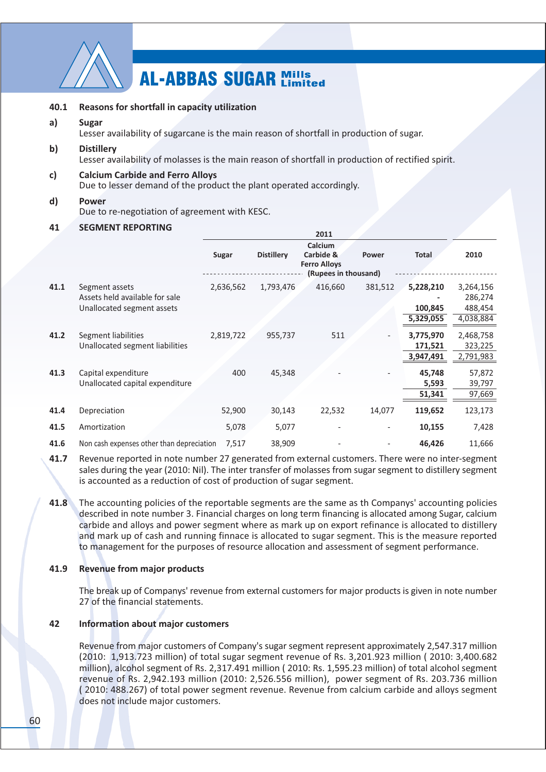

#### 40.1 Reasons for shortfall in capacity utilization

#### $a)$ **Sugar**

Lesser availability of sugarcane is the main reason of shortfall in production of sugar.

#### $\mathsf{b}$ **Distillerv**

Lesser availability of molasses is the main reason of shortfall in production of rectified spirit.

#### $c)$ **Calcium Carbide and Ferro Alloys**

Due to lesser demand of the product the plant operated accordingly.

#### $\mathbf{d}$ **Power** Due to re-negotiation of agreement with KESC.

#### 41 **SEGMENT REPORTING**

|      |                                                                                | 2011      |                   |                                                                     |         |                                   |                                              |
|------|--------------------------------------------------------------------------------|-----------|-------------------|---------------------------------------------------------------------|---------|-----------------------------------|----------------------------------------------|
|      |                                                                                | Sugar     | <b>Distillery</b> | Calcium<br>Carbide &<br><b>Ferro Alloys</b><br>(Rupees in thousand) | Power   | <b>Total</b>                      | 2010                                         |
| 41.1 | Segment assets<br>Assets held available for sale<br>Unallocated segment assets | 2,636,562 | 1,793,476         | 416,660                                                             | 381,512 | 5,228,210<br>100,845<br>5,329,055 | 3,264,156<br>286,274<br>488,454<br>4,038,884 |
| 41.2 | Segment liabilities<br>Unallocated segment liabilities                         | 2,819,722 | 955,737           | 511                                                                 |         | 3,775,970<br>171,521<br>3,947,491 | 2,468,758<br>323,225<br>2,791,983            |
| 41.3 | Capital expenditure<br>Unallocated capital expenditure                         | 400       | 45,348            |                                                                     |         | 45,748<br>5,593<br>51,341         | 57,872<br>39,797<br>97,669                   |
| 41.4 | Depreciation                                                                   | 52,900    | 30,143            | 22,532                                                              | 14,077  | 119,652                           | 123,173                                      |
| 41.5 | Amortization                                                                   | 5,078     | 5,077             |                                                                     |         | 10,155                            | 7,428                                        |
| 41.6 | Non cash expenses other than depreciation                                      | 7,517     | 38,909            |                                                                     |         | 46,426                            | 11,666                                       |

 $41.7$ Revenue reported in note number 27 generated from external customers. There were no inter-segment sales during the year (2010; Nil). The inter transfer of molasses from sugar segment to distillery segment is accounted as a reduction of cost of production of sugar segment.

 $41.8$ The accounting policies of the reportable segments are the same as th Companys' accounting policies described in note number 3. Financial charges on long term financing is allocated among Sugar, calcium carbide and alloys and power segment where as mark up on export refinance is allocated to distillery and mark up of cash and running finnace is allocated to sugar segment. This is the measure reported to management for the purposes of resource allocation and assessment of segment performance.

#### $41.9$ **Revenue from major products**

The break up of Companys' revenue from external customers for major products is given in note number 27 of the financial statements.

#### 42 **Information about major customers**

Revenue from major customers of Company's sugar segment represent approximately 2,547.317 million (2010: 1,913.723 million) of total sugar segment revenue of Rs. 3,201.923 million (2010: 3,400.682) million), alcohol segment of Rs. 2.317.491 million (2010; Rs. 1.595.23 million) of total alcohol segment revenue of Rs. 2.942.193 million (2010: 2.526.556 million). power segment of Rs. 203.736 million (2010: 488.267) of total power segment revenue. Revenue from calcium carbide and alloys segment does not include major customers.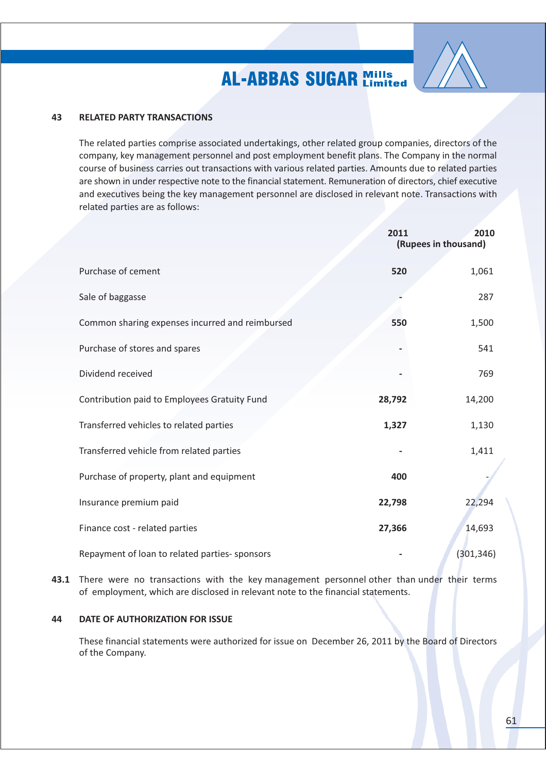

#### 43 **RELATED PARTY TRANSACTIONS**

The related parties comprise associated undertakings, other related group companies, directors of the company, key management personnel and post employment benefit plans. The Company in the normal course of business carries out transactions with various related parties. Amounts due to related parties are shown in under respective note to the financial statement. Remuneration of directors, chief executive and executives being the key management personnel are disclosed in relevant note. Transactions with related parties are as follows:

|                                                 | 2011<br>2010<br>(Rupees in thousand) |            |
|-------------------------------------------------|--------------------------------------|------------|
| Purchase of cement                              | 520                                  | 1,061      |
| Sale of baggasse                                |                                      | 287        |
| Common sharing expenses incurred and reimbursed | 550                                  | 1,500      |
| Purchase of stores and spares                   |                                      | 541        |
| Dividend received                               |                                      | 769        |
| Contribution paid to Employees Gratuity Fund    | 28,792                               | 14,200     |
| Transferred vehicles to related parties         | 1,327                                | 1,130      |
| Transferred vehicle from related parties        |                                      | 1,411      |
| Purchase of property, plant and equipment       | 400                                  |            |
| Insurance premium paid                          | 22,798                               | 22,294     |
| Finance cost - related parties                  | 27,366                               | 14,693     |
| Repayment of loan to related parties- sponsors  |                                      | (301, 346) |

43.1 There were no transactions with the key management personnel other than under their terms of employment, which are disclosed in relevant note to the financial statements.

#### 44 DATE OF AUTHORIZATION FOR ISSUE

These financial statements were authorized for issue on December 26, 2011 by the Board of Directors of the Company.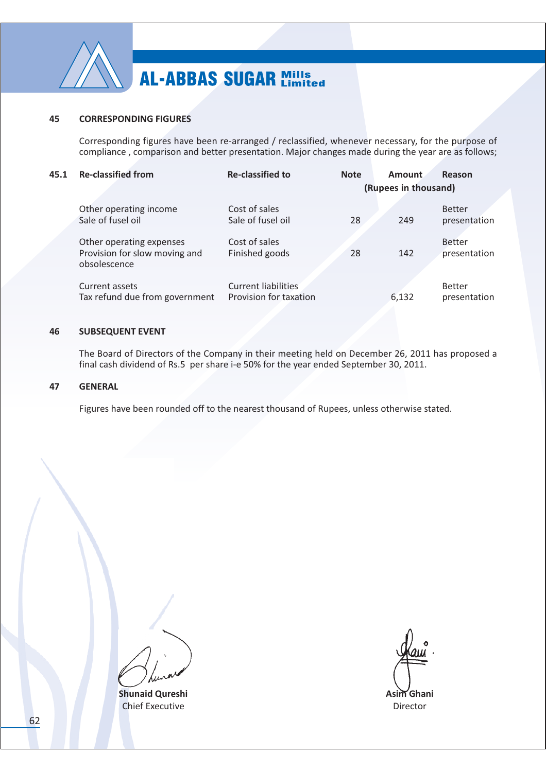

#### 45 **CORRESPONDING FIGURES**

Corresponding figures have been re-arranged / reclassified, whenever necessary, for the purpose of compliance, comparison and better presentation. Major changes made during the year are as follows;

| 45.1 | <b>Re-classified from</b>                                                 | <b>Re-classified to</b>                              | <b>Note</b> | Amount<br>(Rupees in thousand) | Reason                        |
|------|---------------------------------------------------------------------------|------------------------------------------------------|-------------|--------------------------------|-------------------------------|
|      | Other operating income<br>Sale of fusel oil                               | Cost of sales<br>Sale of fusel oil                   | 28          | 249                            | <b>Better</b><br>presentation |
|      | Other operating expenses<br>Provision for slow moving and<br>obsolescence | Cost of sales<br>Finished goods                      | 28          | 142                            | <b>Better</b><br>presentation |
|      | Current assets<br>Tax refund due from government                          | <b>Current liabilities</b><br>Provision for taxation |             | 6,132                          | <b>Better</b><br>presentation |

#### **SUBSEQUENT EVENT** 46

The Board of Directors of the Company in their meeting held on December 26, 2011 has proposed a final cash dividend of Rs.5 per share i-e 50% for the year ended September 30, 2011.

#### 47 **GENERAL**

Figures have been rounded off to the nearest thousand of Rupees, unless otherwise stated.

**Shunaid Qureshi Chief Executive** 

Asim Ghani Director